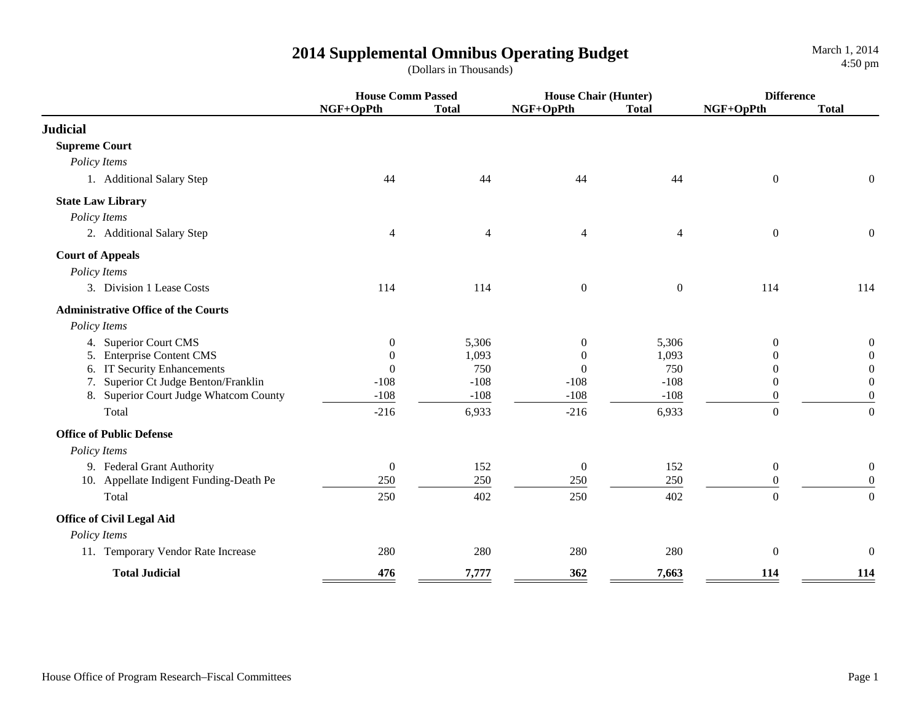|                                            | <b>House Comm Passed</b> |              | <b>House Chair (Hunter)</b> |                | <b>Difference</b> |                  |
|--------------------------------------------|--------------------------|--------------|-----------------------------|----------------|-------------------|------------------|
|                                            | NGF+OpPth                | <b>Total</b> | NGF+OpPth                   | <b>Total</b>   | NGF+OpPth         | <b>Total</b>     |
| <b>Judicial</b>                            |                          |              |                             |                |                   |                  |
| <b>Supreme Court</b>                       |                          |              |                             |                |                   |                  |
| Policy Items                               |                          |              |                             |                |                   |                  |
| 1. Additional Salary Step                  | 44                       | 44           | 44                          | 44             | $\boldsymbol{0}$  | $\mathbf{0}$     |
| <b>State Law Library</b>                   |                          |              |                             |                |                   |                  |
| Policy Items                               |                          |              |                             |                |                   |                  |
| 2. Additional Salary Step                  | 4                        | 4            | $\overline{4}$              | $\overline{4}$ | $\boldsymbol{0}$  | $\overline{0}$   |
| <b>Court of Appeals</b>                    |                          |              |                             |                |                   |                  |
| Policy Items                               |                          |              |                             |                |                   |                  |
| 3. Division 1 Lease Costs                  | 114                      | 114          | $\boldsymbol{0}$            | $\overline{0}$ | 114               | 114              |
| <b>Administrative Office of the Courts</b> |                          |              |                             |                |                   |                  |
| Policy Items                               |                          |              |                             |                |                   |                  |
| 4. Superior Court CMS                      | $\boldsymbol{0}$         | 5,306        | $\boldsymbol{0}$            | 5,306          | $\theta$          | $\overline{0}$   |
| <b>Enterprise Content CMS</b><br>5.        | $\theta$                 | 1,093        | $\theta$                    | 1,093          | $\Omega$          | $\overline{0}$   |
| <b>IT Security Enhancements</b><br>6.      | $\theta$                 | 750          | $\Omega$                    | 750            | $\Omega$          | $\mathbf{0}$     |
| Superior Ct Judge Benton/Franklin<br>7.    | $-108$                   | $-108$       | $-108$                      | $-108$         | $\theta$          | $\mathbf{0}$     |
| 8. Superior Court Judge Whatcom County     | $-108$                   | $-108$       | $-108$                      | $-108$         | $\boldsymbol{0}$  | $\boldsymbol{0}$ |
| Total                                      | $-216$                   | 6,933        | $-216$                      | 6,933          | $\Omega$          | $\overline{0}$   |
| <b>Office of Public Defense</b>            |                          |              |                             |                |                   |                  |
| Policy Items                               |                          |              |                             |                |                   |                  |
| 9. Federal Grant Authority                 | $\boldsymbol{0}$         | 152          | $\mathbf{0}$                | 152            | $\overline{0}$    | $\boldsymbol{0}$ |
| 10. Appellate Indigent Funding-Death Pe    | 250                      | 250          | 250                         | 250            | $\overline{0}$    | $\overline{0}$   |
| Total                                      | 250                      | 402          | 250                         | 402            | $\overline{0}$    | $\overline{0}$   |
| <b>Office of Civil Legal Aid</b>           |                          |              |                             |                |                   |                  |
| Policy Items                               |                          |              |                             |                |                   |                  |
| 11. Temporary Vendor Rate Increase         | 280                      | 280          | 280                         | 280            | $\mathbf{0}$      | $\theta$         |
| <b>Total Judicial</b>                      | 476                      | 7,777        | 362                         | 7,663          | 114               | 114              |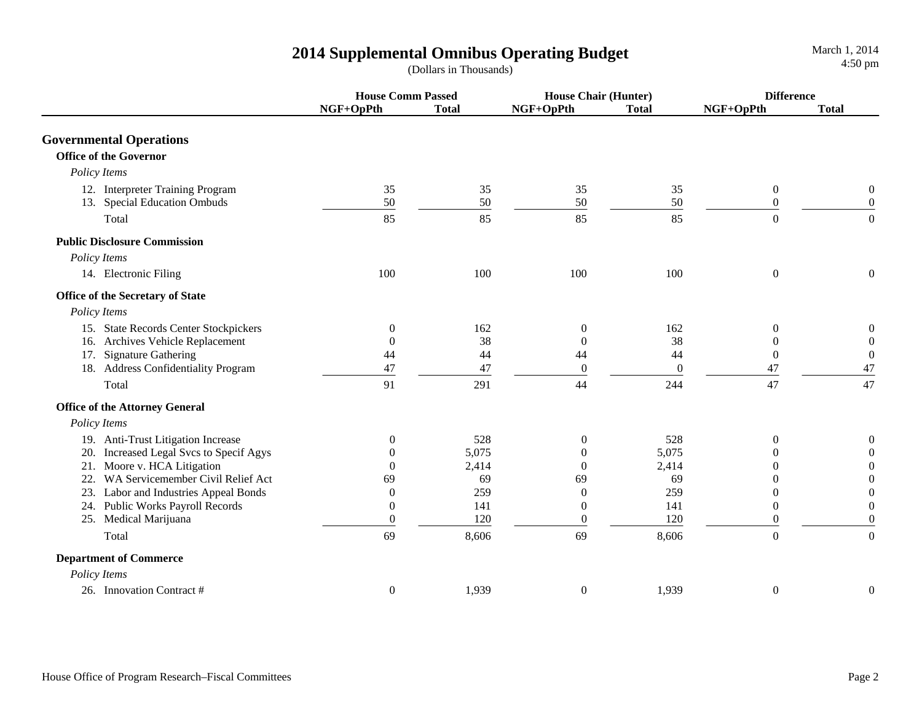|                                         | <b>House Comm Passed</b> |              | <b>House Chair (Hunter)</b> |              | <b>Difference</b> |                  |
|-----------------------------------------|--------------------------|--------------|-----------------------------|--------------|-------------------|------------------|
|                                         | NGF+OpPth                | <b>Total</b> | NGF+OpPth                   | <b>Total</b> | NGF+OpPth         | <b>Total</b>     |
| <b>Governmental Operations</b>          |                          |              |                             |              |                   |                  |
| <b>Office of the Governor</b>           |                          |              |                             |              |                   |                  |
| Policy Items                            |                          |              |                             |              |                   |                  |
| 12. Interpreter Training Program        | 35                       | 35           | 35                          | 35           | $\boldsymbol{0}$  | $\boldsymbol{0}$ |
| 13. Special Education Ombuds            | 50                       | 50           | 50                          | 50           | $\boldsymbol{0}$  | $\boldsymbol{0}$ |
| Total                                   | 85                       | 85           | 85                          | 85           | $\overline{0}$    | $\boldsymbol{0}$ |
| <b>Public Disclosure Commission</b>     |                          |              |                             |              |                   |                  |
| Policy Items                            |                          |              |                             |              |                   |                  |
| 14. Electronic Filing                   | 100                      | 100          | 100                         | 100          | $\boldsymbol{0}$  | $\boldsymbol{0}$ |
| Office of the Secretary of State        |                          |              |                             |              |                   |                  |
| Policy Items                            |                          |              |                             |              |                   |                  |
| 15. State Records Center Stockpickers   | $\theta$                 | 162          | $\overline{0}$              | 162          | $\theta$          | $\boldsymbol{0}$ |
| 16. Archives Vehicle Replacement        | $\overline{0}$           | 38           | $\theta$                    | 38           | $\theta$          | $\boldsymbol{0}$ |
| 17. Signature Gathering                 | 44                       | 44           | 44                          | 44           | $\theta$          | $\boldsymbol{0}$ |
| 18. Address Confidentiality Program     | 47                       | 47           | $\theta$                    | $\mathbf{0}$ | 47                | 47               |
| Total                                   | 91                       | 291          | 44                          | 244          | 47                | 47               |
| <b>Office of the Attorney General</b>   |                          |              |                             |              |                   |                  |
| Policy Items                            |                          |              |                             |              |                   |                  |
| 19. Anti-Trust Litigation Increase      | $\theta$                 | 528          | $\boldsymbol{0}$            | 528          | $\mathbf{0}$      | $\boldsymbol{0}$ |
| 20. Increased Legal Svcs to Specif Agys | $\overline{0}$           | 5,075        | $\overline{0}$              | 5,075        | $\overline{0}$    | $\boldsymbol{0}$ |
| 21. Moore v. HCA Litigation             | $\Omega$                 | 2,414        | $\Omega$                    | 2,414        | $\theta$          | $\boldsymbol{0}$ |
| 22. WA Servicemember Civil Relief Act   | 69                       | 69           | 69                          | 69           | $\Omega$          | $\overline{0}$   |
| 23. Labor and Industries Appeal Bonds   | $\overline{0}$           | 259          | $\boldsymbol{0}$            | 259          | 0                 | $\boldsymbol{0}$ |
| 24. Public Works Payroll Records        | $\overline{0}$           | 141          | $\boldsymbol{0}$            | 141          | $\theta$          | $\boldsymbol{0}$ |
| 25. Medical Marijuana                   | $\mathbf{0}$             | 120          | $\overline{0}$              | 120          | $\theta$          | $\boldsymbol{0}$ |
| Total                                   | 69                       | 8,606        | 69                          | 8,606        | $\mathbf{0}$      | $\boldsymbol{0}$ |
| <b>Department of Commerce</b>           |                          |              |                             |              |                   |                  |
| Policy Items                            |                          |              |                             |              |                   |                  |
| 26. Innovation Contract #               | $\boldsymbol{0}$         | 1,939        | $\boldsymbol{0}$            | 1,939        | $\boldsymbol{0}$  | $\boldsymbol{0}$ |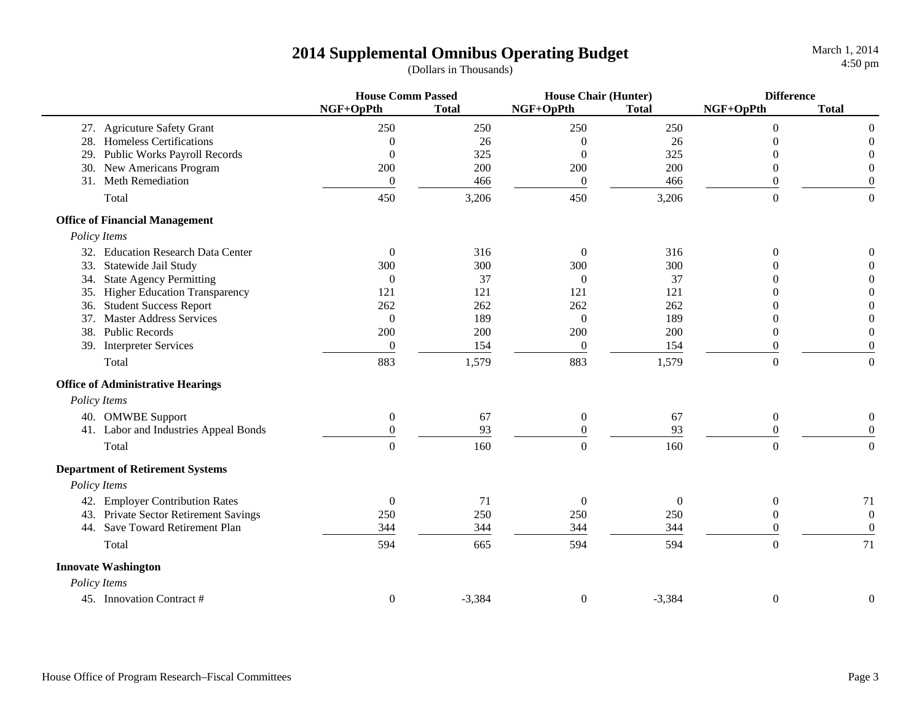March 1, 2014

|     |                                          | <b>House Comm Passed</b> |              | <b>House Chair (Hunter)</b> |                | <b>Difference</b> |                  |
|-----|------------------------------------------|--------------------------|--------------|-----------------------------|----------------|-------------------|------------------|
|     |                                          | NGF+OpPth                | <b>Total</b> | NGF+OpPth                   | <b>Total</b>   | NGF+OpPth         | <b>Total</b>     |
|     | 27. Agricuture Safety Grant              | 250                      | 250          | 250                         | 250            | $\Omega$          | $\boldsymbol{0}$ |
| 28. | <b>Homeless Certifications</b>           | $\overline{0}$           | 26           | $\theta$                    | 26             | $\Omega$          | $\boldsymbol{0}$ |
| 29. | Public Works Payroll Records             | $\boldsymbol{0}$         | 325          | $\theta$                    | 325            | $\Omega$          | $\boldsymbol{0}$ |
|     | 30. New Americans Program                | 200                      | 200          | 200                         | 200            | 0                 | $\boldsymbol{0}$ |
|     | 31. Meth Remediation                     | $\boldsymbol{0}$         | 466          | $\boldsymbol{0}$            | 466            | $\overline{0}$    | $\boldsymbol{0}$ |
|     | Total                                    | 450                      | 3,206        | 450                         | 3,206          | $\theta$          | $\mathbf{0}$     |
|     | <b>Office of Financial Management</b>    |                          |              |                             |                |                   |                  |
|     | Policy Items                             |                          |              |                             |                |                   |                  |
|     | 32. Education Research Data Center       | $\overline{0}$           | 316          | $\boldsymbol{0}$            | 316            | $\theta$          | $\boldsymbol{0}$ |
|     | 33. Statewide Jail Study                 | 300                      | 300          | 300                         | 300            | 0                 | $\boldsymbol{0}$ |
|     | 34. State Agency Permitting              | $\overline{0}$           | 37           | $\mathbf{0}$                | 37             | 0                 | $\boldsymbol{0}$ |
|     | 35. Higher Education Transparency        | 121                      | 121          | 121                         | 121            | 0                 | $\boldsymbol{0}$ |
|     | 36. Student Success Report               | 262                      | 262          | 262                         | 262            | $^{(1)}$          | $\boldsymbol{0}$ |
|     | 37. Master Address Services              | $\mathbf{0}$             | 189          | $\theta$                    | 189            | $\Omega$          | $\mathbf{0}$     |
|     | 38. Public Records                       | 200                      | 200          | 200                         | 200            | $\theta$          | $\boldsymbol{0}$ |
|     | 39. Interpreter Services                 | $\overline{0}$           | 154          | $\boldsymbol{0}$            | 154            | $\theta$          | $\mathbf{0}$     |
|     | Total                                    | 883                      | 1,579        | 883                         | 1,579          | $\boldsymbol{0}$  | $\boldsymbol{0}$ |
|     | <b>Office of Administrative Hearings</b> |                          |              |                             |                |                   |                  |
|     | Policy Items                             |                          |              |                             |                |                   |                  |
|     | 40. OMWBE Support                        | $\overline{0}$           | 67           | $\boldsymbol{0}$            | 67             | $\overline{0}$    | $\boldsymbol{0}$ |
|     | 41. Labor and Industries Appeal Bonds    | $\mathbf{0}$             | 93           | $\mathbf{0}$                | 93             | $\mathbf{0}$      | $\boldsymbol{0}$ |
|     | Total                                    | $\overline{0}$           | 160          | $\boldsymbol{0}$            | 160            | $\boldsymbol{0}$  | $\boldsymbol{0}$ |
|     | <b>Department of Retirement Systems</b>  |                          |              |                             |                |                   |                  |
|     | Policy Items                             |                          |              |                             |                |                   |                  |
|     | 42. Employer Contribution Rates          | $\overline{0}$           | 71           | $\boldsymbol{0}$            | $\overline{0}$ | $\mathbf{0}$      | 71               |
|     | 43. Private Sector Retirement Savings    | 250                      | 250          | 250                         | 250            | $\overline{0}$    | $\boldsymbol{0}$ |
|     | 44. Save Toward Retirement Plan          | 344                      | 344          | 344                         | 344            | 0                 | $\boldsymbol{0}$ |
|     | Total                                    | 594                      | 665          | 594                         | 594            | $\boldsymbol{0}$  | 71               |
|     | <b>Innovate Washington</b>               |                          |              |                             |                |                   |                  |
|     | Policy Items                             |                          |              |                             |                |                   |                  |
|     | 45. Innovation Contract #                | $\boldsymbol{0}$         | $-3,384$     | $\boldsymbol{0}$            | $-3,384$       | $\boldsymbol{0}$  | $\boldsymbol{0}$ |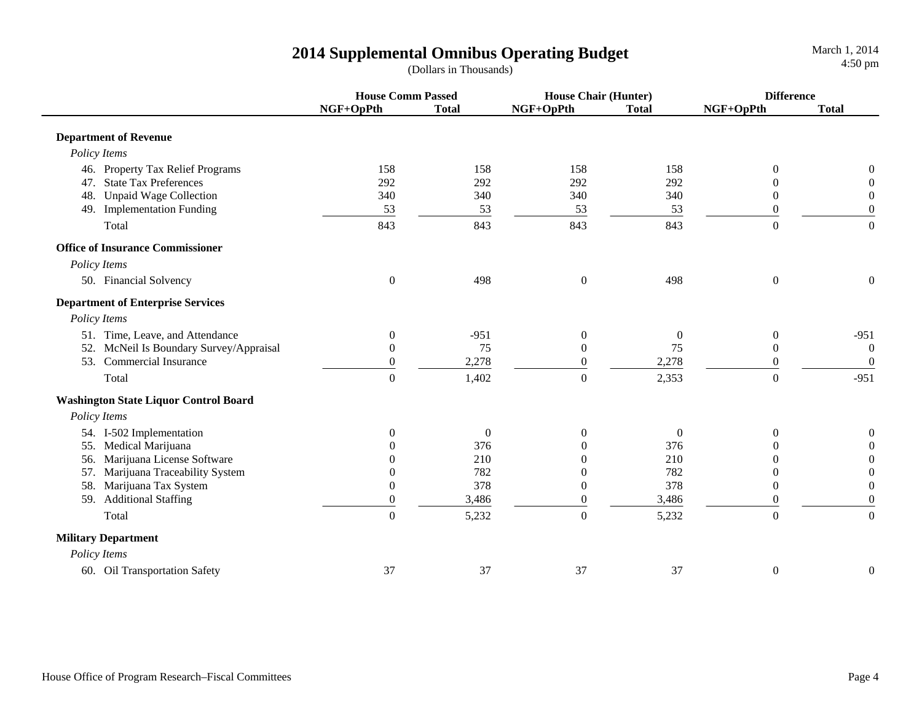|                                          | <b>House Comm Passed</b> |                  | <b>House Chair (Hunter)</b> |                  | <b>Difference</b> |                  |
|------------------------------------------|--------------------------|------------------|-----------------------------|------------------|-------------------|------------------|
|                                          | NGF+OpPth                | <b>Total</b>     | NGF+OpPth                   | <b>Total</b>     | NGF+OpPth         | <b>Total</b>     |
| <b>Department of Revenue</b>             |                          |                  |                             |                  |                   |                  |
| Policy Items                             |                          |                  |                             |                  |                   |                  |
| 46. Property Tax Relief Programs         | 158                      | 158              | 158                         | 158              | $\overline{0}$    | $\mathbf{0}$     |
| 47. State Tax Preferences                | 292                      | 292              | 292                         | 292              | $\Omega$          | $\boldsymbol{0}$ |
| <b>Unpaid Wage Collection</b><br>48.     | 340                      | 340              | 340                         | 340              | $\Omega$          | $\boldsymbol{0}$ |
| 49. Implementation Funding               | 53                       | 53               | 53                          | 53               | $\overline{0}$    | $\boldsymbol{0}$ |
| Total                                    | 843                      | 843              | 843                         | 843              | $\mathbf{0}$      | $\boldsymbol{0}$ |
| <b>Office of Insurance Commissioner</b>  |                          |                  |                             |                  |                   |                  |
| Policy Items                             |                          |                  |                             |                  |                   |                  |
| 50. Financial Solvency                   | $\boldsymbol{0}$         | 498              | $\boldsymbol{0}$            | 498              | $\boldsymbol{0}$  | $\boldsymbol{0}$ |
| <b>Department of Enterprise Services</b> |                          |                  |                             |                  |                   |                  |
| Policy Items                             |                          |                  |                             |                  |                   |                  |
| 51. Time, Leave, and Attendance          | $\boldsymbol{0}$         | $-951$           | $\boldsymbol{0}$            | $\overline{0}$   | $\mathbf{0}$      | $-951$           |
| 52. McNeil Is Boundary Survey/Appraisal  | $\theta$                 | 75               | $\boldsymbol{0}$            | 75               | $\mathbf{0}$      | $\boldsymbol{0}$ |
| 53. Commercial Insurance                 | $\overline{0}$           | 2,278            | $\boldsymbol{0}$            | 2,278            | $\mathbf{0}$      | $\mathbf{0}$     |
| Total                                    | $\Omega$                 | 1,402            | $\mathbf{0}$                | 2,353            | $\Omega$          | $-951$           |
| Washington State Liquor Control Board    |                          |                  |                             |                  |                   |                  |
| Policy Items                             |                          |                  |                             |                  |                   |                  |
| 54. I-502 Implementation                 | $\overline{0}$           | $\boldsymbol{0}$ | $\boldsymbol{0}$            | $\boldsymbol{0}$ | $\overline{0}$    | $\mathbf{0}$     |
| 55. Medical Marijuana                    |                          | 376              | $\overline{0}$              | 376              | $\theta$          | $\boldsymbol{0}$ |
| 56. Marijuana License Software           |                          | 210              | $\mathbf{0}$                | 210              | $\Omega$          | $\boldsymbol{0}$ |
| 57. Marijuana Traceability System        | 0                        | 782              | $\theta$                    | 782              | $\overline{0}$    | $\boldsymbol{0}$ |
| 58. Marijuana Tax System                 | $\theta$                 | 378              | $\mathbf{0}$                | 378              | $\overline{0}$    | $\boldsymbol{0}$ |
| 59. Additional Staffing                  | $\boldsymbol{0}$         | 3,486            | $\boldsymbol{0}$            | 3,486            | $\boldsymbol{0}$  | $\boldsymbol{0}$ |
| Total                                    | $\boldsymbol{0}$         | 5,232            | $\boldsymbol{0}$            | 5,232            | $\mathbf{0}$      | $\boldsymbol{0}$ |
| <b>Military Department</b>               |                          |                  |                             |                  |                   |                  |
| Policy Items                             |                          |                  |                             |                  |                   |                  |
| 60. Oil Transportation Safety            | 37                       | 37               | 37                          | 37               | $\boldsymbol{0}$  | $\boldsymbol{0}$ |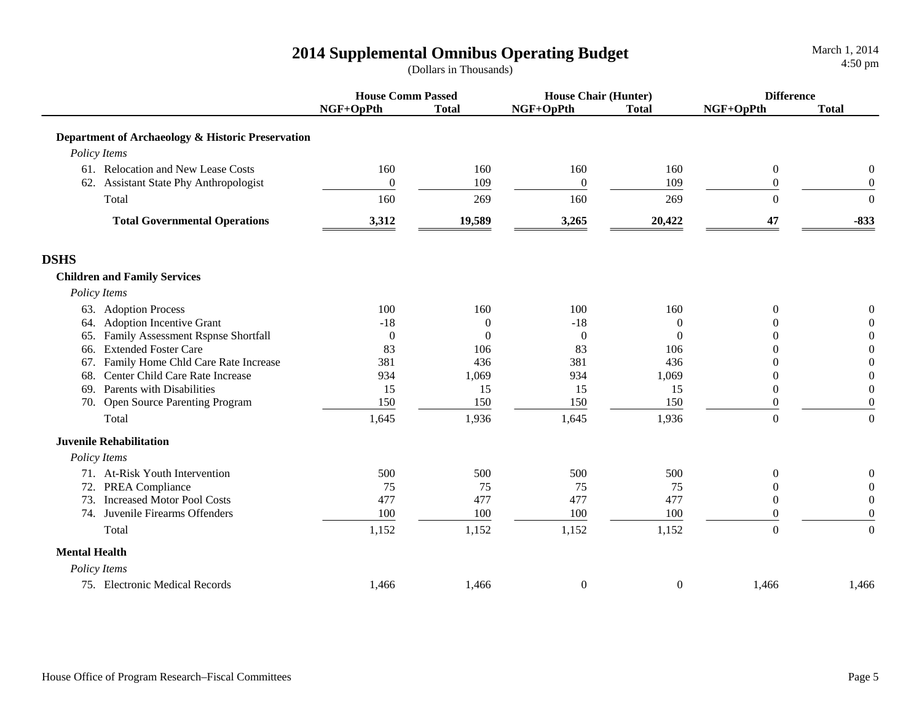|                                                   | <b>House Comm Passed</b> |                | <b>House Chair (Hunter)</b> |                  | <b>Difference</b> |                  |
|---------------------------------------------------|--------------------------|----------------|-----------------------------|------------------|-------------------|------------------|
|                                                   | NGF+OpPth                | <b>Total</b>   | NGF+OpPth                   | <b>Total</b>     | NGF+OpPth         | <b>Total</b>     |
| Department of Archaeology & Historic Preservation |                          |                |                             |                  |                   |                  |
| Policy Items                                      |                          |                |                             |                  |                   |                  |
| 61. Relocation and New Lease Costs                | 160                      | 160            | 160                         | 160              | $\boldsymbol{0}$  | 0                |
| 62. Assistant State Phy Anthropologist            | $\overline{0}$           | 109            | $\boldsymbol{0}$            | 109              | $\mathbf{0}$      | $\boldsymbol{0}$ |
| Total                                             | 160                      | 269            | 160                         | 269              | $\mathbf{0}$      | $\boldsymbol{0}$ |
| <b>Total Governmental Operations</b>              | 3,312                    | 19,589         | 3,265                       | 20,422           | 47                | $-833$           |
| <b>DSHS</b>                                       |                          |                |                             |                  |                   |                  |
| <b>Children and Family Services</b>               |                          |                |                             |                  |                   |                  |
| Policy Items                                      |                          |                |                             |                  |                   |                  |
| 63. Adoption Process                              | 100                      | 160            | 100                         | 160              | $\overline{0}$    | $\boldsymbol{0}$ |
| 64. Adoption Incentive Grant                      | $-18$                    | $\overline{0}$ | $-18$                       | $\boldsymbol{0}$ | 0                 | $\boldsymbol{0}$ |
| 65. Family Assessment Rspnse Shortfall            | $\theta$                 | $\Omega$       | $\boldsymbol{0}$            | $\overline{0}$   | $\Omega$          | $\boldsymbol{0}$ |
| <b>Extended Foster Care</b><br>66.                | 83                       | 106            | 83                          | 106              | $\Omega$          | $\boldsymbol{0}$ |
| Family Home Chld Care Rate Increase<br>67.        | 381                      | 436            | 381                         | 436              | $\theta$          | $\boldsymbol{0}$ |
| Center Child Care Rate Increase<br>68.            | 934                      | 1,069          | 934                         | 1,069            | $\theta$          | $\boldsymbol{0}$ |
| Parents with Disabilities<br>69.                  | 15                       | 15             | 15                          | 15               | $\overline{0}$    | $\boldsymbol{0}$ |
| 70. Open Source Parenting Program                 | 150                      | 150            | 150                         | 150              | 0                 | $\boldsymbol{0}$ |
| Total                                             | 1,645                    | 1,936          | 1,645                       | 1,936            | $\overline{0}$    | $\boldsymbol{0}$ |
| <b>Juvenile Rehabilitation</b>                    |                          |                |                             |                  |                   |                  |
| Policy Items                                      |                          |                |                             |                  |                   |                  |
| 71. At-Risk Youth Intervention                    | 500                      | 500            | 500                         | 500              | $\overline{0}$    | $\boldsymbol{0}$ |
| 72. PREA Compliance                               | 75                       | 75             | 75                          | 75               | $\Omega$          | $\mathbf{0}$     |
| <b>Increased Motor Pool Costs</b><br>73.          | 477                      | 477            | 477                         | 477              | $\Omega$          | $\mathbf{0}$     |
| 74. Juvenile Firearms Offenders                   | 100                      | 100            | 100                         | 100              | $\Omega$          | $\overline{0}$   |
| Total                                             | 1,152                    | 1,152          | 1,152                       | 1,152            | $\mathbf{0}$      | $\boldsymbol{0}$ |
| <b>Mental Health</b>                              |                          |                |                             |                  |                   |                  |
| Policy Items                                      |                          |                |                             |                  |                   |                  |
| 75. Electronic Medical Records                    | 1,466                    | 1,466          | $\boldsymbol{0}$            | $\boldsymbol{0}$ | 1,466             | 1,466            |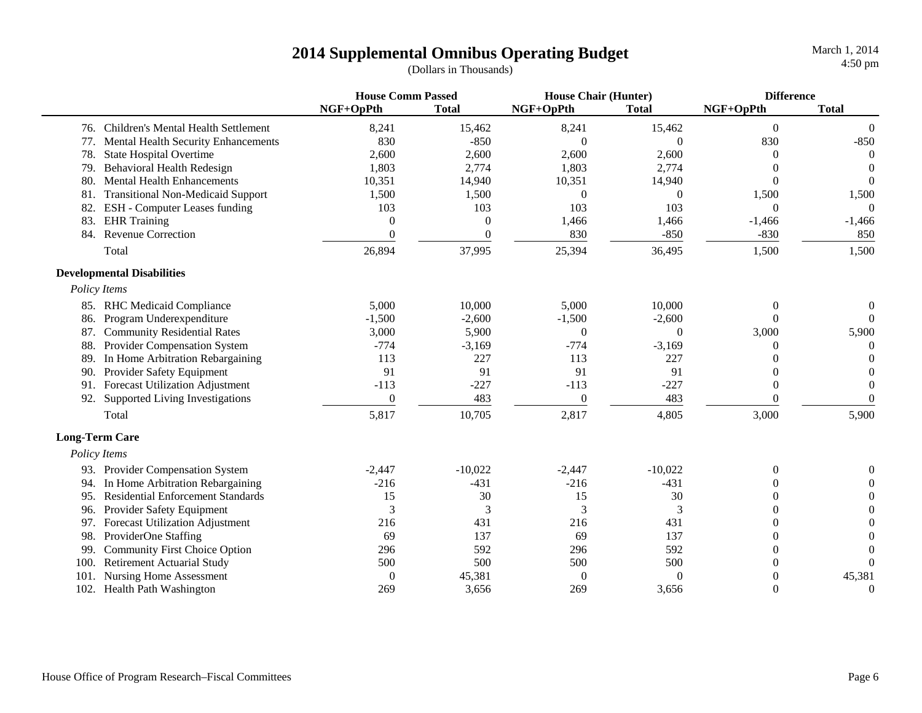|                       |                                          | <b>House Comm Passed</b> |              | <b>House Chair (Hunter)</b> |                  | <b>Difference</b> |              |
|-----------------------|------------------------------------------|--------------------------|--------------|-----------------------------|------------------|-------------------|--------------|
|                       |                                          | NGF+OpPth                | <b>Total</b> | NGF+OpPth                   | <b>Total</b>     | NGF+OpPth         | <b>Total</b> |
|                       | 76. Children's Mental Health Settlement  | 8,241                    | 15,462       | 8,241                       | 15,462           | $\Omega$          | $\Omega$     |
| 77.                   | Mental Health Security Enhancements      | 830                      | $-850$       | $\theta$                    | $\Omega$         | 830               | $-850$       |
| 78.                   | <b>State Hospital Overtime</b>           | 2,600                    | 2,600        | 2,600                       | 2,600            | $^{(1)}$          | $\theta$     |
| 79.                   | <b>Behavioral Health Redesign</b>        | 1,803                    | 2,774        | 1,803                       | 2,774            | $^{(1)}$          | $\theta$     |
| 80.                   | <b>Mental Health Enhancements</b>        | 10,351                   | 14,940       | 10,351                      | 14,940           | 0                 | $\theta$     |
| 81.                   | <b>Transitional Non-Medicaid Support</b> | 1,500                    | 1,500        | $\theta$                    | 0                | 1,500             | 1,500        |
| 82.                   | ESH - Computer Leases funding            | 103                      | 103          | 103                         | 103              | $\Omega$          | $\Omega$     |
| 83.                   | <b>EHR</b> Training                      | $\Omega$                 | $\Omega$     | 1,466                       | 1,466            | $-1,466$          | $-1,466$     |
| 84.                   | <b>Revenue Correction</b>                | $\Omega$                 | $\Omega$     | 830                         | $-850$           | $-830$            | 850          |
|                       | Total                                    | 26,894                   | 37,995       | 25,394                      | 36,495           | 1,500             | 1,500        |
|                       | <b>Developmental Disabilities</b>        |                          |              |                             |                  |                   |              |
|                       | Policy Items                             |                          |              |                             |                  |                   |              |
|                       | 85. RHC Medicaid Compliance              | 5,000                    | 10,000       | 5,000                       | 10,000           | $\overline{0}$    | $\Omega$     |
|                       | 86. Program Underexpenditure             | $-1,500$                 | $-2,600$     | $-1,500$                    | $-2,600$         | $\Omega$          | $\Omega$     |
|                       | 87. Community Residential Rates          | 3,000                    | 5,900        | $\mathbf{0}$                | $\Omega$         | 3,000             | 5,900        |
|                       | 88. Provider Compensation System         | $-774$                   | $-3,169$     | $-774$                      | $-3,169$         | $\theta$          | $\theta$     |
|                       | 89. In Home Arbitration Rebargaining     | 113                      | 227          | 113                         | 227              | $\Omega$          | $\Omega$     |
| 90.                   | Provider Safety Equipment                | 91                       | 91           | 91                          | 91               | $\theta$          | $\Omega$     |
|                       | 91. Forecast Utilization Adjustment      | $-113$                   | $-227$       | $-113$                      | $-227$           | $\theta$          | $\Omega$     |
| 92.                   | Supported Living Investigations          | $\boldsymbol{0}$         | 483          | $\mathbf{0}$                | 483              | $\Omega$          | $\Omega$     |
|                       | Total                                    | 5,817                    | 10,705       | 2,817                       | 4,805            | 3,000             | 5,900        |
| <b>Long-Term Care</b> |                                          |                          |              |                             |                  |                   |              |
|                       | Policy Items                             |                          |              |                             |                  |                   |              |
|                       | 93. Provider Compensation System         | $-2,447$                 | $-10,022$    | $-2,447$                    | $-10,022$        | $\theta$          |              |
| 94.                   | In Home Arbitration Rebargaining         | $-216$                   | $-431$       | $-216$                      | $-431$           | 0                 |              |
| 95.                   | <b>Residential Enforcement Standards</b> | 15                       | 30           | 15                          | 30               | 0                 | 0            |
| 96.                   | Provider Safety Equipment                | 3                        | 3            | 3                           | 3                | 0                 |              |
| 97.                   | <b>Forecast Utilization Adjustment</b>   | 216                      | 431          | 216                         | 431              | 0                 |              |
| 98.                   | ProviderOne Staffing                     | 69                       | 137          | 69                          | 137              | 0                 |              |
| 99                    | <b>Community First Choice Option</b>     | 296                      | 592          | 296                         | 592              | $\overline{0}$    |              |
| 100.                  | <b>Retirement Actuarial Study</b>        | 500                      | 500          | 500                         | 500              | $\overline{0}$    | $\Omega$     |
| 101.                  | Nursing Home Assessment                  | $\boldsymbol{0}$         | 45,381       | $\theta$                    | $\boldsymbol{0}$ | $\overline{0}$    | 45,381       |
|                       | 102. Health Path Washington              | 269                      | 3,656        | 269                         | 3,656            | $\theta$          | $\theta$     |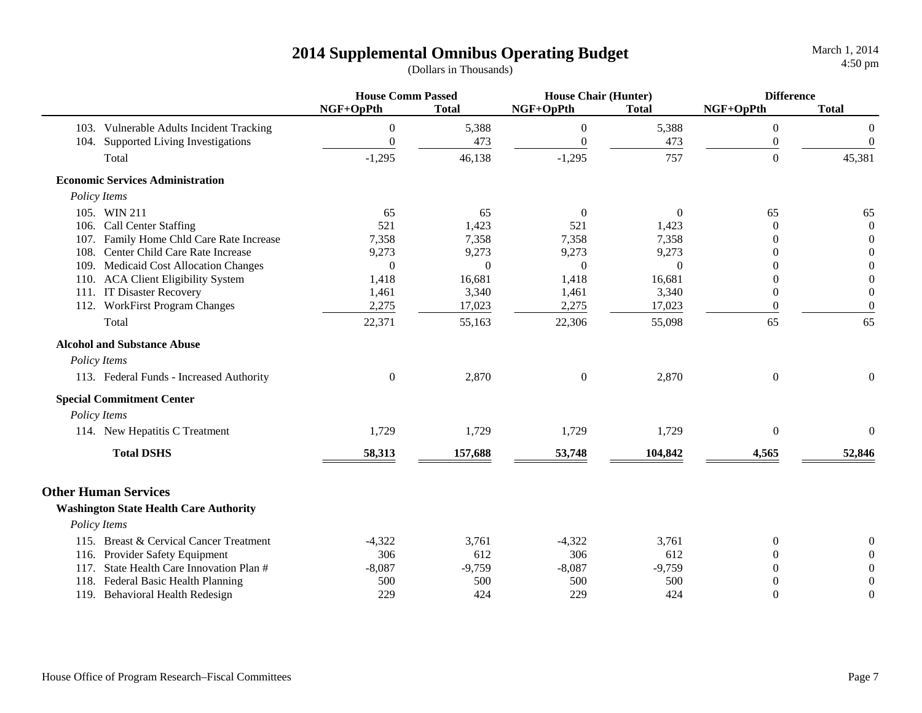|                                               | <b>House Comm Passed</b> |              | <b>House Chair (Hunter)</b> |                | <b>Difference</b> |                  |
|-----------------------------------------------|--------------------------|--------------|-----------------------------|----------------|-------------------|------------------|
|                                               | NGF+OpPth                | <b>Total</b> | NGF+OpPth                   | <b>Total</b>   | NGF+OpPth         | <b>Total</b>     |
| 103. Vulnerable Adults Incident Tracking      | $\theta$                 | 5,388        | $\boldsymbol{0}$            | 5,388          | $\boldsymbol{0}$  | $\boldsymbol{0}$ |
| 104. Supported Living Investigations          | $\theta$                 | 473          | $\overline{0}$              | 473            | $\boldsymbol{0}$  | $\boldsymbol{0}$ |
| Total                                         | $-1,295$                 | 46,138       | $-1,295$                    | 757            | $\boldsymbol{0}$  | 45,381           |
| <b>Economic Services Administration</b>       |                          |              |                             |                |                   |                  |
| Policy Items                                  |                          |              |                             |                |                   |                  |
| 105. WIN 211                                  | 65                       | 65           | $\mathbf{0}$                | $\overline{0}$ | 65                | 65               |
| 106. Call Center Staffing                     | 521                      | 1,423        | 521                         | 1,423          | $\Omega$          | $\Omega$         |
| 107. Family Home Chld Care Rate Increase      | 7,358                    | 7,358        | 7,358                       | 7,358          | $\theta$          | $\theta$         |
| 108. Center Child Care Rate Increase          | 9,273                    | 9,273        | 9,273                       | 9,273          | $\overline{0}$    | $\theta$         |
| 109. Medicaid Cost Allocation Changes         | $\theta$                 | $\Omega$     | $\Omega$                    | $\Omega$       | $\Omega$          | $\theta$         |
| 110. ACA Client Eligibility System            | 1,418                    | 16,681       | 1,418                       | 16,681         | $\overline{0}$    | $\overline{0}$   |
| 111. IT Disaster Recovery                     | 1,461                    | 3,340        | 1,461                       | 3,340          | $\theta$          | $\boldsymbol{0}$ |
| 112. WorkFirst Program Changes                | 2,275                    | 17,023       | 2,275                       | 17,023         | $\theta$          | $\boldsymbol{0}$ |
| Total                                         | 22,371                   | 55,163       | 22,306                      | 55,098         | 65                | 65               |
| <b>Alcohol and Substance Abuse</b>            |                          |              |                             |                |                   |                  |
| Policy Items                                  |                          |              |                             |                |                   |                  |
| 113. Federal Funds - Increased Authority      | $\mathbf{0}$             | 2,870        | $\boldsymbol{0}$            | 2,870          | $\overline{0}$    | $\mathbf{0}$     |
| <b>Special Commitment Center</b>              |                          |              |                             |                |                   |                  |
| Policy Items                                  |                          |              |                             |                |                   |                  |
| 114. New Hepatitis C Treatment                | 1,729                    | 1,729        | 1,729                       | 1,729          | $\boldsymbol{0}$  | $\boldsymbol{0}$ |
| <b>Total DSHS</b>                             | 58,313                   | 157,688      | 53,748                      | 104,842        | 4,565             | 52,846           |
| <b>Other Human Services</b>                   |                          |              |                             |                |                   |                  |
| <b>Washington State Health Care Authority</b> |                          |              |                             |                |                   |                  |
| Policy Items                                  |                          |              |                             |                |                   |                  |
| 115. Breast & Cervical Cancer Treatment       | $-4,322$                 | 3,761        | $-4,322$                    | 3,761          | $\theta$          |                  |
| 116. Provider Safety Equipment                | 306                      | 612          | 306                         | 612            | $\Omega$          | $\Omega$         |
| 117. State Health Care Innovation Plan #      | $-8,087$                 | $-9,759$     | $-8,087$                    | $-9,759$       | $\theta$          | $\Omega$         |
| 118. Federal Basic Health Planning            | 500                      | 500          | 500                         | 500            | $\theta$          | $\Omega$         |
| 119. Behavioral Health Redesign               | 229                      | 424          | 229                         | 424            | $\theta$          | $\theta$         |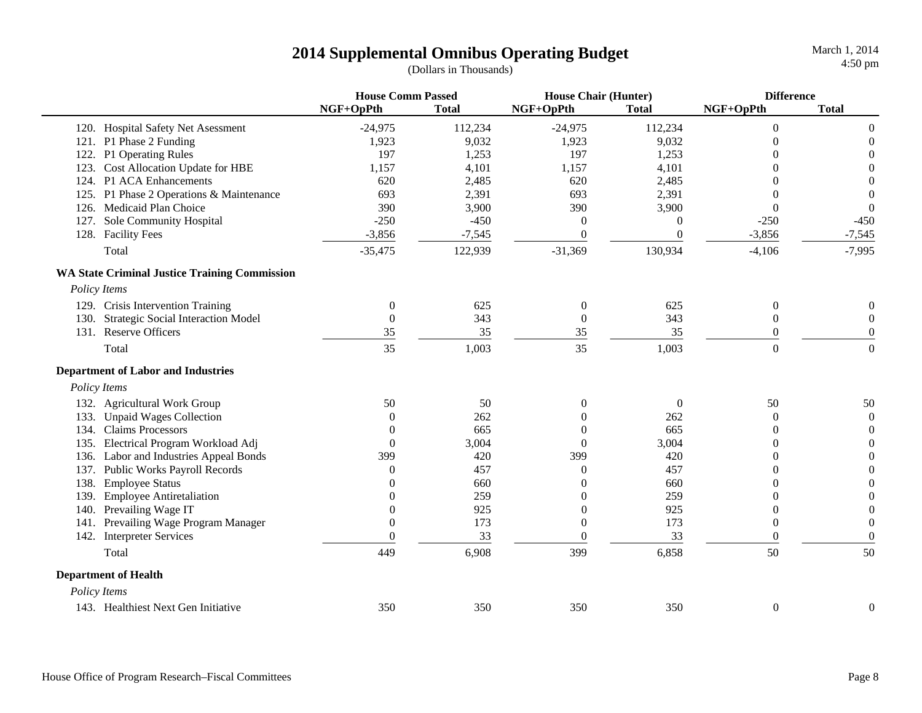|                                                      | <b>House Comm Passed</b> |              | <b>House Chair (Hunter)</b> |                  | <b>Difference</b> |                  |
|------------------------------------------------------|--------------------------|--------------|-----------------------------|------------------|-------------------|------------------|
|                                                      | NGF+OpPth                | <b>Total</b> | NGF+OpPth                   | <b>Total</b>     | NGF+OpPth         | <b>Total</b>     |
| 120. Hospital Safety Net Asessment                   | $-24,975$                | 112,234      | $-24,975$                   | 112,234          | $\theta$          | $\mathbf{0}$     |
| 121. P1 Phase 2 Funding                              | 1,923                    | 9,032        | 1,923                       | 9,032            | $\Omega$          | $\theta$         |
| 122. P1 Operating Rules                              | 197                      | 1,253        | 197                         | 1,253            |                   | $\boldsymbol{0}$ |
| 123. Cost Allocation Update for HBE                  | 1,157                    | 4,101        | 1,157                       | 4,101            | 0                 | $\Omega$         |
| 124. P1 ACA Enhancements                             | 620                      | 2,485        | 620                         | 2,485            | 0                 | $\Omega$         |
| 125. P1 Phase 2 Operations & Maintenance             | 693                      | 2,391        | 693                         | 2,391            |                   | $\theta$         |
| 126. Medicaid Plan Choice                            | 390                      | 3,900        | 390                         | 3,900            | $\theta$          | $\mathbf{0}$     |
| 127. Sole Community Hospital                         | $-250$                   | $-450$       | $\mathbf{0}$                | $\boldsymbol{0}$ | $-250$            | $-450$           |
| 128. Facility Fees                                   | $-3,856$                 | $-7,545$     | $\overline{0}$              | $\overline{0}$   | $-3,856$          | $-7,545$         |
| Total                                                | $-35,475$                | 122,939      | $-31,369$                   | 130,934          | $-4,106$          | $-7,995$         |
| <b>WA State Criminal Justice Training Commission</b> |                          |              |                             |                  |                   |                  |
| Policy Items                                         |                          |              |                             |                  |                   |                  |
| 129. Crisis Intervention Training                    | $\boldsymbol{0}$         | 625          | $\boldsymbol{0}$            | 625              | $\boldsymbol{0}$  | $\boldsymbol{0}$ |
| 130. Strategic Social Interaction Model              | $\boldsymbol{0}$         | 343          | $\boldsymbol{0}$            | 343              | $\boldsymbol{0}$  | $\boldsymbol{0}$ |
| 131. Reserve Officers                                | 35                       | 35           | 35                          | 35               | 0                 | $\boldsymbol{0}$ |
| Total                                                | 35                       | 1,003        | 35                          | 1,003            | $\overline{0}$    | $\Omega$         |
| <b>Department of Labor and Industries</b>            |                          |              |                             |                  |                   |                  |
| Policy Items                                         |                          |              |                             |                  |                   |                  |
| 132. Agricultural Work Group                         | 50                       | 50           | $\theta$                    | $\overline{0}$   | 50                | 50               |
| 133. Unpaid Wages Collection                         | $\Omega$                 | 262          | 0                           | 262              | 0                 | $\boldsymbol{0}$ |
| 134. Claims Processors                               | $\Omega$                 | 665          | 0                           | 665              | $\Omega$          | $\theta$         |
| 135. Electrical Program Workload Adj                 | $\theta$                 | 3,004        | $\mathbf{0}$                | 3,004            | 0                 | $\boldsymbol{0}$ |
| 136. Labor and Industries Appeal Bonds               | 399                      | 420          | 399                         | 420              | $\theta$          | $\Omega$         |
| 137. Public Works Payroll Records                    | $\theta$                 | 457          | $\theta$                    | 457              | $\theta$          | $\theta$         |
| 138. Employee Status                                 | $\Omega$                 | 660          | $\theta$                    | 660              | $\theta$          | $\theta$         |
| 139. Employee Antiretaliation                        |                          | 259          | 0                           | 259              | $\overline{0}$    | $\theta$         |
| Prevailing Wage IT<br>140.                           | 0                        | 925          | 0                           | 925              | $\overline{0}$    | $\boldsymbol{0}$ |
| 141. Prevailing Wage Program Manager                 | $\mathbf{0}$             | 173          | $\mathbf{0}$                | 173              | $\overline{0}$    | $\boldsymbol{0}$ |
| 142. Interpreter Services                            | $\theta$                 | 33           | $\Omega$                    | 33               | $\Omega$          | $\boldsymbol{0}$ |
| Total                                                | 449                      | 6,908        | 399                         | 6,858            | 50                | 50               |
| <b>Department of Health</b>                          |                          |              |                             |                  |                   |                  |
| Policy Items                                         |                          |              |                             |                  |                   |                  |
| 143. Healthiest Next Gen Initiative                  | 350                      | 350          | 350                         | 350              | $\boldsymbol{0}$  | $\boldsymbol{0}$ |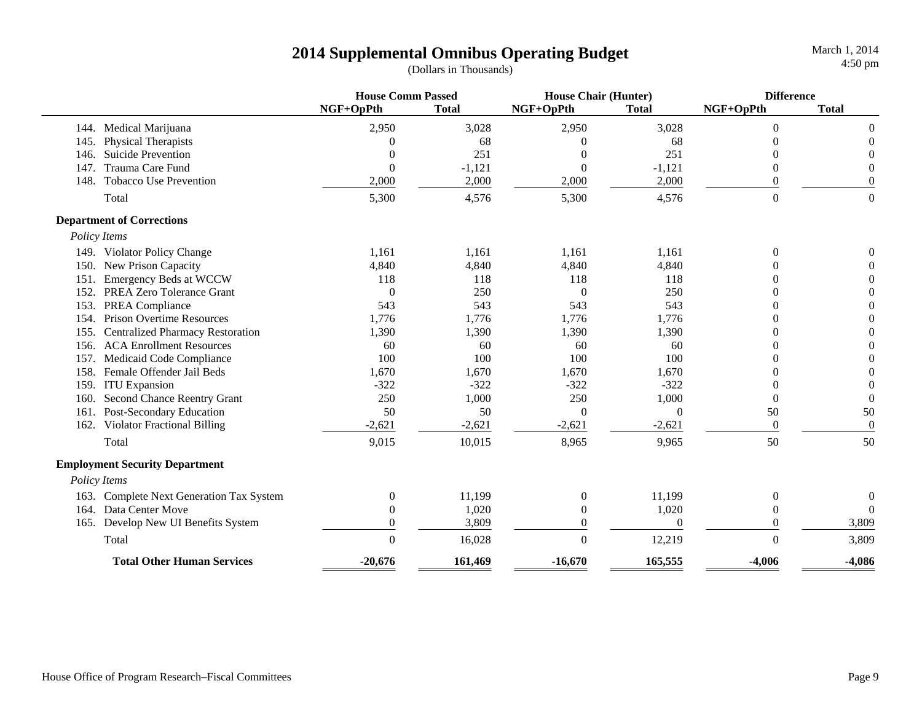|      |                                          | <b>House Comm Passed</b> |              | <b>House Chair (Hunter)</b> |              | <b>Difference</b> |                  |
|------|------------------------------------------|--------------------------|--------------|-----------------------------|--------------|-------------------|------------------|
|      |                                          | NGF+OpPth                | <b>Total</b> | NGF+OpPth                   | <b>Total</b> | NGF+OpPth         | <b>Total</b>     |
|      | 144. Medical Marijuana                   | 2,950                    | 3,028        | 2,950                       | 3,028        | $\overline{0}$    | $\Omega$         |
| 145. | Physical Therapists                      | $\Omega$                 | 68           | $\Omega$                    | 68           | 0                 | $\Omega$         |
| 146. | Suicide Prevention                       | $\theta$                 | 251          |                             | 251          | 0                 |                  |
| 147. | Trauma Care Fund                         | $\overline{0}$           | $-1,121$     | $\mathbf{0}$                | $-1,121$     | $\Omega$          |                  |
| 148. | Tobacco Use Prevention                   | 2,000                    | 2,000        | 2,000                       | 2,000        | $\theta$          | $\Omega$         |
|      | Total                                    | 5,300                    | 4,576        | 5,300                       | 4,576        | $\overline{0}$    | $\Omega$         |
|      | <b>Department of Corrections</b>         |                          |              |                             |              |                   |                  |
|      | Policy Items                             |                          |              |                             |              |                   |                  |
|      | 149. Violator Policy Change              | 1,161                    | 1,161        | 1,161                       | 1,161        | $\theta$          | $\overline{0}$   |
| 150. | New Prison Capacity                      | 4,840                    | 4,840        | 4,840                       | 4,840        | 0                 | $\Omega$         |
| 151  | Emergency Beds at WCCW                   | 118                      | 118          | 118                         | 118          | 0                 | $\Omega$         |
| 152. | PREA Zero Tolerance Grant                | $\theta$                 | 250          | $\theta$                    | 250          | 0                 | $\Omega$         |
| 153. | PREA Compliance                          | 543                      | 543          | 543                         | 543          | 0                 | $\theta$         |
| 154. | <b>Prison Overtime Resources</b>         | 1,776                    | 1,776        | 1,776                       | 1,776        | $\Omega$          | $\theta$         |
| 155. | <b>Centralized Pharmacy Restoration</b>  | 1,390                    | 1,390        | 1,390                       | 1,390        | $\Omega$          | $\theta$         |
| 156. | <b>ACA Enrollment Resources</b>          | 60                       | 60           | 60                          | 60           | 0                 | $\Omega$         |
| 157. | Medicaid Code Compliance                 | 100                      | 100          | 100                         | 100          | 0                 | $\Omega$         |
| 158. | Female Offender Jail Beds                | 1,670                    | 1,670        | 1,670                       | 1,670        | 0                 | $\Omega$         |
| 159  | <b>ITU</b> Expansion                     | $-322$                   | $-322$       | $-322$                      | $-322$       | 0                 | $\theta$         |
| 160. | Second Chance Reentry Grant              | 250                      | 1,000        | 250                         | 1,000        | $\theta$          | $\theta$         |
| 161. | Post-Secondary Education                 | 50                       | 50           | $\Omega$                    | $\Omega$     | 50                | 50               |
|      | 162. Violator Fractional Billing         | $-2,621$                 | $-2,621$     | $-2,621$                    | $-2,621$     | $\mathbf{0}$      | $\boldsymbol{0}$ |
|      | Total                                    | 9,015                    | 10,015       | 8,965                       | 9,965        | 50                | 50               |
|      | <b>Employment Security Department</b>    |                          |              |                             |              |                   |                  |
|      | Policy Items                             |                          |              |                             |              |                   |                  |
|      | 163. Complete Next Generation Tax System | $\overline{0}$           | 11,199       | $\mathbf{0}$                | 11,199       | $\boldsymbol{0}$  | $\mathbf{0}$     |
| 164. | Data Center Move                         | $\theta$                 | 1,020        | $\overline{0}$              | 1,020        | $\theta$          | $\Omega$         |
|      | 165. Develop New UI Benefits System      | $\theta$                 | 3,809        | $\overline{0}$              | $\Omega$     | $\Omega$          | 3,809            |
|      | Total                                    | $\Omega$                 | 16,028       | $\theta$                    | 12,219       | $\Omega$          | 3,809            |
|      | <b>Total Other Human Services</b>        | $-20,676$                | 161,469      | $-16,670$                   | 165,555      | $-4.006$          | $-4,086$         |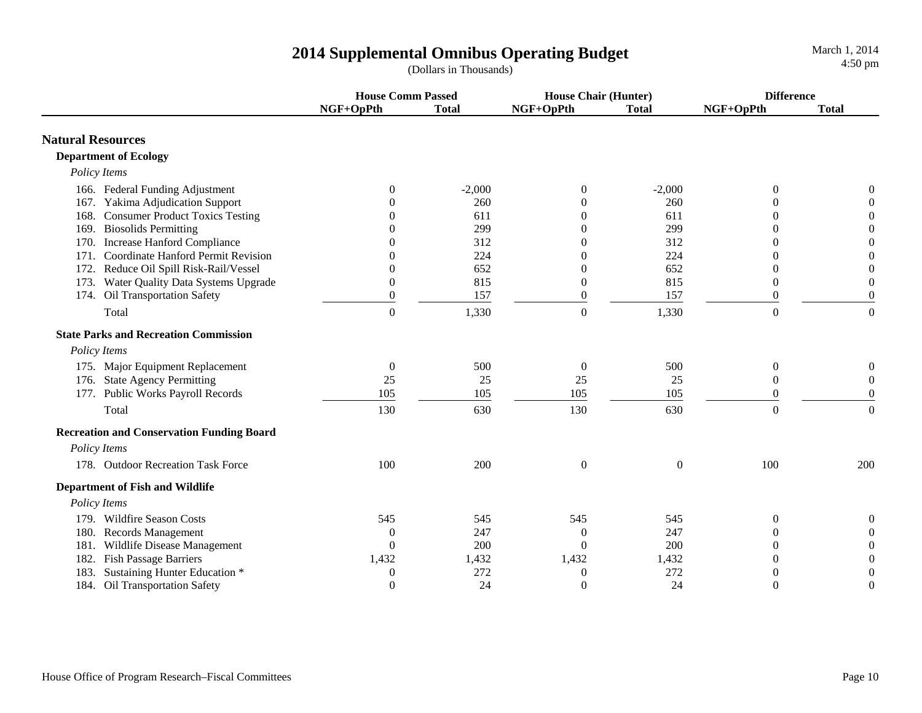|                                                  | <b>House Comm Passed</b> |              | <b>House Chair (Hunter)</b> |                  | <b>Difference</b> |                  |
|--------------------------------------------------|--------------------------|--------------|-----------------------------|------------------|-------------------|------------------|
|                                                  | NGF+OpPth                | <b>Total</b> | NGF+OpPth                   | <b>Total</b>     | NGF+OpPth         | <b>Total</b>     |
| <b>Natural Resources</b>                         |                          |              |                             |                  |                   |                  |
| <b>Department of Ecology</b>                     |                          |              |                             |                  |                   |                  |
| Policy Items                                     |                          |              |                             |                  |                   |                  |
| 166. Federal Funding Adjustment                  | $\Omega$                 | $-2,000$     | $\overline{0}$              | $-2,000$         | $\mathbf{0}$      | 0                |
| 167. Yakima Adjudication Support                 |                          | 260          | $\theta$                    | 260              | 0                 | $\Omega$         |
| 168. Consumer Product Toxics Testing             | 0                        | 611          | $\Omega$                    | 611              | $\Omega$          | $\Omega$         |
| 169. Biosolids Permitting                        |                          | 299          | $\Omega$                    | 299              | $\Omega$          | $\theta$         |
| 170. Increase Hanford Compliance                 |                          | 312          | $\Omega$                    | 312              | $\Omega$          | $\overline{0}$   |
| 171. Coordinate Hanford Permit Revision          |                          | 224          | $\overline{0}$              | 224              | $\Omega$          | $\Omega$         |
| 172. Reduce Oil Spill Risk-Rail/Vessel           | 0                        | 652          | $\Omega$                    | 652              | $\Omega$          | $\Omega$         |
| 173. Water Quality Data Systems Upgrade          | $\theta$                 | 815          | $\overline{0}$              | 815              | $\boldsymbol{0}$  | $\theta$         |
| 174. Oil Transportation Safety                   | $\boldsymbol{0}$         | 157          | $\boldsymbol{0}$            | 157              | $\boldsymbol{0}$  | $\boldsymbol{0}$ |
| Total                                            | $\overline{0}$           | 1,330        | $\boldsymbol{0}$            | 1,330            | $\boldsymbol{0}$  | $\boldsymbol{0}$ |
| <b>State Parks and Recreation Commission</b>     |                          |              |                             |                  |                   |                  |
| Policy Items                                     |                          |              |                             |                  |                   |                  |
| 175. Major Equipment Replacement                 | $\boldsymbol{0}$         | 500          | $\boldsymbol{0}$            | 500              | $\boldsymbol{0}$  | $\boldsymbol{0}$ |
| 176. State Agency Permitting                     | 25                       | 25           | 25                          | 25               | $\boldsymbol{0}$  | $\theta$         |
| 177. Public Works Payroll Records                | 105                      | 105          | 105                         | 105              | $\Omega$          | $\theta$         |
| Total                                            | 130                      | 630          | 130                         | 630              | $\boldsymbol{0}$  | $\boldsymbol{0}$ |
| <b>Recreation and Conservation Funding Board</b> |                          |              |                             |                  |                   |                  |
| Policy Items                                     |                          |              |                             |                  |                   |                  |
| 178. Outdoor Recreation Task Force               | 100                      | 200          | $\boldsymbol{0}$            | $\boldsymbol{0}$ | 100               | 200              |
| <b>Department of Fish and Wildlife</b>           |                          |              |                             |                  |                   |                  |
| Policy Items                                     |                          |              |                             |                  |                   |                  |
| 179. Wildfire Season Costs                       | 545                      | 545          | 545                         | 545              | $\theta$          | 0                |
| 180. Records Management                          | $\Omega$                 | 247          | $\overline{0}$              | 247              | $\Omega$          | $\Omega$         |
| 181. Wildlife Disease Management                 | $\Omega$                 | 200          | $\Omega$                    | 200              | $\Omega$          | $\Omega$         |
| 182. Fish Passage Barriers                       | 1,432                    | 1,432        | 1,432                       | 1,432            | $\Omega$          | $\Omega$         |
| 183. Sustaining Hunter Education *               | $\boldsymbol{0}$         | 272          | $\boldsymbol{0}$            | 272              | 0                 | $\overline{0}$   |
| 184. Oil Transportation Safety                   | $\boldsymbol{0}$         | 24           | $\boldsymbol{0}$            | 24               | $\theta$          | $\theta$         |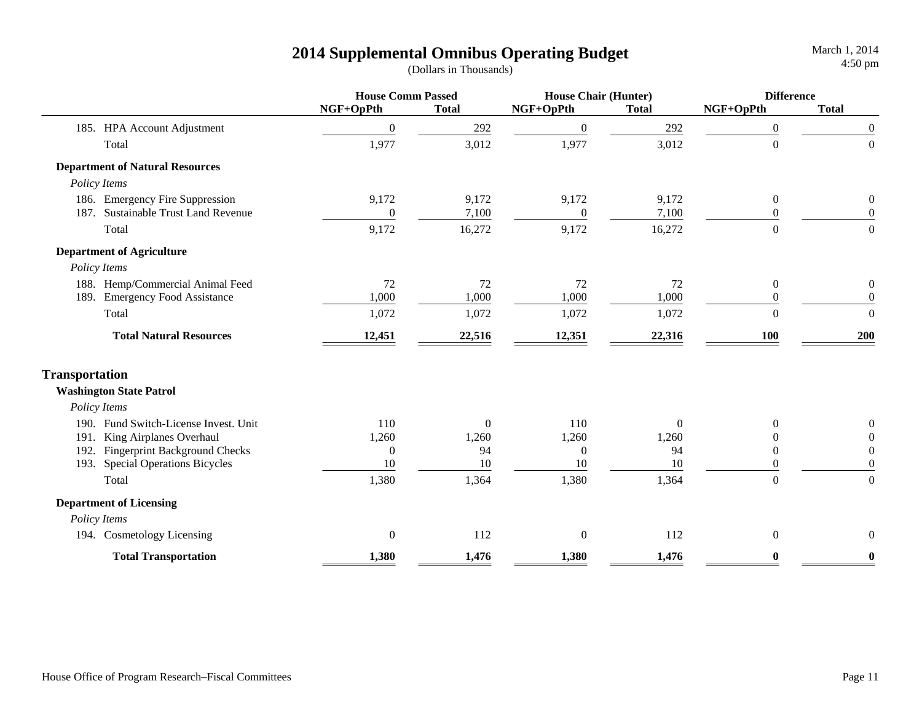|                                               | <b>House Comm Passed</b> |              | <b>House Chair (Hunter)</b> |                | <b>Difference</b> |                  |
|-----------------------------------------------|--------------------------|--------------|-----------------------------|----------------|-------------------|------------------|
|                                               | NGF+OpPth                | <b>Total</b> | NGF+OpPth                   | <b>Total</b>   | NGF+OpPth         | <b>Total</b>     |
| 185. HPA Account Adjustment                   | $\theta$                 | 292          | $\boldsymbol{0}$            | 292            | $\boldsymbol{0}$  | $\boldsymbol{0}$ |
| Total                                         | 1,977                    | 3,012        | 1,977                       | 3,012          | $\overline{0}$    | $\overline{0}$   |
| <b>Department of Natural Resources</b>        |                          |              |                             |                |                   |                  |
| Policy Items                                  |                          |              |                             |                |                   |                  |
| 186. Emergency Fire Suppression               | 9,172                    | 9,172        | 9,172                       | 9,172          | $\mathbf{0}$      | $\boldsymbol{0}$ |
| <b>Sustainable Trust Land Revenue</b><br>187. | $\overline{0}$           | 7,100        | $\boldsymbol{0}$            | 7,100          | $\theta$          | $\mathbf{0}$     |
| Total                                         | 9,172                    | 16,272       | 9,172                       | 16,272         | $\boldsymbol{0}$  | $\overline{0}$   |
| <b>Department of Agriculture</b>              |                          |              |                             |                |                   |                  |
| Policy Items                                  |                          |              |                             |                |                   |                  |
| 188. Hemp/Commercial Animal Feed              | 72                       | 72           | 72                          | 72             | $\theta$          | $\boldsymbol{0}$ |
| 189. Emergency Food Assistance                | 1,000                    | 1,000        | 1,000                       | 1,000          | $\theta$          | $\boldsymbol{0}$ |
| Total                                         | 1,072                    | 1,072        | 1,072                       | 1,072          | $\theta$          | $\overline{0}$   |
| <b>Total Natural Resources</b>                | 12,451                   | 22,516       | 12,351                      | 22,316         | 100               | 200              |
| <b>Transportation</b>                         |                          |              |                             |                |                   |                  |
| <b>Washington State Patrol</b>                |                          |              |                             |                |                   |                  |
| Policy Items                                  |                          |              |                             |                |                   |                  |
| 190. Fund Switch-License Invest. Unit         | 110                      | $\Omega$     | 110                         | $\overline{0}$ | $\theta$          | 0                |
| King Airplanes Overhaul<br>191.               | 1,260                    | 1,260        | 1,260                       | 1,260          | $\overline{0}$    | $\theta$         |
| 192. Fingerprint Background Checks            | $\boldsymbol{0}$         | 94           | $\boldsymbol{0}$            | 94             | $\boldsymbol{0}$  | $\mathbf{0}$     |
| 193. Special Operations Bicycles              | 10                       | 10           | 10                          | 10             | $\theta$          | $\mathbf{0}$     |
| Total                                         | 1,380                    | 1,364        | 1,380                       | 1,364          | $\overline{0}$    | $\boldsymbol{0}$ |
| <b>Department of Licensing</b>                |                          |              |                             |                |                   |                  |
| Policy Items                                  |                          |              |                             |                |                   |                  |
| 194. Cosmetology Licensing                    | $\mathbf{0}$             | 112          | $\boldsymbol{0}$            | 112            | $\theta$          | $\mathbf{0}$     |
| <b>Total Transportation</b>                   | 1,380                    | 1,476        | 1,380                       | 1,476          | $\bf{0}$          | $\bf{0}$         |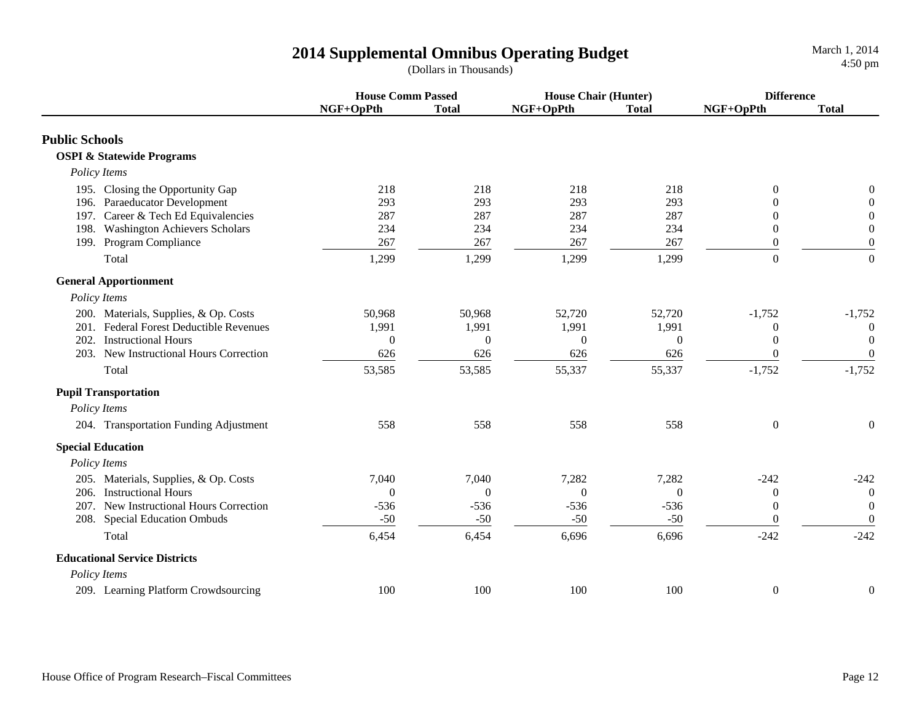|                                                                                                          | <b>House Comm Passed</b> |                   | <b>House Chair (Hunter)</b> |                   | <b>Difference</b>                    |                                                      |
|----------------------------------------------------------------------------------------------------------|--------------------------|-------------------|-----------------------------|-------------------|--------------------------------------|------------------------------------------------------|
|                                                                                                          | NGF+OpPth                | <b>Total</b>      | NGF+OpPth                   | <b>Total</b>      | NGF+OpPth                            | <b>Total</b>                                         |
| <b>Public Schools</b>                                                                                    |                          |                   |                             |                   |                                      |                                                      |
| <b>OSPI &amp; Statewide Programs</b>                                                                     |                          |                   |                             |                   |                                      |                                                      |
| Policy Items                                                                                             |                          |                   |                             |                   |                                      |                                                      |
| 195. Closing the Opportunity Gap<br>196. Paraeducator Development<br>197. Career & Tech Ed Equivalencies | 218<br>293<br>287        | 218<br>293<br>287 | 218<br>293<br>287           | 218<br>293<br>287 | $\mathbf{0}$<br>$\Omega$<br>$\theta$ | $\boldsymbol{0}$<br>$\mathbf{0}$<br>$\boldsymbol{0}$ |
| <b>Washington Achievers Scholars</b><br>198.                                                             | 234                      | 234               | 234                         | 234               | $\mathbf{0}$                         | $\boldsymbol{0}$                                     |
| 199. Program Compliance                                                                                  | 267                      | 267               | 267                         | 267               | $\mathbf{0}$                         | $\boldsymbol{0}$                                     |
| Total                                                                                                    | 1,299                    | 1,299             | 1,299                       | 1,299             | $\Omega$                             | $\mathbf{0}$                                         |
| <b>General Apportionment</b>                                                                             |                          |                   |                             |                   |                                      |                                                      |
| Policy Items                                                                                             |                          |                   |                             |                   |                                      |                                                      |
| 200. Materials, Supplies, & Op. Costs<br>201. Federal Forest Deductible Revenues                         | 50,968<br>1,991          | 50,968<br>1,991   | 52,720<br>1,991             | 52,720<br>1,991   | $-1,752$                             | $-1,752$<br>$\theta$                                 |
| 202.<br><b>Instructional Hours</b>                                                                       | $\theta$                 | $\Omega$          | $\overline{0}$              | $\theta$          | $\theta$<br>$\theta$                 | $\theta$                                             |
| 203. New Instructional Hours Correction                                                                  | 626                      | 626               | 626                         | 626               | $\overline{0}$                       | $\boldsymbol{0}$                                     |
| Total                                                                                                    | 53,585                   | 53,585            | 55,337                      | 55,337            | $-1,752$                             | $-1,752$                                             |
| <b>Pupil Transportation</b>                                                                              |                          |                   |                             |                   |                                      |                                                      |
| Policy Items                                                                                             |                          |                   |                             |                   |                                      |                                                      |
| 204. Transportation Funding Adjustment                                                                   | 558                      | 558               | 558                         | 558               | $\theta$                             | $\mathbf{0}$                                         |
| <b>Special Education</b>                                                                                 |                          |                   |                             |                   |                                      |                                                      |
| Policy Items                                                                                             |                          |                   |                             |                   |                                      |                                                      |
| 205. Materials, Supplies, & Op. Costs                                                                    | 7,040                    | 7,040             | 7,282                       | 7,282             | $-242$                               | $-242$                                               |
| 206. Instructional Hours                                                                                 | $\overline{0}$           | $\Omega$          | $\mathbf{0}$                | $\Omega$          | $\boldsymbol{0}$                     | $\overline{0}$                                       |
| 207. New Instructional Hours Correction                                                                  | $-536$                   | $-536$            | $-536$                      | $-536$            | $\mathbf{0}$                         | $\overline{0}$                                       |
| 208. Special Education Ombuds                                                                            | $-50$                    | $-50$             | $-50$                       | $-50$             | $\Omega$                             | $\mathbf{0}$                                         |
| Total                                                                                                    | 6,454                    | 6,454             | 6,696                       | 6,696             | $-242$                               | $-242$                                               |
| <b>Educational Service Districts</b>                                                                     |                          |                   |                             |                   |                                      |                                                      |
| Policy Items                                                                                             |                          |                   |                             |                   |                                      |                                                      |
| 209. Learning Platform Crowdsourcing                                                                     | 100                      | 100               | 100                         | 100               | $\boldsymbol{0}$                     | $\boldsymbol{0}$                                     |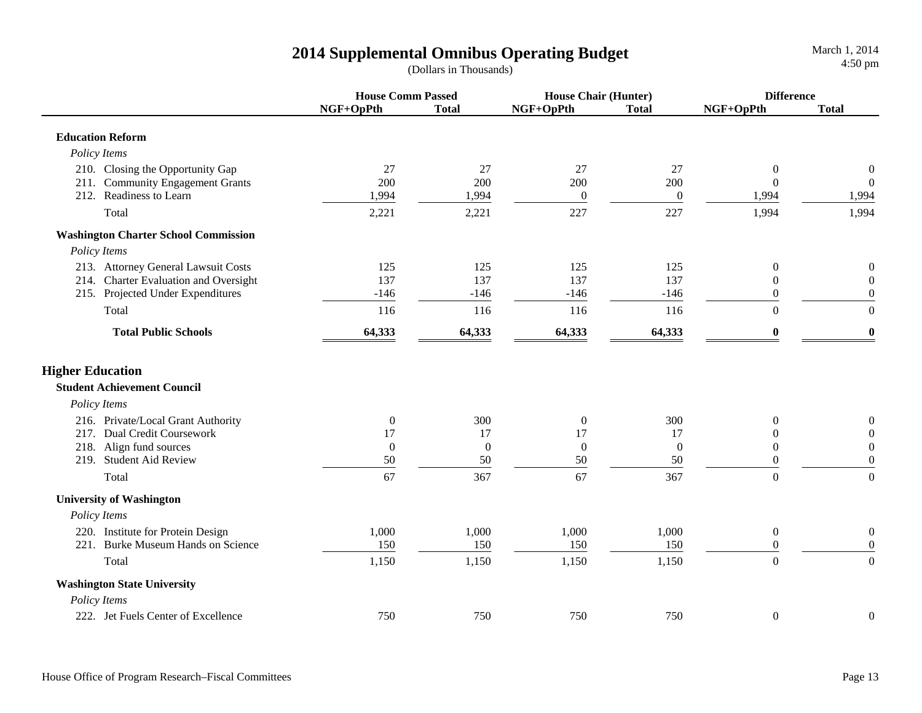|                                             |              | <b>House Comm Passed</b> |                  | <b>House Chair (Hunter)</b> |                  | <b>Difference</b> |  |
|---------------------------------------------|--------------|--------------------------|------------------|-----------------------------|------------------|-------------------|--|
|                                             | NGF+OpPth    | <b>Total</b>             | NGF+OpPth        | <b>Total</b>                | NGF+OpPth        | <b>Total</b>      |  |
| <b>Education Reform</b>                     |              |                          |                  |                             |                  |                   |  |
| Policy Items                                |              |                          |                  |                             |                  |                   |  |
| 210. Closing the Opportunity Gap            | 27           | 27                       | 27               | 27                          | $\mathbf{0}$     | $\boldsymbol{0}$  |  |
| 211. Community Engagement Grants            | 200          | 200                      | 200              | 200                         | $\Omega$         | $\overline{0}$    |  |
| 212. Readiness to Learn                     | 1,994        | 1,994                    | $\boldsymbol{0}$ | $\overline{0}$              | 1,994            | 1,994             |  |
| Total                                       | 2,221        | 2,221                    | 227              | 227                         | 1,994            | 1,994             |  |
| <b>Washington Charter School Commission</b> |              |                          |                  |                             |                  |                   |  |
| Policy Items                                |              |                          |                  |                             |                  |                   |  |
| 213. Attorney General Lawsuit Costs         | 125          | 125                      | 125              | 125                         | $\boldsymbol{0}$ | $\boldsymbol{0}$  |  |
| 214. Charter Evaluation and Oversight       | 137          | 137                      | 137              | 137                         | $\mathbf{0}$     | $\mathbf{0}$      |  |
| 215. Projected Under Expenditures           | $-146$       | $-146$                   | $-146$           | $-146$                      | $\overline{0}$   | $\boldsymbol{0}$  |  |
| Total                                       | 116          | 116                      | 116              | 116                         | $\Omega$         | $\boldsymbol{0}$  |  |
| <b>Total Public Schools</b>                 | 64,333       | 64,333                   | 64,333           | 64,333                      | 0                | $\bf{0}$          |  |
| <b>Higher Education</b>                     |              |                          |                  |                             |                  |                   |  |
| <b>Student Achievement Council</b>          |              |                          |                  |                             |                  |                   |  |
| Policy Items                                |              |                          |                  |                             |                  |                   |  |
| 216. Private/Local Grant Authority          | $\mathbf{0}$ | 300                      | $\mathbf{0}$     | 300                         | $\Omega$         | $\boldsymbol{0}$  |  |
| 217. Dual Credit Coursework                 | 17           | 17                       | 17               | 17                          | $\overline{0}$   | $\boldsymbol{0}$  |  |
| 218. Align fund sources                     | $\mathbf{0}$ | $\overline{0}$           | $\boldsymbol{0}$ | $\mathbf{0}$                | $\theta$         | $\boldsymbol{0}$  |  |
| 219. Student Aid Review                     | $50\,$       | 50                       | $50\,$           | 50                          | $\overline{0}$   | $\boldsymbol{0}$  |  |
| Total                                       | 67           | 367                      | 67               | 367                         | $\overline{0}$   | $\mathbf{0}$      |  |
| <b>University of Washington</b>             |              |                          |                  |                             |                  |                   |  |
| Policy Items                                |              |                          |                  |                             |                  |                   |  |
| 220. Institute for Protein Design           | 1,000        | 1,000                    | 1,000            | 1,000                       | $\boldsymbol{0}$ | $\boldsymbol{0}$  |  |
| Burke Museum Hands on Science<br>221.       | 150          | 150                      | 150              | 150                         | $\boldsymbol{0}$ | $\boldsymbol{0}$  |  |
| Total                                       | 1,150        | 1,150                    | 1,150            | 1,150                       | $\Omega$         | $\overline{0}$    |  |
| <b>Washington State University</b>          |              |                          |                  |                             |                  |                   |  |
| Policy Items                                |              |                          |                  |                             |                  |                   |  |
| 222. Jet Fuels Center of Excellence         | 750          | 750                      | 750              | 750                         | $\boldsymbol{0}$ | $\overline{0}$    |  |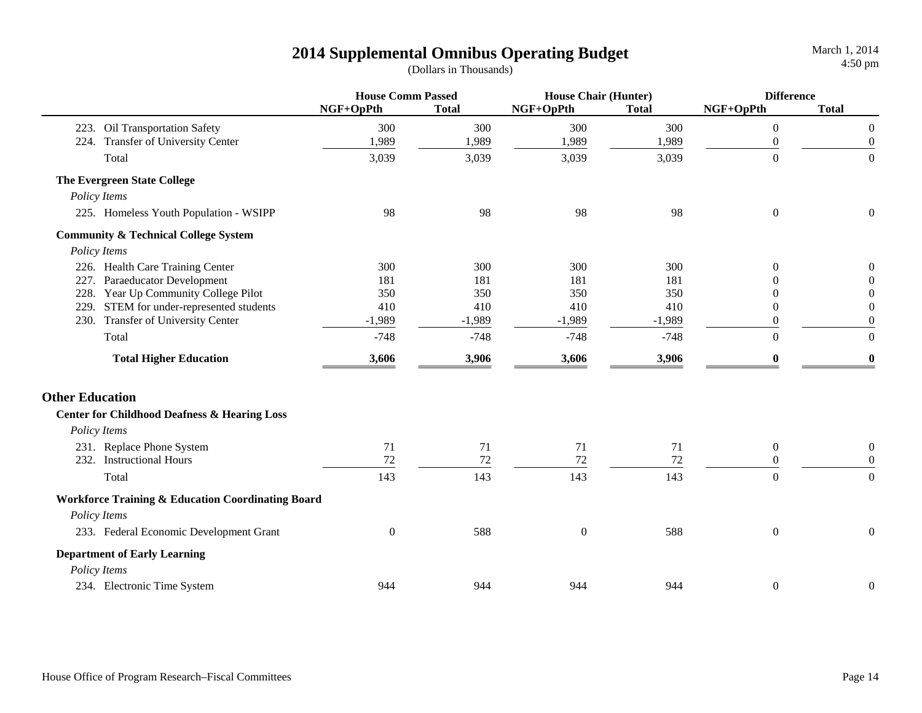|                        |                                                              | <b>House Comm Passed</b> |              | <b>House Chair (Hunter)</b> |              | <b>Difference</b> |                  |
|------------------------|--------------------------------------------------------------|--------------------------|--------------|-----------------------------|--------------|-------------------|------------------|
|                        |                                                              | NGF+OpPth                | <b>Total</b> | NGF+OpPth                   | <b>Total</b> | NGF+OpPth         | <b>Total</b>     |
|                        | 223. Oil Transportation Safety                               | 300                      | 300          | 300                         | 300          | $\boldsymbol{0}$  | $\boldsymbol{0}$ |
|                        | 224. Transfer of University Center                           | 1,989                    | 1,989        | 1,989                       | 1,989        | $\boldsymbol{0}$  | $\boldsymbol{0}$ |
| Total                  |                                                              | 3,039                    | 3,039        | 3,039                       | 3,039        | $\boldsymbol{0}$  | $\boldsymbol{0}$ |
|                        | <b>The Evergreen State College</b>                           |                          |              |                             |              |                   |                  |
| Policy Items           |                                                              |                          |              |                             |              |                   |                  |
|                        | 225. Homeless Youth Population - WSIPP                       | 98                       | 98           | 98                          | 98           | $\boldsymbol{0}$  | $\boldsymbol{0}$ |
|                        | <b>Community &amp; Technical College System</b>              |                          |              |                             |              |                   |                  |
| Policy Items           |                                                              |                          |              |                             |              |                   |                  |
|                        | 226. Health Care Training Center                             | 300                      | 300          | 300                         | 300          | $\theta$          | 0                |
| 227.                   | Paraeducator Development                                     | 181                      | 181          | 181                         | 181          | 0                 | $\theta$         |
|                        | 228. Year Up Community College Pilot                         | 350                      | 350          | 350                         | 350          | $\Omega$          | $\Omega$         |
| 229.                   | STEM for under-represented students                          | 410                      | 410          | 410                         | 410          | $\theta$          | $\mathbf{0}$     |
|                        | 230. Transfer of University Center                           | $-1,989$                 | $-1,989$     | $-1,989$                    | $-1,989$     | 0                 | $\boldsymbol{0}$ |
| Total                  |                                                              | $-748$                   | $-748$       | $-748$                      | $-748$       | $\overline{0}$    | $\overline{0}$   |
|                        | <b>Total Higher Education</b>                                | 3,606                    | 3,906        | 3,606                       | 3,906        | $\mathbf{0}$      | $\bf{0}$         |
| <b>Other Education</b> |                                                              |                          |              |                             |              |                   |                  |
|                        | <b>Center for Childhood Deafness &amp; Hearing Loss</b>      |                          |              |                             |              |                   |                  |
| Policy Items           |                                                              |                          |              |                             |              |                   |                  |
|                        | 231. Replace Phone System                                    | 71                       | 71           | 71                          | 71           | $\boldsymbol{0}$  | $\boldsymbol{0}$ |
|                        | 232. Instructional Hours                                     | 72                       | $72\,$       | 72                          | 72           | $\boldsymbol{0}$  | $\boldsymbol{0}$ |
| Total                  |                                                              | 143                      | 143          | 143                         | 143          | $\overline{0}$    | $\overline{0}$   |
|                        | <b>Workforce Training &amp; Education Coordinating Board</b> |                          |              |                             |              |                   |                  |
| Policy Items           |                                                              |                          |              |                             |              |                   |                  |
|                        | 233. Federal Economic Development Grant                      | $\mathbf{0}$             | 588          | $\boldsymbol{0}$            | 588          | $\boldsymbol{0}$  | $\boldsymbol{0}$ |
|                        | <b>Department of Early Learning</b>                          |                          |              |                             |              |                   |                  |
| Policy Items           |                                                              |                          |              |                             |              |                   |                  |
|                        | 234. Electronic Time System                                  | 944                      | 944          | 944                         | 944          | $\boldsymbol{0}$  | $\boldsymbol{0}$ |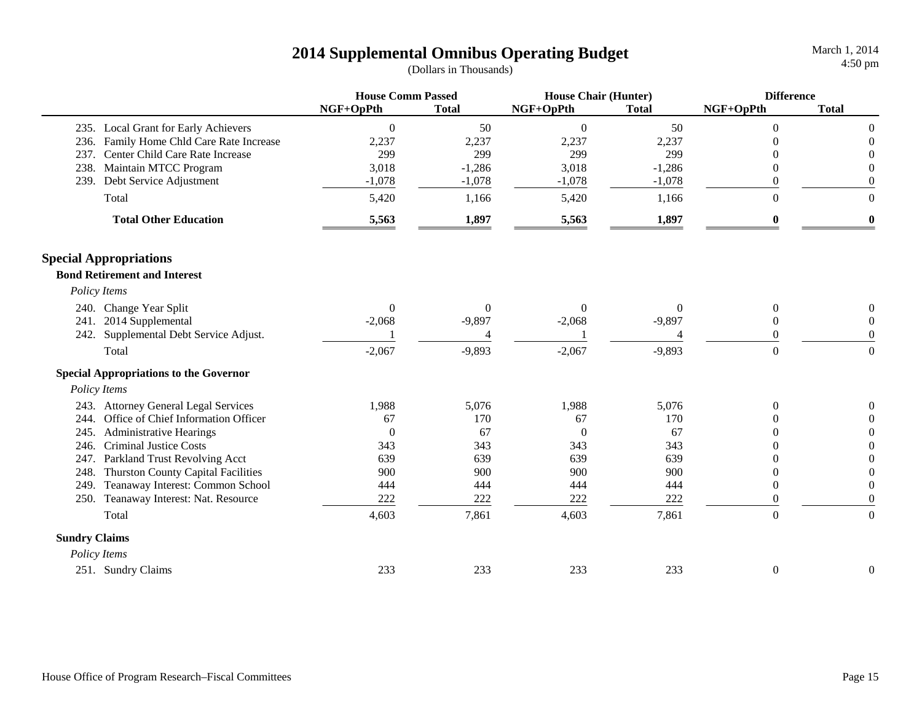|                      |                                               |                  | <b>House Comm Passed</b> |                  | <b>House Chair (Hunter)</b> |                  | <b>Difference</b> |  |
|----------------------|-----------------------------------------------|------------------|--------------------------|------------------|-----------------------------|------------------|-------------------|--|
|                      |                                               | NGF+OpPth        | <b>Total</b>             | NGF+OpPth        | <b>Total</b>                | NGF+OpPth        | <b>Total</b>      |  |
|                      | 235. Local Grant for Early Achievers          | $\boldsymbol{0}$ | 50                       | $\boldsymbol{0}$ | 50                          | $\theta$         | $\theta$          |  |
|                      | 236. Family Home Chld Care Rate Increase      | 2,237            | 2,237                    | 2,237            | 2,237                       |                  | $\Omega$          |  |
|                      | 237. Center Child Care Rate Increase          | 299              | 299                      | 299              | 299                         |                  |                   |  |
|                      | 238. Maintain MTCC Program                    | 3,018            | $-1,286$                 | 3,018            | $-1,286$                    | 0                | $\Omega$          |  |
| 239.                 | Debt Service Adjustment                       | $-1,078$         | $-1,078$                 | $-1,078$         | $-1,078$                    | $\theta$         | $\theta$          |  |
|                      | Total                                         | 5,420            | 1,166                    | 5,420            | 1,166                       | $\theta$         | $\Omega$          |  |
|                      | <b>Total Other Education</b>                  | 5,563            | 1,897                    | 5,563            | 1,897                       | $\bf{0}$         | $\boldsymbol{0}$  |  |
|                      | <b>Special Appropriations</b>                 |                  |                          |                  |                             |                  |                   |  |
|                      | <b>Bond Retirement and Interest</b>           |                  |                          |                  |                             |                  |                   |  |
|                      | Policy Items                                  |                  |                          |                  |                             |                  |                   |  |
|                      | 240. Change Year Split                        | $\overline{0}$   | $\theta$                 | $\theta$         | $\theta$                    | $\theta$         | $\left($          |  |
|                      | 241. 2014 Supplemental                        | $-2,068$         | $-9,897$                 | $-2,068$         | $-9,897$                    | $\theta$         | $\theta$          |  |
| 242.                 | Supplemental Debt Service Adjust.             |                  | $\overline{4}$           |                  | 4                           | 0                | $\theta$          |  |
|                      | Total                                         | $-2,067$         | $-9,893$                 | $-2,067$         | $-9,893$                    | $\boldsymbol{0}$ | $\Omega$          |  |
|                      | <b>Special Appropriations to the Governor</b> |                  |                          |                  |                             |                  |                   |  |
|                      | Policy Items                                  |                  |                          |                  |                             |                  |                   |  |
|                      | 243. Attorney General Legal Services          | 1,988            | 5,076                    | 1,988            | 5,076                       | 0                |                   |  |
|                      | 244. Office of Chief Information Officer      | 67               | 170                      | 67               | 170                         |                  |                   |  |
| 245.                 | <b>Administrative Hearings</b>                | $\Omega$         | 67                       | $\Omega$         | 67                          | 0                |                   |  |
| 246.                 | <b>Criminal Justice Costs</b>                 | 343              | 343                      | 343              | 343                         | 0                |                   |  |
| 247.                 | Parkland Trust Revolving Acct                 | 639              | 639                      | 639              | 639                         | 0                |                   |  |
| 248.                 | <b>Thurston County Capital Facilities</b>     | 900              | 900                      | 900              | 900                         | 0                | $\Omega$          |  |
| 249.                 | Teanaway Interest: Common School              | 444              | 444                      | 444              | 444                         | $\theta$         | $\theta$          |  |
|                      | 250. Teanaway Interest: Nat. Resource         | 222              | 222                      | 222              | 222                         | $\overline{0}$   | $\mathbf{0}$      |  |
|                      | Total                                         | 4,603            | 7,861                    | 4,603            | 7,861                       | $\boldsymbol{0}$ | $\boldsymbol{0}$  |  |
| <b>Sundry Claims</b> |                                               |                  |                          |                  |                             |                  |                   |  |
|                      | Policy Items                                  |                  |                          |                  |                             |                  |                   |  |
|                      | 251. Sundry Claims                            | 233              | 233                      | 233              | 233                         | $\boldsymbol{0}$ | $\boldsymbol{0}$  |  |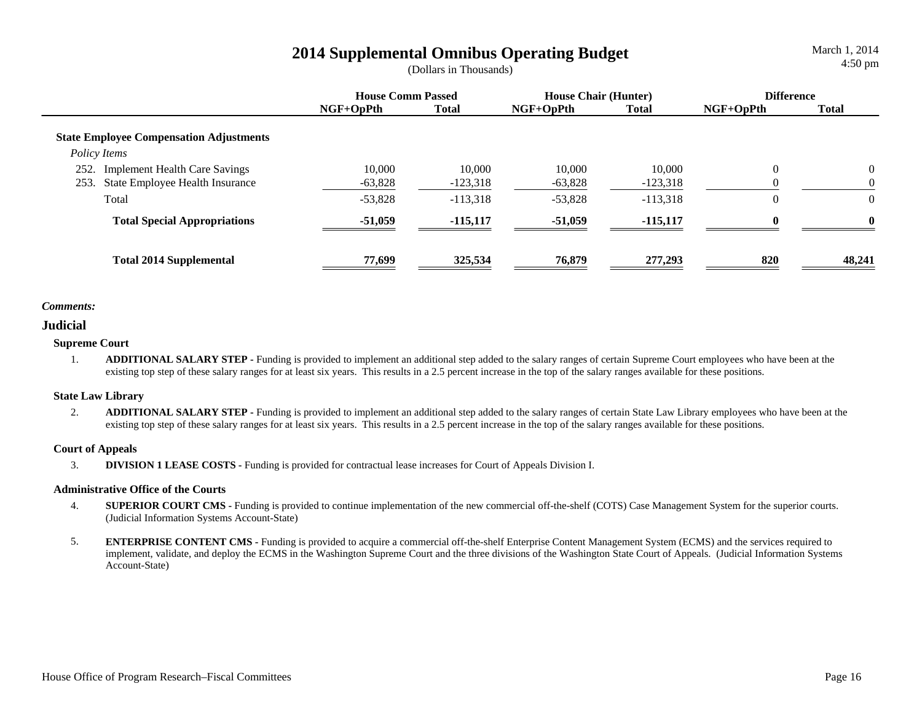## **2014 Supplemental Omnibus Operating Budget** March 1, 2014<br>(Dollars in Thousands) 4:50 pm

March 1, 2014

|                                                                                         | <b>House Comm Passed</b> |                      | <b>House Chair (Hunter)</b> |                      | <b>Difference</b> |              |
|-----------------------------------------------------------------------------------------|--------------------------|----------------------|-----------------------------|----------------------|-------------------|--------------|
|                                                                                         | $NGF+OpPth$              | <b>Total</b>         | $NGF+OpPth$                 | Total                | $NGF+OpPth$       | <b>Total</b> |
| <b>State Employee Compensation Adjustments</b><br>Policy Items                          |                          |                      |                             |                      |                   |              |
| 252.<br><b>Implement Health Care Savings</b><br>253.<br>State Employee Health Insurance | 10,000<br>$-63,828$      | 10,000<br>$-123,318$ | 10.000<br>$-63,828$         | 10,000<br>$-123,318$ | $\theta$          | $\Omega$     |
| Total                                                                                   | $-53,828$                | $-113,318$           | $-53,828$                   | $-113,318$           | $\overline{0}$    |              |
| <b>Total Special Appropriations</b>                                                     | $-51,059$                | $-115,117$           | $-51,059$                   | $-115,117$           | 0                 | $\bf{0}$     |
| <b>Total 2014 Supplemental</b>                                                          | 77,699                   | 325,534              | 76,879                      | 277,293              | 820               | 48,241       |

### *Comments:*

### **Judicial**

### **Supreme Court**

1. **ADDITIONAL SALARY STEP -** Funding is provided to implement an additional step added to the salary ranges of certain Supreme Court employees who have been at the existing top step of these salary ranges for at least six years. This results in a 2.5 percent increase in the top of the salary ranges available for these positions.

### **State Law Library**

2. **ADDITIONAL SALARY STEP -** Funding is provided to implement an additional step added to the salary ranges of certain State Law Library employees who have been at the existing top step of these salary ranges for at least six years. This results in a 2.5 percent increase in the top of the salary ranges available for these positions.

### **Court of Appeals**

3.**DIVISION 1 LEASE COSTS -** Funding is provided for contractual lease increases for Court of Appeals Division I.

### **Administrative Office of the Courts**

- 4. **SUPERIOR COURT CMS -** Funding is provided to continue implementation of the new commercial off-the-shelf (COTS) Case Management System for the superior courts. (Judicial Information Systems Account-State)
- 5. **ENTERPRISE CONTENT CMS -** Funding is provided to acquire a commercial off-the-shelf Enterprise Content Management System (ECMS) and the services required to implement, validate, and deploy the ECMS in the Washington Supreme Court and the three divisions of the Washington State Court of Appeals. (Judicial Information Systems Account-State)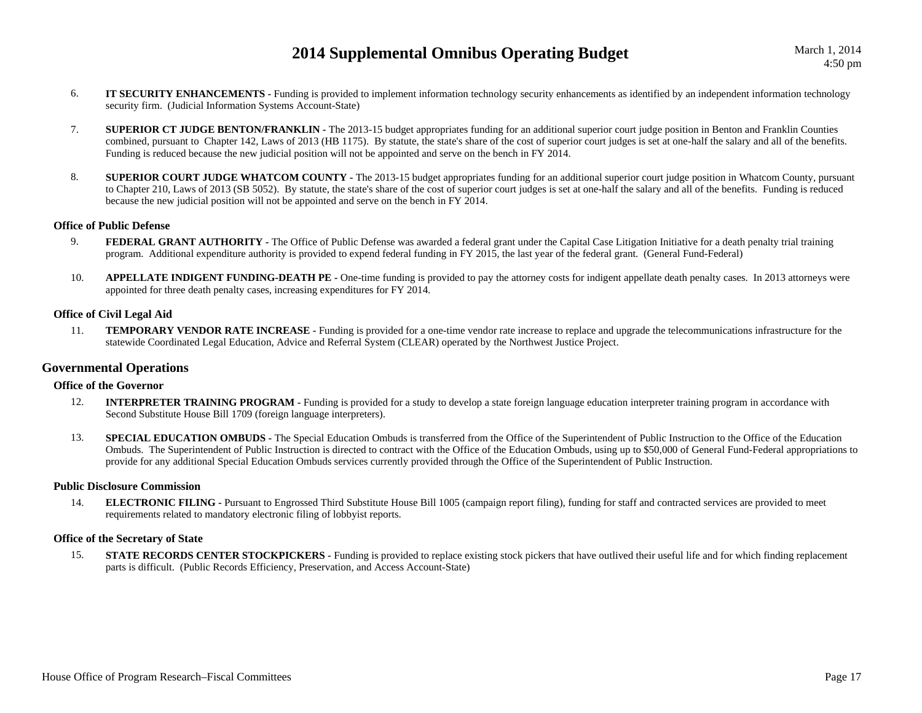- 6. **IT SECURITY ENHANCEMENTS -** Funding is provided to implement information technology security enhancements as identified by an independent information technology security firm. (Judicial Information Systems Account-State)
- 7. **SUPERIOR CT JUDGE BENTON/FRANKLIN -** The 2013-15 budget appropriates funding for an additional superior court judge position in Benton and Franklin Counties combined, pursuant to Chapter 142, Laws of 2013 (HB 1175). By statute, the state's share of the cost of superior court judges is set at one-half the salary and all of the benefits. Funding is reduced because the new judicial position will not be appointed and serve on the bench in FY 2014.
- 8. **SUPERIOR COURT JUDGE WHATCOM COUNTY -** The 2013-15 budget appropriates funding for an additional superior court judge position in Whatcom County, pursuant to Chapter 210, Laws of 2013 (SB 5052). By statute, the state's share of the cost of superior court judges is set at one-half the salary and all of the benefits. Funding is reduced because the new judicial position will not be appointed and serve on the bench in FY 2014.

### **Office of Public Defense**

- 9.**FEDERAL GRANT AUTHORITY** - The Office of Public Defense was awarded a federal grant under the Capital Case Litigation Initiative for a death penalty trial training program. Additional expenditure authority is provided to expend federal funding in FY 2015, the last year of the federal grant. (General Fund-Federal)
- 10.**APPELLATE INDIGENT FUNDING-DEATH PE -** One-time funding is provided to pay the attorney costs for indigent appellate death penalty cases. In 2013 attorneys were appointed for three death penalty cases, increasing expenditures for FY 2014.

#### **Office of Civil Legal Aid**

11. **TEMPORARY VENDOR RATE INCREASE -** Funding is provided for a one-time vendor rate increase to replace and upgrade the telecommunications infrastructure for the statewide Coordinated Legal Education, Advice and Referral System (CLEAR) operated by the Northwest Justice Project.

### **Governmental Operations**

### **Office of the Governor**

- 12.**INTERPRETER TRAINING PROGRAM -** Funding is provided for a study to develop a state foreign language education interpreter training program in accordance with Second Substitute House Bill 1709 (foreign language interpreters).
- 13.**SPECIAL EDUCATION OMBUDS** - The Special Education Ombuds is transferred from the Office of the Superintendent of Public Instruction to the Office of the Education Ombuds. The Superintendent of Public Instruction is directed to contract with the Office of the Education Ombuds, using up to \$50,000 of General Fund-Federal appropriations to provide for any additional Special Education Ombuds services currently provided through the Office of the Superintendent of Public Instruction.

#### **Public Disclosure Commission**

14. **ELECTRONIC FILING -** Pursuant to Engrossed Third Substitute House Bill 1005 (campaign report filing), funding for staff and contracted services are provided to meet requirements related to mandatory electronic filing of lobbyist reports.

### **Office of the Secretary of State**

15.**STATE RECORDS CENTER STOCKPICKERS** - Funding is provided to replace existing stock pickers that have outlived their useful life and for which finding replacement parts is difficult. (Public Records Efficiency, Preservation, and Access Account-State)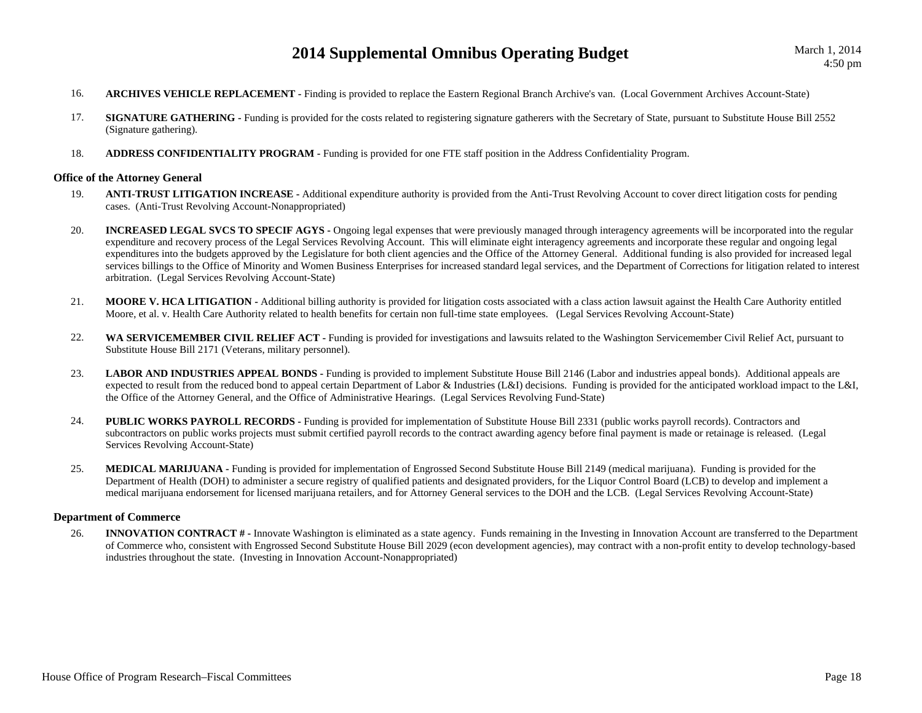- 16.**ARCHIVES VEHICLE REPLACEMENT -** Finding is provided to replace the Eastern Regional Branch Archive's van. (Local Government Archives Account-State)
- 17. **SIGNATURE GATHERING -** Funding is provided for the costs related to registering signature gatherers with the Secretary of State, pursuant to Substitute House Bill 2552 (Signature gathering).
- 18.**ADDRESS CONFIDENTIALITY PROGRAM -** Funding is provided for one FTE staff position in the Address Confidentiality Program.

#### **Office of the Attorney General**

- 19. **ANTI-TRUST LITIGATION INCREASE -** Additional expenditure authority is provided from the Anti-Trust Revolving Account to cover direct litigation costs for pending cases. (Anti-Trust Revolving Account-Nonappropriated)
- 20. **INCREASED LEGAL SVCS TO SPECIF AGYS -** Ongoing legal expenses that were previously managed through interagency agreements will be incorporated into the regular expenditure and recovery process of the Legal Services Revolving Account. This will eliminate eight interagency agreements and incorporate these regular and ongoing legal expenditures into the budgets approved by the Legislature for both client agencies and the Office of the Attorney General. Additional funding is also provided for increased legal services billings to the Office of Minority and Women Business Enterprises for increased standard legal services, and the Department of Corrections for litigation related to interest arbitration. (Legal Services Revolving Account-State)
- 21. **MOORE V. HCA LITIGATION -** Additional billing authority is provided for litigation costs associated with a class action lawsuit against the Health Care Authority entitled Moore, et al. v. Health Care Authority related to health benefits for certain non full-time state employees. (Legal Services Revolving Account-State)
- 22.WA SERVICEMEMBER CIVIL RELIEF ACT - Funding is provided for investigations and lawsuits related to the Washington Servicemember Civil Relief Act, pursuant to Substitute House Bill 2171 (Veterans, military personnel).
- 23.LABOR AND INDUSTRIES APPEAL BONDS - Funding is provided to implement Substitute House Bill 2146 (Labor and industries appeal bonds). Additional appeals are expected to result from the reduced bond to appeal certain Department of Labor & Industries (L&I) decisions. Funding is provided for the anticipated workload impact to the L&I, the Office of the Attorney General, and the Office of Administrative Hearings. (Legal Services Revolving Fund-State)
- 24. **PUBLIC WORKS PAYROLL RECORDS -** Funding is provided for implementation of Substitute House Bill 2331 (public works payroll records). Contractors and subcontractors on public works projects must submit certified payroll records to the contract awarding agency before final payment is made or retainage is released. (Legal Services Revolving Account-State)
- 25.**MEDICAL MARIJUANA - Funding is provided for implementation of Engrossed Second Substitute House Bill 2149 (medical marijuana). Funding is provided for the** Department of Health (DOH) to administer a secure registry of qualified patients and designated providers, for the Liquor Control Board (LCB) to develop and implement a medical marijuana endorsement for licensed marijuana retailers, and for Attorney General services to the DOH and the LCB. (Legal Services Revolving Account-State)

### **Department of Commerce**

26. **INNOVATION CONTRACT # -** Innovate Washington is eliminated as a state agency. Funds remaining in the Investing in Innovation Account are transferred to the Department of Commerce who, consistent with Engrossed Second Substitute House Bill 2029 (econ development agencies), may contract with a non-profit entity to develop technology-based industries throughout the state. (Investing in Innovation Account-Nonappropriated)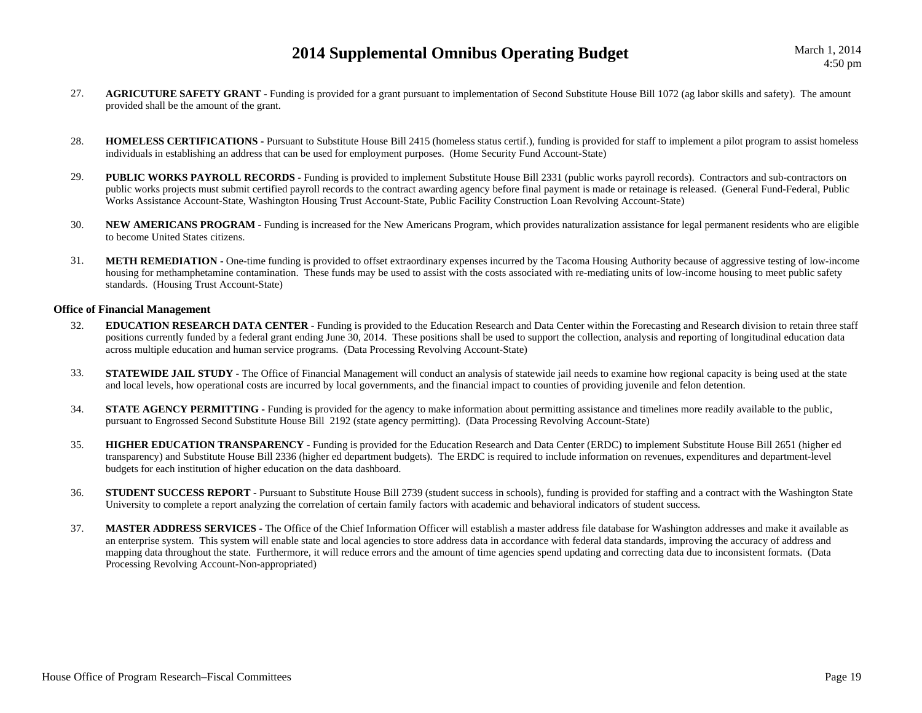- 27. **AGRICUTURE SAFETY GRANT -** Funding is provided for a grant pursuant to implementation of Second Substitute House Bill 1072 (ag labor skills and safety). The amount provided shall be the amount of the grant.
- 28. **HOMELESS CERTIFICATIONS -** Pursuant to Substitute House Bill 2415 (homeless status certif.), funding is provided for staff to implement a pilot program to assist homeless individuals in establishing an address that can be used for employment purposes. (Home Security Fund Account-State)
- 29.**PUBLIC WORKS PAYROLL RECORDS -** Funding is provided to implement Substitute House Bill 2331 (public works payroll records). Contractors and sub-contractors on public works projects must submit certified payroll records to the contract awarding agency before final payment is made or retainage is released. (General Fund-Federal, Public Works Assistance Account-State, Washington Housing Trust Account-State, Public Facility Construction Loan Revolving Account-State)
- 30. **NEW AMERICANS PROGRAM -** Funding is increased for the New Americans Program, which provides naturalization assistance for legal permanent residents who are eligible to become United States citizens.
- 31.**METH REMEDIATION -** One-time funding is provided to offset extraordinary expenses incurred by the Tacoma Housing Authority because of aggressive testing of low-income housing for methamphetamine contamination. These funds may be used to assist with the costs associated with re-mediating units of low-income housing to meet public safety standards. (Housing Trust Account-State)

#### **Office of Financial Management**

- 32. **EDUCATION RESEARCH DATA CENTER -** Funding is provided to the Education Research and Data Center within the Forecasting and Research division to retain three staff positions currently funded by a federal grant ending June 30, 2014. These positions shall be used to support the collection, analysis and reporting of longitudinal education data across multiple education and human service programs. (Data Processing Revolving Account-State)
- 33.**STATEWIDE JAIL STUDY** - The Office of Financial Management will conduct an analysis of statewide jail needs to examine how regional capacity is being used at the state and local levels, how operational costs are incurred by local governments, and the financial impact to counties of providing juvenile and felon detention.
- 34.**STATE AGENCY PERMITTING -** Funding is provided for the agency to make information about permitting assistance and timelines more readily available to the public, pursuant to Engrossed Second Substitute House Bill 2192 (state agency permitting). (Data Processing Revolving Account-State)
- 35. **HIGHER EDUCATION TRANSPARENCY -** Funding is provided for the Education Research and Data Center (ERDC) to implement Substitute House Bill 2651 (higher ed transparency) and Substitute House Bill 2336 (higher ed department budgets). The ERDC is required to include information on revenues, expenditures and department-level budgets for each institution of higher education on the data dashboard.
- 36.**STUDENT SUCCESS REPORT** - Pursuant to Substitute House Bill 2739 (student success in schools), funding is provided for staffing and a contract with the Washington State University to complete a report analyzing the correlation of certain family factors with academic and behavioral indicators of student success.
- 37. **MASTER ADDRESS SERVICES -** The Office of the Chief Information Officer will establish a master address file database for Washington addresses and make it available as an enterprise system. This system will enable state and local agencies to store address data in accordance with federal data standards, improving the accuracy of address and mapping data throughout the state. Furthermore, it will reduce errors and the amount of time agencies spend updating and correcting data due to inconsistent formats. (Data Processing Revolving Account-Non-appropriated)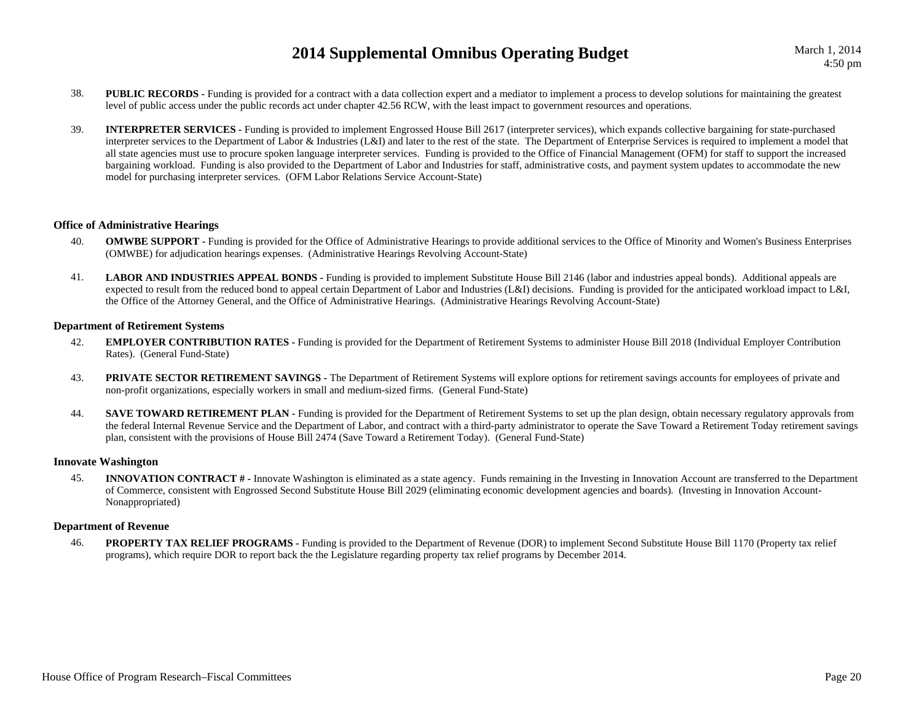- 38.**PUBLIC RECORDS** - Funding is provided for a contract with a data collection expert and a mediator to implement a process to develop solutions for maintaining the greatest level of public access under the public records act under chapter 42.56 RCW, with the least impact to government resources and operations.
- 39. **INTERPRETER SERVICES -** Funding is provided to implement Engrossed House Bill 2617 (interpreter services), which expands collective bargaining for state-purchased interpreter services to the Department of Labor & Industries (L&I) and later to the rest of the state. The Department of Enterprise Services is required to implement a model that all state agencies must use to procure spoken language interpreter services. Funding is provided to the Office of Financial Management (OFM) for staff to support the increased bargaining workload. Funding is also provided to the Department of Labor and Industries for staff, administrative costs, and payment system updates to accommodate the new model for purchasing interpreter services. (OFM Labor Relations Service Account-State)

#### **Office of Administrative Hearings**

- 40.**OMWBE SUPPORT** - Funding is provided for the Office of Administrative Hearings to provide additional services to the Office of Minority and Women's Business Enterprises (OMWBE) for adjudication hearings expenses. (Administrative Hearings Revolving Account-State)
- 41.LABOR AND INDUSTRIES APPEAL BONDS - Funding is provided to implement Substitute House Bill 2146 (labor and industries appeal bonds). Additional appeals are expected to result from the reduced bond to appeal certain Department of Labor and Industries (L&I) decisions. Funding is provided for the anticipated workload impact to L&I, the Office of the Attorney General, and the Office of Administrative Hearings. (Administrative Hearings Revolving Account-State)

#### **Department of Retirement Systems**

- 42. **EMPLOYER CONTRIBUTION RATES -** Funding is provided for the Department of Retirement Systems to administer House Bill 2018 (Individual Employer Contribution Rates). (General Fund-State)
- 43. **PRIVATE SECTOR RETIREMENT SAVINGS -** The Department of Retirement Systems will explore options for retirement savings accounts for employees of private and non-profit organizations, especially workers in small and medium-sized firms. (General Fund-State)
- 44.**SAVE TOWARD RETIREMENT PLAN -** Funding is provided for the Department of Retirement Systems to set up the plan design, obtain necessary regulatory approvals from the federal Internal Revenue Service and the Department of Labor, and contract with a third-party administrator to operate the Save Toward a Retirement Today retirement savings plan, consistent with the provisions of House Bill 2474 (Save Toward a Retirement Today). (General Fund-State)

### **Innovate Washington**

45. **INNOVATION CONTRACT # -** Innovate Washington is eliminated as a state agency. Funds remaining in the Investing in Innovation Account are transferred to the Department of Commerce, consistent with Engrossed Second Substitute House Bill 2029 (eliminating economic development agencies and boards). (Investing in Innovation Account-Nonappropriated)

### **Department of Revenue**

46.**PROPERTY TAX RELIEF PROGRAMS -** Funding is provided to the Department of Revenue (DOR) to implement Second Substitute House Bill 1170 (Property tax relief programs), which require DOR to report back the the Legislature regarding property tax relief programs by December 2014.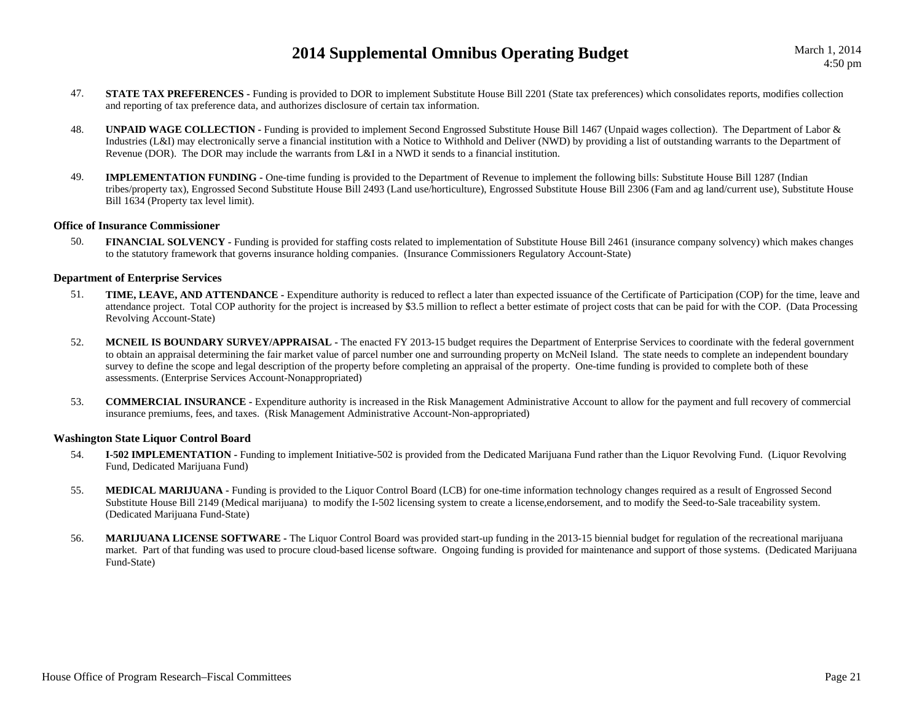- 47.**STATE TAX PREFERENCES** - Funding is provided to DOR to implement Substitute House Bill 2201 (State tax preferences) which consolidates reports, modifies collection and reporting of tax preference data, and authorizes disclosure of certain tax information.
- 48. **UNPAID WAGE COLLECTION -** Funding is provided to implement Second Engrossed Substitute House Bill 1467 (Unpaid wages collection). The Department of Labor & Industries (L&I) may electronically serve a financial institution with a Notice to Withhold and Deliver (NWD) by providing a list of outstanding warrants to the Department of Revenue (DOR). The DOR may include the warrants from L&I in a NWD it sends to a financial institution.
- 49. **IMPLEMENTATION FUNDING -** One-time funding is provided to the Department of Revenue to implement the following bills: Substitute House Bill 1287 (Indian tribes/property tax), Engrossed Second Substitute House Bill 2493 (Land use/horticulture), Engrossed Substitute House Bill 2306 (Fam and ag land/current use), Substitute House Bill 1634 (Property tax level limit).

#### **Office of Insurance Commissioner**

50.**FINANCIAL SOLVENCY** - Funding is provided for staffing costs related to implementation of Substitute House Bill 2461 (insurance company solvency) which makes changes to the statutory framework that governs insurance holding companies. (Insurance Commissioners Regulatory Account-State)

### **Department of Enterprise Services**

- 51. **TIME, LEAVE, AND ATTENDANCE -** Expenditure authority is reduced to reflect a later than expected issuance of the Certificate of Participation (COP) for the time, leave and attendance project. Total COP authority for the project is increased by \$3.5 million to reflect a better estimate of project costs that can be paid for with the COP. (Data Processing Revolving Account-State)
- 52. **MCNEIL IS BOUNDARY SURVEY/APPRAISAL -** The enacted FY 2013-15 budget requires the Department of Enterprise Services to coordinate with the federal government to obtain an appraisal determining the fair market value of parcel number one and surrounding property on McNeil Island. The state needs to complete an independent boundary survey to define the scope and legal description of the property before completing an appraisal of the property. One-time funding is provided to complete both of these assessments. (Enterprise Services Account-Nonappropriated)
- 53. **COMMERCIAL INSURANCE -** Expenditure authority is increased in the Risk Management Administrative Account to allow for the payment and full recovery of commercial insurance premiums, fees, and taxes. (Risk Management Administrative Account-Non-appropriated)

#### **Washington State Liquor Control Board**

- 54. **I-502 IMPLEMENTATION -** Funding to implement Initiative-502 is provided from the Dedicated Marijuana Fund rather than the Liquor Revolving Fund. (Liquor Revolving Fund, Dedicated Marijuana Fund)
- 55. **MEDICAL MARIJUANA -** Funding is provided to the Liquor Control Board (LCB) for one-time information technology changes required as a result of Engrossed Second Substitute House Bill 2149 (Medical marijuana) to modify the I-502 licensing system to create a license,endorsement, and to modify the Seed-to-Sale traceability system. (Dedicated Marijuana Fund-State)
- 56.**MARIJUANA LICENSE SOFTWARE -** The Liquor Control Board was provided start-up funding in the 2013-15 biennial budget for regulation of the recreational marijuana market. Part of that funding was used to procure cloud-based license software. Ongoing funding is provided for maintenance and support of those systems. (Dedicated Marijuana Fund-State)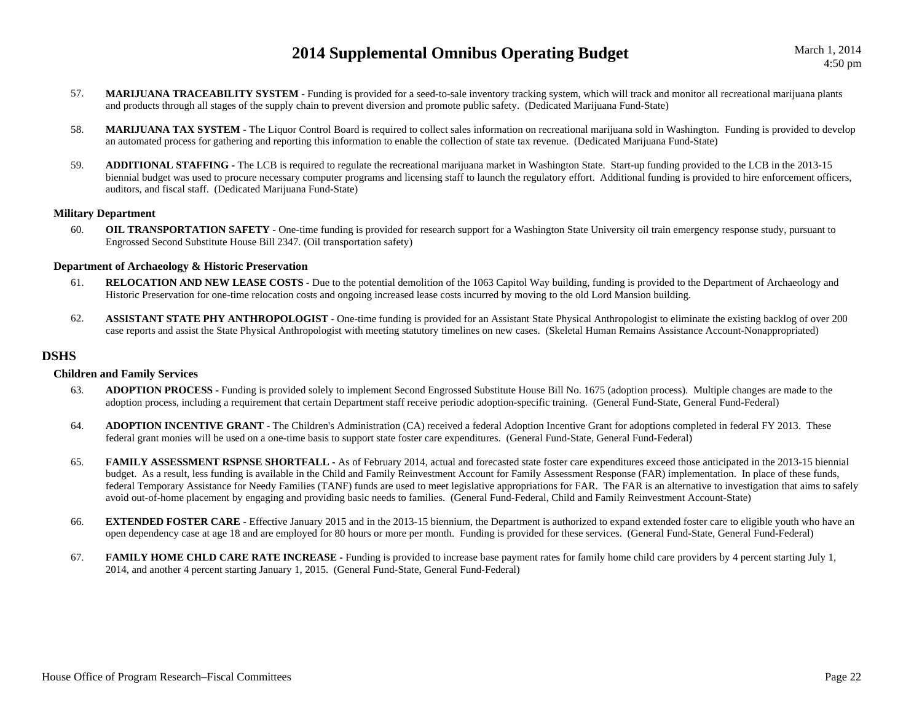- 57. **MARIJUANA TRACEABILITY SYSTEM -** Funding is provided for a seed-to-sale inventory tracking system, which will track and monitor all recreational marijuana plants and products through all stages of the supply chain to prevent diversion and promote public safety. (Dedicated Marijuana Fund-State)
- 58. **MARIJUANA TAX SYSTEM -** The Liquor Control Board is required to collect sales information on recreational marijuana sold in Washington. Funding is provided to develop an automated process for gathering and reporting this information to enable the collection of state tax revenue. (Dedicated Marijuana Fund-State)
- 59. **ADDITIONAL STAFFING -** The LCB is required to regulate the recreational marijuana market in Washington State. Start-up funding provided to the LCB in the 2013-15 biennial budget was used to procure necessary computer programs and licensing staff to launch the regulatory effort. Additional funding is provided to hire enforcement officers, auditors, and fiscal staff. (Dedicated Marijuana Fund-State)

### **Military Department**

60.**OIL TRANSPORTATION SAFETY** - One-time funding is provided for research support for a Washington State University oil train emergency response study, pursuant to Engrossed Second Substitute House Bill 2347. (Oil transportation safety)

#### **Department of Archaeology & Historic Preservation**

- 61.**RELOCATION AND NEW LEASE COSTS -** Due to the potential demolition of the 1063 Capitol Way building, funding is provided to the Department of Archaeology and Historic Preservation for one-time relocation costs and ongoing increased lease costs incurred by moving to the old Lord Mansion building.
- 62.**ASSISTANT STATE PHY ANTHROPOLOGIST -** One-time funding is provided for an Assistant State Physical Anthropologist to eliminate the existing backlog of over 200 case reports and assist the State Physical Anthropologist with meeting statutory timelines on new cases. (Skeletal Human Remains Assistance Account-Nonappropriated)

### **DSHS**

#### **Children and Family Services**

- 63. **ADOPTION PROCESS -** Funding is provided solely to implement Second Engrossed Substitute House Bill No. 1675 (adoption process). Multiple changes are made to the adoption process, including a requirement that certain Department staff receive periodic adoption-specific training. (General Fund-State, General Fund-Federal)
- 64. **ADOPTION INCENTIVE GRANT -** The Children's Administration (CA) received a federal Adoption Incentive Grant for adoptions completed in federal FY 2013. These federal grant monies will be used on a one-time basis to support state foster care expenditures. (General Fund-State, General Fund-Federal)
- 65.**FAMILY ASSESSMENT RSPNSE SHORTFALL -** As of February 2014, actual and forecasted state foster care expenditures exceed those anticipated in the 2013-15 biennial budget. As a result, less funding is available in the Child and Family Reinvestment Account for Family Assessment Response (FAR) implementation. In place of these funds, federal Temporary Assistance for Needy Families (TANF) funds are used to meet legislative appropriations for FAR. The FAR is an alternative to investigation that aims to safely avoid out-of-home placement by engaging and providing basic needs to families. (General Fund-Federal, Child and Family Reinvestment Account-State)
- 66.**EXTENDED FOSTER CARE** - Effective January 2015 and in the 2013-15 biennium, the Department is authorized to expand extended foster care to eligible youth who have an open dependency case at age 18 and are employed for 80 hours or more per month. Funding is provided for these services. (General Fund-State, General Fund-Federal)
- 67.FAMILY HOME CHLD CARE RATE INCREASE - Funding is provided to increase base payment rates for family home child care providers by 4 percent starting July 1, 2014, and another 4 percent starting January 1, 2015. (General Fund-State, General Fund-Federal)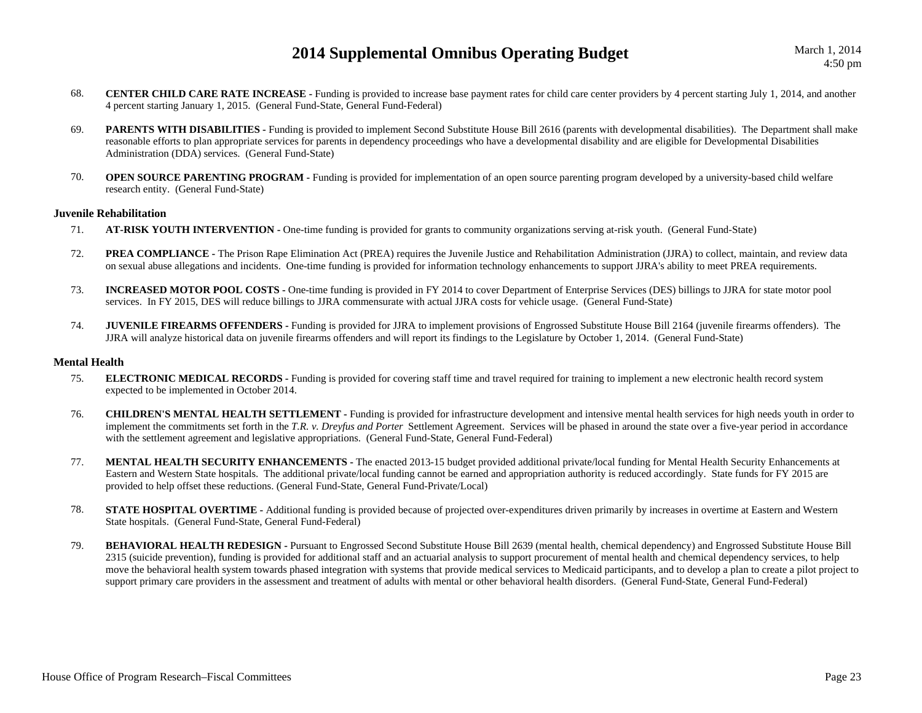- 68. **CENTER CHILD CARE RATE INCREASE -** Funding is provided to increase base payment rates for child care center providers by 4 percent starting July 1, 2014, and another 4 percent starting January 1, 2015. (General Fund-State, General Fund-Federal)
- 69.**PARENTS WITH DISABILITIES** - Funding is provided to implement Second Substitute House Bill 2616 (parents with developmental disabilities). The Department shall make reasonable efforts to plan appropriate services for parents in dependency proceedings who have a developmental disability and are eligible for Developmental Disabilities Administration (DDA) services. (General Fund-State)
- 70.**OPEN SOURCE PARENTING PROGRAM -** Funding is provided for implementation of an open source parenting program developed by a university-based child welfare research entity. (General Fund-State)

#### **Juvenile Rehabilitation**

- 71.**AT-RISK YOUTH INTERVENTION -** One-time funding is provided for grants to community organizations serving at-risk youth. (General Fund-State)
- 72.**PREA COMPLIANCE** - The Prison Rape Elimination Act (PREA) requires the Juvenile Justice and Rehabilitation Administration (JJRA) to collect, maintain, and review data on sexual abuse allegations and incidents. One-time funding is provided for information technology enhancements to support JJRA's ability to meet PREA requirements.
- 73. **INCREASED MOTOR POOL COSTS -** One-time funding is provided in FY 2014 to cover Department of Enterprise Services (DES) billings to JJRA for state motor pool services. In FY 2015, DES will reduce billings to JJRA commensurate with actual JJRA costs for vehicle usage. (General Fund-State)
- 74.**JUVENILE FIREARMS OFFENDERS** - Funding is provided for JJRA to implement provisions of Engrossed Substitute House Bill 2164 (juvenile firearms offenders). The JJRA will analyze historical data on juvenile firearms offenders and will report its findings to the Legislature by October 1, 2014. (General Fund-State)

### **Mental Health**

- 75. **ELECTRONIC MEDICAL RECORDS -** Funding is provided for covering staff time and travel required for training to implement a new electronic health record system expected to be implemented in October 2014.
- 76. **CHILDREN'S MENTAL HEALTH SETTLEMENT -** Funding is provided for infrastructure development and intensive mental health services for high needs youth in order to implement the commitments set forth in the *T.R. v. Dreyfus and Porter* Settlement Agreement. Services will be phased in around the state over a five-year period in accordance with the settlement agreement and legislative appropriations. (General Fund-State, General Fund-Federal)
- 77. **MENTAL HEALTH SECURITY ENHANCEMENTS -** The enacted 2013-15 budget provided additional private/local funding for Mental Health Security Enhancements at Eastern and Western State hospitals. The additional private/local funding cannot be earned and appropriation authority is reduced accordingly. State funds for FY 2015 are provided to help offset these reductions. (General Fund-State, General Fund-Private/Local)
- 78.**STATE HOSPITAL OVERTIME** - Additional funding is provided because of projected over-expenditures driven primarily by increases in overtime at Eastern and Western State hospitals. (General Fund-State, General Fund-Federal)
- 79. **BEHAVIORAL HEALTH REDESIGN -** Pursuant to Engrossed Second Substitute House Bill 2639 (mental health, chemical dependency) and Engrossed Substitute House Bill 2315 (suicide prevention), funding is provided for additional staff and an actuarial analysis to support procurement of mental health and chemical dependency services, to help move the behavioral health system towards phased integration with systems that provide medical services to Medicaid participants, and to develop a plan to create a pilot project to support primary care providers in the assessment and treatment of adults with mental or other behavioral health disorders. (General Fund-State, General Fund-Federal)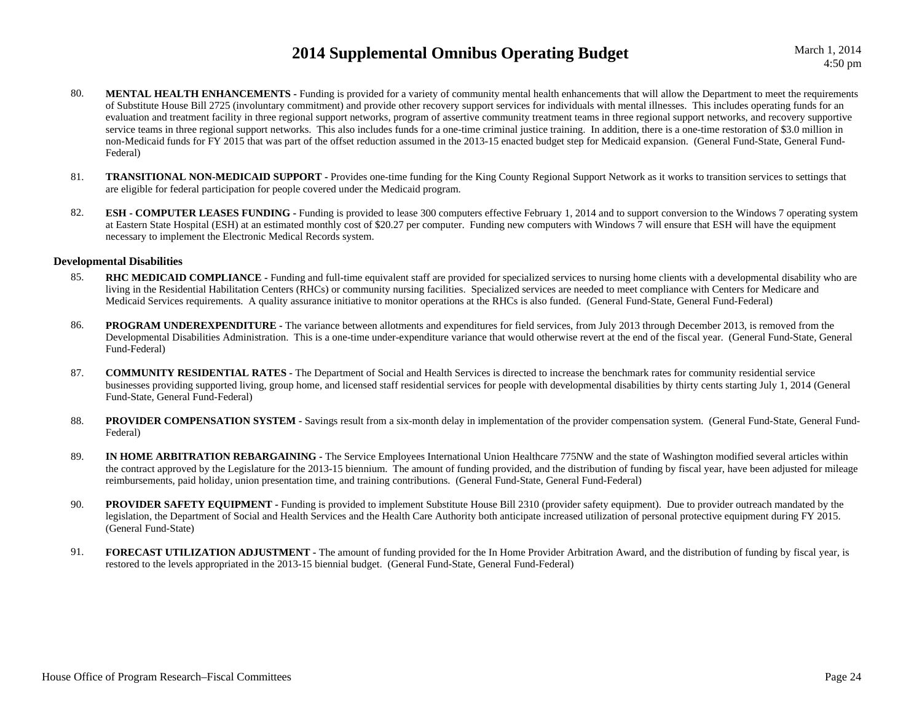- 80.**MENTAL HEALTH ENHANCEMENTS** - Funding is provided for a variety of community mental health enhancements that will allow the Department to meet the requirements of Substitute House Bill 2725 (involuntary commitment) and provide other recovery support services for individuals with mental illnesses. This includes operating funds for an evaluation and treatment facility in three regional support networks, program of assertive community treatment teams in three regional support networks, and recovery supportive service teams in three regional support networks. This also includes funds for a one-time criminal justice training. In addition, there is a one-time restoration of \$3.0 million in non-Medicaid funds for FY 2015 that was part of the offset reduction assumed in the 2013-15 enacted budget step for Medicaid expansion. (General Fund-State, General Fund-Federal)
- 81. **TRANSITIONAL NON-MEDICAID SUPPORT -** Provides one-time funding for the King County Regional Support Network as it works to transition services to settings that are eligible for federal participation for people covered under the Medicaid program.
- 82.**ESH - COMPUTER LEASES FUNDING -** Funding is provided to lease 300 computers effective February 1, 2014 and to support conversion to the Windows 7 operating system at Eastern State Hospital (ESH) at an estimated monthly cost of \$20.27 per computer. Funding new computers with Windows 7 will ensure that ESH will have the equipment necessary to implement the Electronic Medical Records system.

#### **Developmental Disabilities**

- 85.**RHC MEDICAID COMPLIANCE** - Funding and full-time equivalent staff are provided for specialized services to nursing home clients with a developmental disability who are living in the Residential Habilitation Centers (RHCs) or community nursing facilities. Specialized services are needed to meet compliance with Centers for Medicare and Medicaid Services requirements. A quality assurance initiative to monitor operations at the RHCs is also funded. (General Fund-State, General Fund-Federal)
- 86. **PROGRAM UNDEREXPENDITURE -** The variance between allotments and expenditures for field services, from July 2013 through December 2013, is removed from the Developmental Disabilities Administration. This is a one-time under-expenditure variance that would otherwise revert at the end of the fiscal year. (General Fund-State, General Fund-Federal)
- 87. **COMMUNITY RESIDENTIAL RATES -** The Department of Social and Health Services is directed to increase the benchmark rates for community residential service businesses providing supported living, group home, and licensed staff residential services for people with developmental disabilities by thirty cents starting July 1, 2014 (General Fund-State, General Fund-Federal)
- 88.PROVIDER COMPENSATION SYSTEM - Savings result from a six-month delay in implementation of the provider compensation system. (General Fund-State, General Fund-Federal)
- 89. **IN HOME ARBITRATION REBARGAINING -** The Service Employees International Union Healthcare 775NW and the state of Washington modified several articles within the contract approved by the Legislature for the 2013-15 biennium. The amount of funding provided, and the distribution of funding by fiscal year, have been adjusted for mileage reimbursements, paid holiday, union presentation time, and training contributions. (General Fund-State, General Fund-Federal)
- 90.**PROVIDER SAFETY EQUIPMENT -** Funding is provided to implement Substitute House Bill 2310 (provider safety equipment). Due to provider outreach mandated by the legislation, the Department of Social and Health Services and the Health Care Authority both anticipate increased utilization of personal protective equipment during FY 2015. (General Fund-State)
- 91. **FORECAST UTILIZATION ADJUSTMENT -** The amount of funding provided for the In Home Provider Arbitration Award, and the distribution of funding by fiscal year, is restored to the levels appropriated in the 2013-15 biennial budget. (General Fund-State, General Fund-Federal)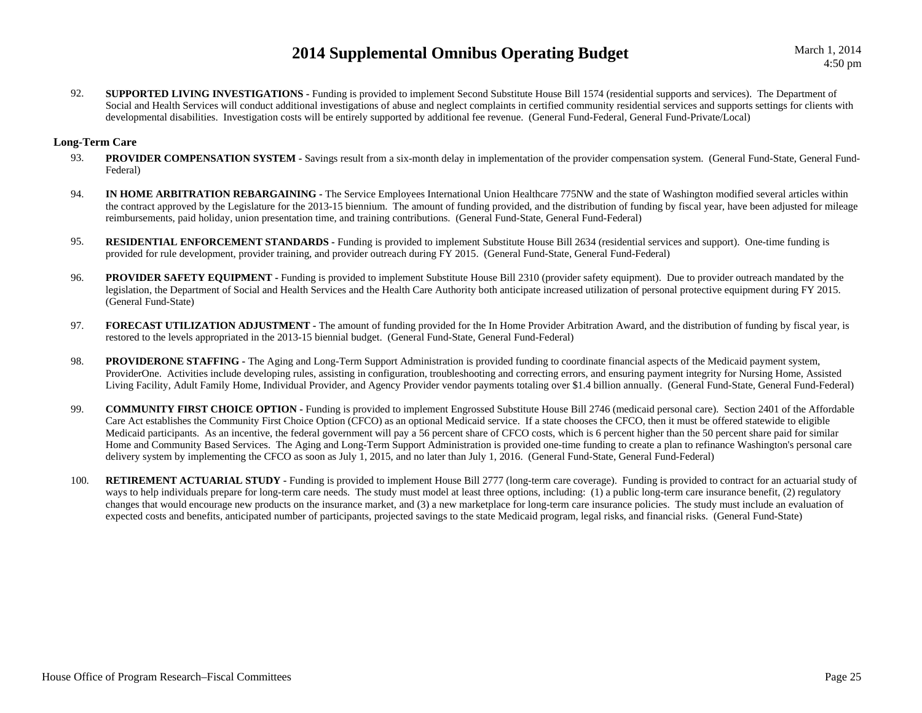92.**SUPPORTED LIVING INVESTIGATIONS -** Funding is provided to implement Second Substitute House Bill 1574 (residential supports and services). The Department of Social and Health Services will conduct additional investigations of abuse and neglect complaints in certified community residential services and supports settings for clients with developmental disabilities. Investigation costs will be entirely supported by additional fee revenue. (General Fund-Federal, General Fund-Private/Local)

### **Long-Term Care**

- 93.**PROVIDER COMPENSATION SYSTEM - Savings result from a six-month delay in implementation of the provider compensation system. (General Fund-State, General Fund-**Federal)
- 94. **IN HOME ARBITRATION REBARGAINING -** The Service Employees International Union Healthcare 775NW and the state of Washington modified several articles within the contract approved by the Legislature for the 2013-15 biennium. The amount of funding provided, and the distribution of funding by fiscal year, have been adjusted for mileage reimbursements, paid holiday, union presentation time, and training contributions. (General Fund-State, General Fund-Federal)
- 95.**RESIDENTIAL ENFORCEMENT STANDARDS** - Funding is provided to implement Substitute House Bill 2634 (residential services and support). One-time funding is provided for rule development, provider training, and provider outreach during FY 2015. (General Fund-State, General Fund-Federal)
- 96.**PROVIDER SAFETY EQUIPMENT -** Funding is provided to implement Substitute House Bill 2310 (provider safety equipment). Due to provider outreach mandated by the legislation, the Department of Social and Health Services and the Health Care Authority both anticipate increased utilization of personal protective equipment during FY 2015. (General Fund-State)
- 97. **FORECAST UTILIZATION ADJUSTMENT -** The amount of funding provided for the In Home Provider Arbitration Award, and the distribution of funding by fiscal year, is restored to the levels appropriated in the 2013-15 biennial budget. (General Fund-State, General Fund-Federal)
- 98. **PROVIDERONE STAFFING -** The Aging and Long-Term Support Administration is provided funding to coordinate financial aspects of the Medicaid payment system, ProviderOne. Activities include developing rules, assisting in configuration, troubleshooting and correcting errors, and ensuring payment integrity for Nursing Home, Assisted Living Facility, Adult Family Home, Individual Provider, and Agency Provider vendor payments totaling over \$1.4 billion annually. (General Fund-State, General Fund-Federal)
- 99. **COMMUNITY FIRST CHOICE OPTION -** Funding is provided to implement Engrossed Substitute House Bill 2746 (medicaid personal care). Section 2401 of the Affordable Care Act establishes the Community First Choice Option (CFCO) as an optional Medicaid service. If a state chooses the CFCO, then it must be offered statewide to eligible Medicaid participants. As an incentive, the federal government will pay a 56 percent share of CFCO costs, which is 6 percent higher than the 50 percent share paid for similar Home and Community Based Services. The Aging and Long-Term Support Administration is provided one-time funding to create a plan to refinance Washington's personal care delivery system by implementing the CFCO as soon as July 1, 2015, and no later than July 1, 2016. (General Fund-State, General Fund-Federal)
- 100.**RETIREMENT ACTUARIAL STUDY** - Funding is provided to implement House Bill 2777 (long-term care coverage). Funding is provided to contract for an actuarial study of ways to help individuals prepare for long-term care needs. The study must model at least three options, including: (1) a public long-term care insurance benefit, (2) regulatory changes that would encourage new products on the insurance market, and (3) a new marketplace for long-term care insurance policies. The study must include an evaluation of expected costs and benefits, anticipated number of participants, projected savings to the state Medicaid program, legal risks, and financial risks. (General Fund-State)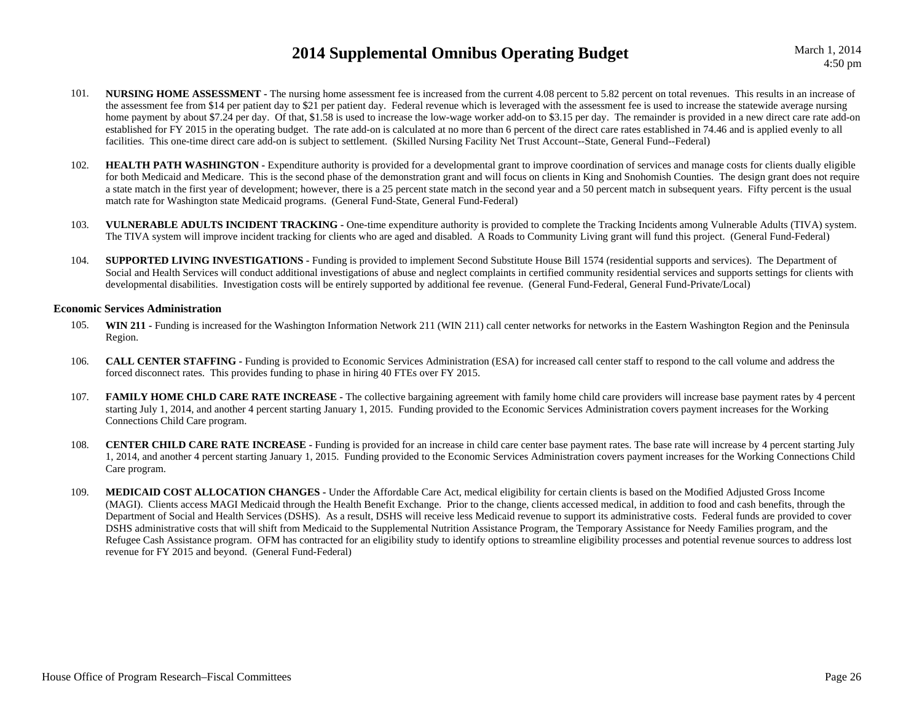- 101.**NURSING HOME ASSESSMENT** - The nursing home assessment fee is increased from the current 4.08 percent to 5.82 percent on total revenues. This results in an increase of the assessment fee from \$14 per patient day to \$21 per patient day. Federal revenue which is leveraged with the assessment fee is used to increase the statewide average nursing home payment by about \$7.24 per day. Of that, \$1.58 is used to increase the low-wage worker add-on to \$3.15 per day. The remainder is provided in a new direct care rate add-on established for FY 2015 in the operating budget. The rate add-on is calculated at no more than 6 percent of the direct care rates established in 74.46 and is applied evenly to all facilities. This one-time direct care add-on is subject to settlement. (Skilled Nursing Facility Net Trust Account--State, General Fund--Federal)
- 102.**HEALTH PATH WASHINGTON -** Expenditure authority is provided for a developmental grant to improve coordination of services and manage costs for clients dually eligible for both Medicaid and Medicare. This is the second phase of the demonstration grant and will focus on clients in King and Snohomish Counties. The design grant does not require a state match in the first year of development; however, there is a 25 percent state match in the second year and a 50 percent match in subsequent years. Fifty percent is the usual match rate for Washington state Medicaid programs. (General Fund-State, General Fund-Federal)
- 103. **VULNERABLE ADULTS INCIDENT TRACKING -** One-time expenditure authority is provided to complete the Tracking Incidents among Vulnerable Adults (TIVA) system. The TIVA system will improve incident tracking for clients who are aged and disabled. A Roads to Community Living grant will fund this project. (General Fund-Federal)
- 104.**SUPPORTED LIVING INVESTIGATIONS -** Funding is provided to implement Second Substitute House Bill 1574 (residential supports and services). The Department of Social and Health Services will conduct additional investigations of abuse and neglect complaints in certified community residential services and supports settings for clients with developmental disabilities. Investigation costs will be entirely supported by additional fee revenue. (General Fund-Federal, General Fund-Private/Local)

#### **Economic Services Administration**

- 105. **WIN 211 -** Funding is increased for the Washington Information Network 211 (WIN 211) call center networks for networks in the Eastern Washington Region and the Peninsula Region.
- 106. **CALL CENTER STAFFING -** Funding is provided to Economic Services Administration (ESA) for increased call center staff to respond to the call volume and address the forced disconnect rates. This provides funding to phase in hiring 40 FTEs over FY 2015.
- 107.**FAMILY HOME CHLD CARE RATE INCREASE** - The collective bargaining agreement with family home child care providers will increase base payment rates by 4 percent starting July 1, 2014, and another 4 percent starting January 1, 2015. Funding provided to the Economic Services Administration covers payment increases for the Working Connections Child Care program.
- 108. **CENTER CHILD CARE RATE INCREASE -** Funding is provided for an increase in child care center base payment rates. The base rate will increase by 4 percent starting July 1, 2014, and another 4 percent starting January 1, 2015. Funding provided to the Economic Services Administration covers payment increases for the Working Connections Child Care program.
- 109. **MEDICAID COST ALLOCATION CHANGES -** Under the Affordable Care Act, medical eligibility for certain clients is based on the Modified Adjusted Gross Income (MAGI). Clients access MAGI Medicaid through the Health Benefit Exchange. Prior to the change, clients accessed medical, in addition to food and cash benefits, through the Department of Social and Health Services (DSHS). As a result, DSHS will receive less Medicaid revenue to support its administrative costs. Federal funds are provided to cover DSHS administrative costs that will shift from Medicaid to the Supplemental Nutrition Assistance Program, the Temporary Assistance for Needy Families program, and the Refugee Cash Assistance program. OFM has contracted for an eligibility study to identify options to streamline eligibility processes and potential revenue sources to address lost revenue for FY 2015 and beyond. (General Fund-Federal)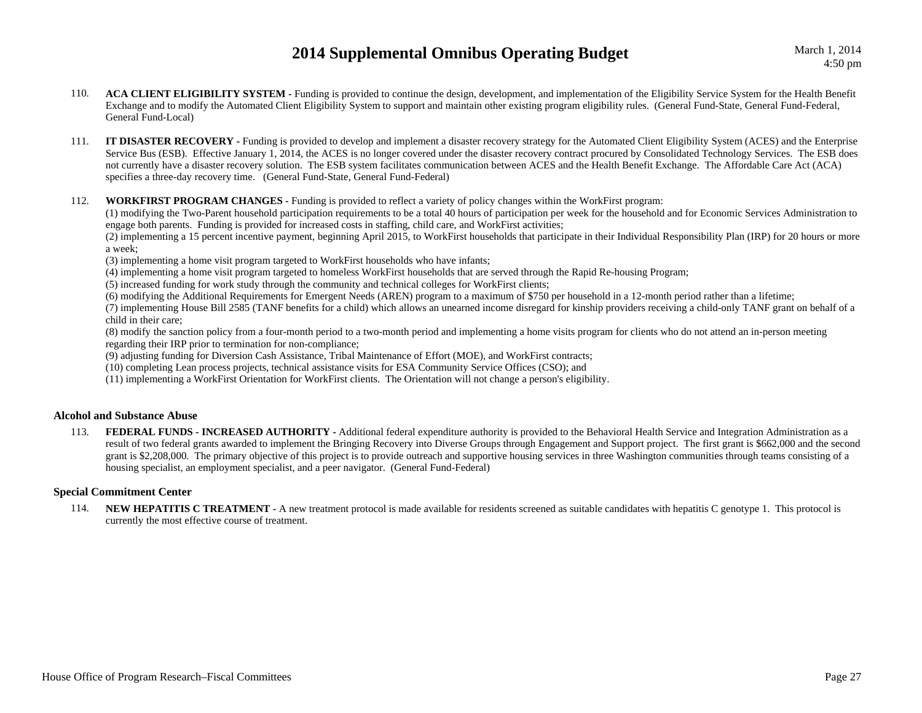- 110. **ACA CLIENT ELIGIBILITY SYSTEM -** Funding is provided to continue the design, development, and implementation of the Eligibility Service System for the Health Benefit Exchange and to modify the Automated Client Eligibility System to support and maintain other existing program eligibility rules. (General Fund-State, General Fund-Federal, General Fund-Local)
- 111. **IT DISASTER RECOVERY** Funding is provided to develop and implement a disaster recovery strategy for the Automated Client Eligibility System (ACES) and the Enterprise Service Bus (ESB). Effective January 1, 2014, the ACES is no longer covered under the disaster recovery contract procured by Consolidated Technology Services. The ESB does not currently have a disaster recovery solution. The ESB system facilitates communication between ACES and the Health Benefit Exchange. The Affordable Care Act (ACA) specifies a three-day recovery time. (General Fund-State, General Fund-Federal)
- 112.**WORKFIRST PROGRAM CHANGES -** Funding is provided to reflect a variety of policy changes within the WorkFirst program:

(1) modifying the Two-Parent household participation requirements to be a total 40 hours of participation per week for the household and for Economic Services Administration to engage both parents. Funding is provided for increased costs in staffing, child care, and WorkFirst activities;

(2) implementing a 15 percent incentive payment, beginning April 2015, to WorkFirst households that participate in their Individual Responsibility Plan (IRP) for 20 hours or more a week;

(3) implementing a home visit program targeted to WorkFirst households who have infants;

(4) implementing a home visit program targeted to homeless WorkFirst households that are served through the Rapid Re-housing Program;

(5) increased funding for work study through the community and technical colleges for WorkFirst clients;

(6) modifying the Additional Requirements for Emergent Needs (AREN) program to a maximum of \$750 per household in a 12-month period rather than a lifetime;

(7) implementing House Bill 2585 (TANF benefits for a child) which allows an unearned income disregard for kinship providers receiving a child-only TANF grant on behalf of a child in their care;

(8) modify the sanction policy from a four-month period to a two-month period and implementing a home visits program for clients who do not attend an in-person meeting regarding their IRP prior to termination for non-compliance;

(9) adjusting funding for Diversion Cash Assistance, Tribal Maintenance of Effort (MOE), and WorkFirst contracts;

(10) completing Lean process projects, technical assistance visits for ESA Community Service Offices (CSO); and

(11) implementing a WorkFirst Orientation for WorkFirst clients. The Orientation will not change a person's eligibility.

### **Alcohol and Substance Abuse**

113.**FEDERAL FUNDS - INCREASED AUTHORITY -** Additional federal expenditure authority is provided to the Behavioral Health Service and Integration Administration as a result of two federal grants awarded to implement the Bringing Recovery into Diverse Groups through Engagement and Support project. The first grant is \$662,000 and the second grant is \$2,208,000. The primary objective of this project is to provide outreach and supportive housing services in three Washington communities through teams consisting of a housing specialist, an employment specialist, and a peer navigator. (General Fund-Federal)

### **Special Commitment Center**

114. **NEW HEPATITIS C TREATMENT -** A new treatment protocol is made available for residents screened as suitable candidates with hepatitis C genotype 1. This protocol is currently the most effective course of treatment.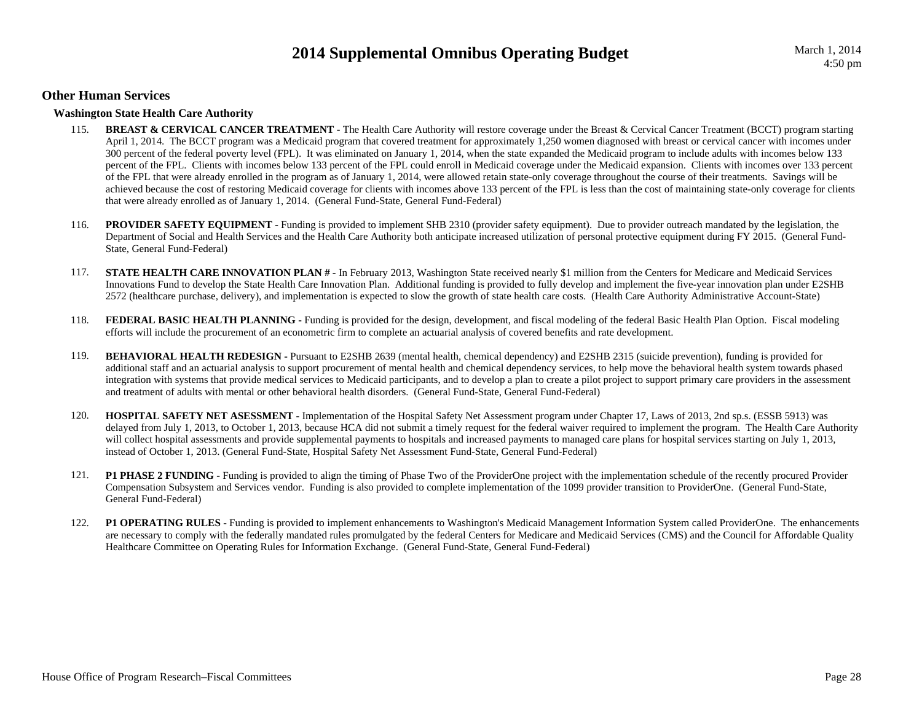### **Other Human Services**

### **Washington State Health Care Authority**

- 115. **BREAST & CERVICAL CANCER TREATMENT -** The Health Care Authority will restore coverage under the Breast & Cervical Cancer Treatment (BCCT) program starting April 1, 2014. The BCCT program was a Medicaid program that covered treatment for approximately 1,250 women diagnosed with breast or cervical cancer with incomes under 300 percent of the federal poverty level (FPL). It was eliminated on January 1, 2014, when the state expanded the Medicaid program to include adults with incomes below 133 percent of the FPL. Clients with incomes below 133 percent of the FPL could enroll in Medicaid coverage under the Medicaid expansion. Clients with incomes over 133 percent of the FPL that were already enrolled in the program as of January 1, 2014, were allowed retain state-only coverage throughout the course of their treatments. Savings will be achieved because the cost of restoring Medicaid coverage for clients with incomes above 133 percent of the FPL is less than the cost of maintaining state-only coverage for clients that were already enrolled as of January 1, 2014. (General Fund-State, General Fund-Federal)
- 116.**PROVIDER SAFETY EQUIPMENT -** Funding is provided to implement SHB 2310 (provider safety equipment). Due to provider outreach mandated by the legislation, the Department of Social and Health Services and the Health Care Authority both anticipate increased utilization of personal protective equipment during FY 2015. (General Fund-State, General Fund-Federal)
- 117. **STATE HEALTH CARE INNOVATION PLAN #** In February 2013, Washington State received nearly \$1 million from the Centers for Medicare and Medicaid Services Innovations Fund to develop the State Health Care Innovation Plan. Additional funding is provided to fully develop and implement the five-year innovation plan under E2SHB 2572 (healthcare purchase, delivery), and implementation is expected to slow the growth of state health care costs. (Health Care Authority Administrative Account-State)
- 118.**FEDERAL BASIC HEALTH PLANNING -** Funding is provided for the design, development, and fiscal modeling of the federal Basic Health Plan Option. Fiscal modeling efforts will include the procurement of an econometric firm to complete an actuarial analysis of covered benefits and rate development.
- 119. **BEHAVIORAL HEALTH REDESIGN -** Pursuant to E2SHB 2639 (mental health, chemical dependency) and E2SHB 2315 (suicide prevention), funding is provided for additional staff and an actuarial analysis to support procurement of mental health and chemical dependency services, to help move the behavioral health system towards phased integration with systems that provide medical services to Medicaid participants, and to develop a plan to create a pilot project to support primary care providers in the assessment and treatment of adults with mental or other behavioral health disorders. (General Fund-State, General Fund-Federal)
- 120. **HOSPITAL SAFETY NET ASESSMENT -** Implementation of the Hospital Safety Net Assessment program under Chapter 17, Laws of 2013, 2nd sp.s. (ESSB 5913) was delayed from July 1, 2013, to October 1, 2013, because HCA did not submit a timely request for the federal waiver required to implement the program. The Health Care Authority will collect hospital assessments and provide supplemental payments to hospitals and increased payments to managed care plans for hospital services starting on July 1, 2013, instead of October 1, 2013. (General Fund-State, Hospital Safety Net Assessment Fund-State, General Fund-Federal)
- 121. **P1 PHASE 2 FUNDING -** Funding is provided to align the timing of Phase Two of the ProviderOne project with the implementation schedule of the recently procured Provider Compensation Subsystem and Services vendor. Funding is also provided to complete implementation of the 1099 provider transition to ProviderOne. (General Fund-State, General Fund-Federal)
- 122. **P1 OPERATING RULES -** Funding is provided to implement enhancements to Washington's Medicaid Management Information System called ProviderOne. The enhancements are necessary to comply with the federally mandated rules promulgated by the federal Centers for Medicare and Medicaid Services (CMS) and the Council for Affordable Quality Healthcare Committee on Operating Rules for Information Exchange. (General Fund-State, General Fund-Federal)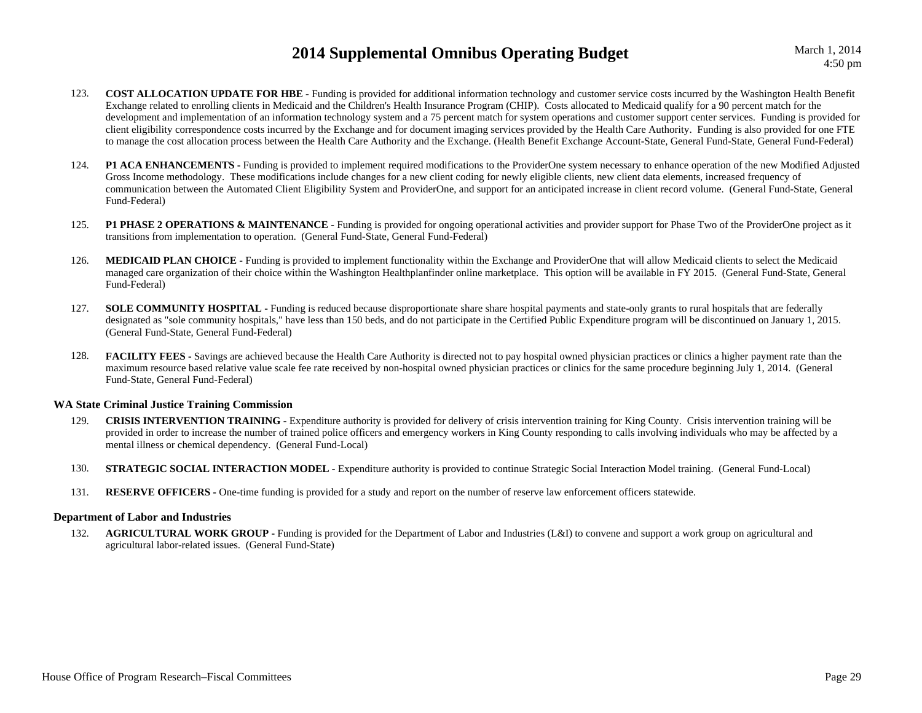- 123. **COST ALLOCATION UPDATE FOR HBE -** Funding is provided for additional information technology and customer service costs incurred by the Washington Health Benefit Exchange related to enrolling clients in Medicaid and the Children's Health Insurance Program (CHIP). Costs allocated to Medicaid qualify for a 90 percent match for the development and implementation of an information technology system and a 75 percent match for system operations and customer support center services. Funding is provided for client eligibility correspondence costs incurred by the Exchange and for document imaging services provided by the Health Care Authority. Funding is also provided for one FTE to manage the cost allocation process between the Health Care Authority and the Exchange. (Health Benefit Exchange Account-State, General Fund-State, General Fund-Federal)
- 124. **P1 ACA ENHANCEMENTS -** Funding is provided to implement required modifications to the ProviderOne system necessary to enhance operation of the new Modified Adjusted Gross Income methodology. These modifications include changes for a new client coding for newly eligible clients, new client data elements, increased frequency of communication between the Automated Client Eligibility System and ProviderOne, and support for an anticipated increase in client record volume. (General Fund-State, General Fund-Federal)
- 125.**P1 PHASE 2 OPERATIONS & MAINTENANCE -** Funding is provided for ongoing operational activities and provider support for Phase Two of the ProviderOne project as it transitions from implementation to operation. (General Fund-State, General Fund-Federal)
- 126. **MEDICAID PLAN CHOICE -** Funding is provided to implement functionality within the Exchange and ProviderOne that will allow Medicaid clients to select the Medicaid managed care organization of their choice within the Washington Healthplanfinder online marketplace. This option will be available in FY 2015. (General Fund-State, General Fund-Federal)
- 127. **SOLE COMMUNITY HOSPITAL -** Funding is reduced because disproportionate share share hospital payments and state-only grants to rural hospitals that are federally designated as "sole community hospitals," have less than 150 beds, and do not participate in the Certified Public Expenditure program will be discontinued on January 1, 2015. (General Fund-State, General Fund-Federal)
- 128.**FACILITY FEES** - Savings are achieved because the Health Care Authority is directed not to pay hospital owned physician practices or clinics a higher payment rate than the maximum resource based relative value scale fee rate received by non-hospital owned physician practices or clinics for the same procedure beginning July 1, 2014. (General Fund-State, General Fund-Federal)

### **WA State Criminal Justice Training Commission**

- 129.**CRISIS INTERVENTION TRAINING** - Expenditure authority is provided for delivery of crisis intervention training for King County. Crisis intervention training will be provided in order to increase the number of trained police officers and emergency workers in King County responding to calls involving individuals who may be affected by a mental illness or chemical dependency. (General Fund-Local)
- 130.**STRATEGIC SOCIAL INTERACTION MODEL -** Expenditure authority is provided to continue Strategic Social Interaction Model training. (General Fund-Local)
- 131.**RESERVE OFFICERS -** One-time funding is provided for a study and report on the number of reserve law enforcement officers statewide.

### **Department of Labor and Industries**

132.**AGRICULTURAL WORK GROUP -** Funding is provided for the Department of Labor and Industries (L&I) to convene and support a work group on agricultural and agricultural labor-related issues. (General Fund-State)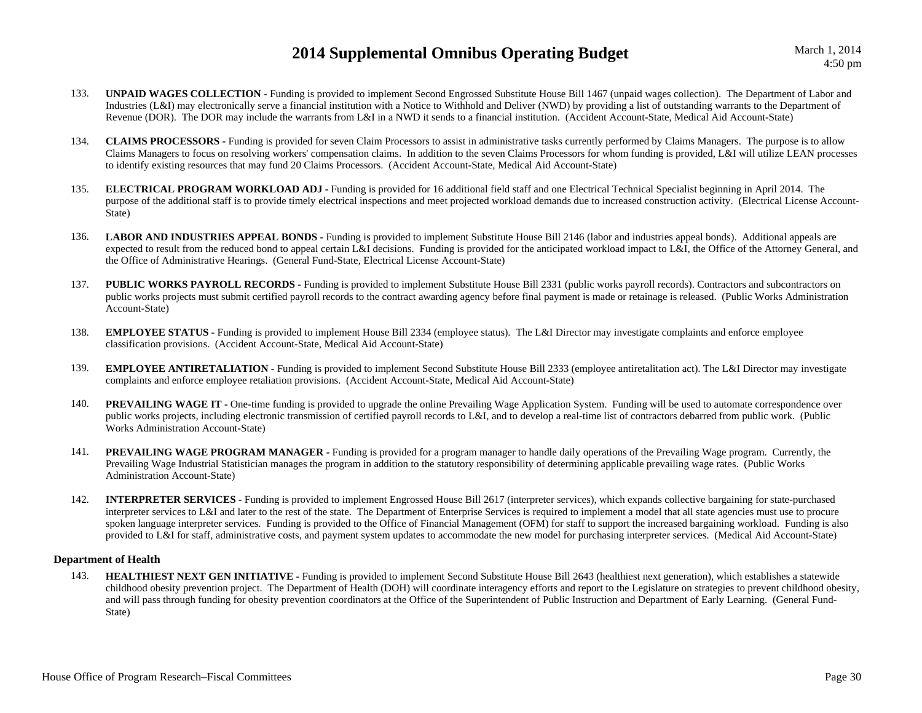- 133. **UNPAID WAGES COLLECTION -** Funding is provided to implement Second Engrossed Substitute House Bill 1467 (unpaid wages collection). The Department of Labor and Industries (L&I) may electronically serve a financial institution with a Notice to Withhold and Deliver (NWD) by providing a list of outstanding warrants to the Department of Revenue (DOR). The DOR may include the warrants from L&I in a NWD it sends to a financial institution. (Accident Account-State, Medical Aid Account-State)
- 134. **CLAIMS PROCESSORS -** Funding is provided for seven Claim Processors to assist in administrative tasks currently performed by Claims Managers. The purpose is to allow Claims Managers to focus on resolving workers' compensation claims. In addition to the seven Claims Processors for whom funding is provided, L&I will utilize LEAN processes to identify existing resources that may fund 20 Claims Processors. (Accident Account-State, Medical Aid Account-State)
- 135. **ELECTRICAL PROGRAM WORKLOAD ADJ -** Funding is provided for 16 additional field staff and one Electrical Technical Specialist beginning in April 2014. The purpose of the additional staff is to provide timely electrical inspections and meet projected workload demands due to increased construction activity. (Electrical License Account-State)
- 136.LABOR AND INDUSTRIES APPEAL BONDS - Funding is provided to implement Substitute House Bill 2146 (labor and industries appeal bonds). Additional appeals are expected to result from the reduced bond to appeal certain L&I decisions. Funding is provided for the anticipated workload impact to L&I, the Office of the Attorney General, and the Office of Administrative Hearings. (General Fund-State, Electrical License Account-State)
- 137.**PUBLIC WORKS PAYROLL RECORDS -** Funding is provided to implement Substitute House Bill 2331 (public works payroll records). Contractors and subcontractors on public works projects must submit certified payroll records to the contract awarding agency before final payment is made or retainage is released. (Public Works Administration Account-State)
- 138. **EMPLOYEE STATUS -** Funding is provided to implement House Bill 2334 (employee status). The L&I Director may investigate complaints and enforce employee classification provisions. (Accident Account-State, Medical Aid Account-State)
- 139.**EMPLOYEE ANTIRETALIATION -** Funding is provided to implement Second Substitute House Bill 2333 (employee antiretalitation act). The L&I Director may investigate complaints and enforce employee retaliation provisions. (Accident Account-State, Medical Aid Account-State)
- 140.**PREVAILING WAGE IT -** One-time funding is provided to upgrade the online Prevailing Wage Application System. Funding will be used to automate correspondence over public works projects, including electronic transmission of certified payroll records to L&I, and to develop a real-time list of contractors debarred from public work. (Public Works Administration Account-State)
- 141. **PREVAILING WAGE PROGRAM MANAGER -** Funding is provided for a program manager to handle daily operations of the Prevailing Wage program. Currently, the Prevailing Wage Industrial Statistician manages the program in addition to the statutory responsibility of determining applicable prevailing wage rates. (Public Works Administration Account-State)
- 142. **INTERPRETER SERVICES -** Funding is provided to implement Engrossed House Bill 2617 (interpreter services), which expands collective bargaining for state-purchased interpreter services to L&I and later to the rest of the state. The Department of Enterprise Services is required to implement a model that all state agencies must use to procure spoken language interpreter services. Funding is provided to the Office of Financial Management (OFM) for staff to support the increased bargaining workload. Funding is also provided to L&I for staff, administrative costs, and payment system updates to accommodate the new model for purchasing interpreter services. (Medical Aid Account-State)

### **Department of Health**

143.**HEALTHIEST NEXT GEN INITIATIVE -** Funding is provided to implement Second Substitute House Bill 2643 (healthiest next generation), which establishes a statewide childhood obesity prevention project. The Department of Health (DOH) will coordinate interagency efforts and report to the Legislature on strategies to prevent childhood obesity, and will pass through funding for obesity prevention coordinators at the Office of the Superintendent of Public Instruction and Department of Early Learning. (General Fund-State)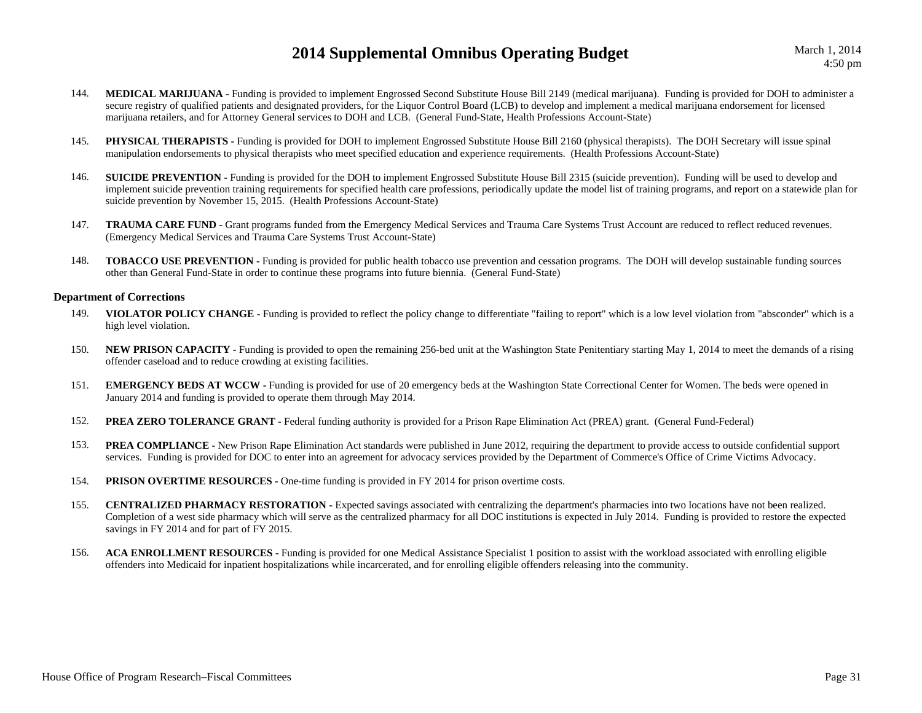- 144.**MEDICAL MARIJUANA -** Funding is provided to implement Engrossed Second Substitute House Bill 2149 (medical marijuana). Funding is provided for DOH to administer a secure registry of qualified patients and designated providers, for the Liquor Control Board (LCB) to develop and implement a medical marijuana endorsement for licensed marijuana retailers, and for Attorney General services to DOH and LCB. (General Fund-State, Health Professions Account-State)
- 145.**PHYSICAL THERAPISTS** - Funding is provided for DOH to implement Engrossed Substitute House Bill 2160 (physical therapists). The DOH Secretary will issue spinal manipulation endorsements to physical therapists who meet specified education and experience requirements. (Health Professions Account-State)
- 146.**SUICIDE PREVENTION -** Funding is provided for the DOH to implement Engrossed Substitute House Bill 2315 (suicide prevention). Funding will be used to develop and implement suicide prevention training requirements for specified health care professions, periodically update the model list of training programs, and report on a statewide plan for suicide prevention by November 15, 2015. (Health Professions Account-State)
- 147. **TRAUMA CARE FUND -** Grant programs funded from the Emergency Medical Services and Trauma Care Systems Trust Account are reduced to reflect reduced revenues. (Emergency Medical Services and Trauma Care Systems Trust Account-State)
- 148. **TOBACCO USE PREVENTION -** Funding is provided for public health tobacco use prevention and cessation programs. The DOH will develop sustainable funding sources other than General Fund-State in order to continue these programs into future biennia. (General Fund-State)

### **Department of Corrections**

- 149. **VIOLATOR POLICY CHANGE -** Funding is provided to reflect the policy change to differentiate "failing to report" which is a low level violation from "absconder" which is a high level violation.
- 150.**NEW PRISON CAPACITY** - Funding is provided to open the remaining 256-bed unit at the Washington State Penitentiary starting May 1, 2014 to meet the demands of a rising offender caseload and to reduce crowding at existing facilities.
- 151.**EMERGENCY BEDS AT WCCW** - Funding is provided for use of 20 emergency beds at the Washington State Correctional Center for Women. The beds were opened in January 2014 and funding is provided to operate them through May 2014.
- 152.**PREA ZERO TOLERANCE GRANT -** Federal funding authority is provided for a Prison Rape Elimination Act (PREA) grant. (General Fund-Federal)
- 153.**PREA COMPLIANCE -** New Prison Rape Elimination Act standards were published in June 2012, requiring the department to provide access to outside confidential support services. Funding is provided for DOC to enter into an agreement for advocacy services provided by the Department of Commerce's Office of Crime Victims Advocacy.
- 154.**PRISON OVERTIME RESOURCES -** One-time funding is provided in FY 2014 for prison overtime costs.
- 155. **CENTRALIZED PHARMACY RESTORATION -** Expected savings associated with centralizing the department's pharmacies into two locations have not been realized. Completion of a west side pharmacy which will serve as the centralized pharmacy for all DOC institutions is expected in July 2014. Funding is provided to restore the expected savings in FY 2014 and for part of FY 2015.
- 156. **ACA ENROLLMENT RESOURCES -** Funding is provided for one Medical Assistance Specialist 1 position to assist with the workload associated with enrolling eligible offenders into Medicaid for inpatient hospitalizations while incarcerated, and for enrolling eligible offenders releasing into the community.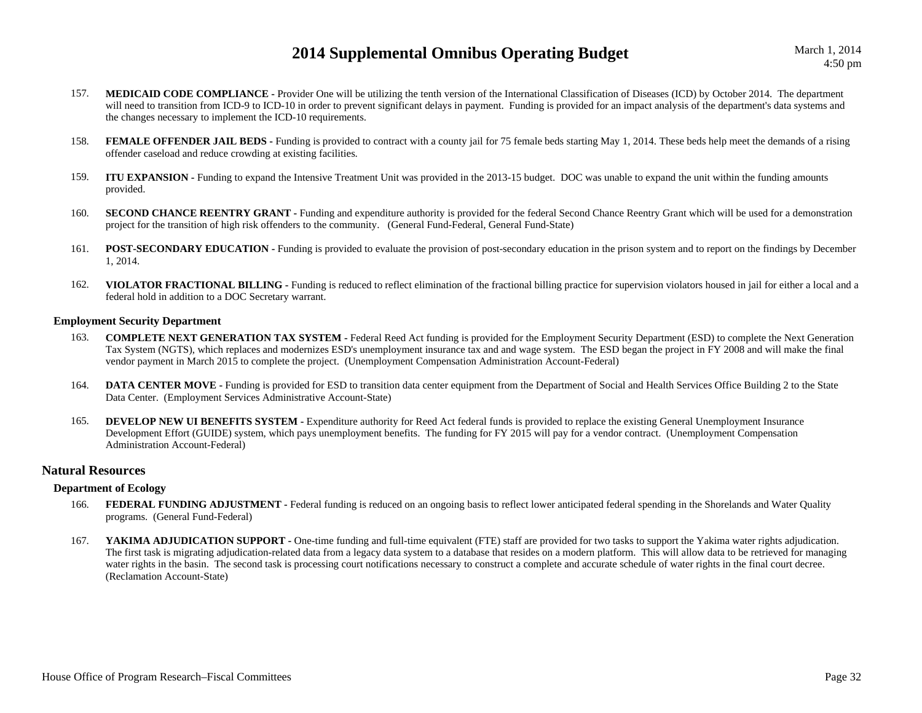March 1, 2014

- 157. **MEDICAID CODE COMPLIANCE -** Provider One will be utilizing the tenth version of the International Classification of Diseases (ICD) by October 2014. The department will need to transition from ICD-9 to ICD-10 in order to prevent significant delays in payment. Funding is provided for an impact analysis of the department's data systems and the changes necessary to implement the ICD-10 requirements.
- 158.**FEMALE OFFENDER JAIL BEDS** - Funding is provided to contract with a county jail for 75 female beds starting May 1, 2014. These beds help meet the demands of a rising offender caseload and reduce crowding at existing facilities.
- 159. **ITU EXPANSION -** Funding to expand the Intensive Treatment Unit was provided in the 2013-15 budget. DOC was unable to expand the unit within the funding amounts provided.
- 160.**SECOND CHANCE REENTRY GRANT -** Funding and expenditure authority is provided for the federal Second Chance Reentry Grant which will be used for a demonstration project for the transition of high risk offenders to the community. (General Fund-Federal, General Fund-State)
- 161.**POST-SECONDARY EDUCATION -** Funding is provided to evaluate the provision of post-secondary education in the prison system and to report on the findings by December 1, 2014.
- 162. **VIOLATOR FRACTIONAL BILLING -** Funding is reduced to reflect elimination of the fractional billing practice for supervision violators housed in jail for either a local and a federal hold in addition to a DOC Secretary warrant.

#### **Employment Security Department**

- 163. **COMPLETE NEXT GENERATION TAX SYSTEM -** Federal Reed Act funding is provided for the Employment Security Department (ESD) to complete the Next Generation Tax System (NGTS), which replaces and modernizes ESD's unemployment insurance tax and and wage system. The ESD began the project in FY 2008 and will make the final vendor payment in March 2015 to complete the project. (Unemployment Compensation Administration Account-Federal)
- 164.**DATA CENTER MOVE -** Funding is provided for ESD to transition data center equipment from the Department of Social and Health Services Office Building 2 to the State Data Center. (Employment Services Administrative Account-State)
- 165. **DEVELOP NEW UI BENEFITS SYSTEM -** Expenditure authority for Reed Act federal funds is provided to replace the existing General Unemployment Insurance Development Effort (GUIDE) system, which pays unemployment benefits. The funding for FY 2015 will pay for a vendor contract. (Unemployment Compensation Administration Account-Federal)

### **Natural Resources**

### **Department of Ecology**

- 166.**FEDERAL FUNDING ADJUSTMENT** - Federal funding is reduced on an ongoing basis to reflect lower anticipated federal spending in the Shorelands and Water Quality programs. (General Fund-Federal)
- 167.YAKIMA ADJUDICATION SUPPORT - One-time funding and full-time equivalent (FTE) staff are provided for two tasks to support the Yakima water rights adjudication. The first task is migrating adjudication-related data from a legacy data system to a database that resides on a modern platform. This will allow data to be retrieved for managing water rights in the basin. The second task is processing court notifications necessary to construct a complete and accurate schedule of water rights in the final court decree. (Reclamation Account-State)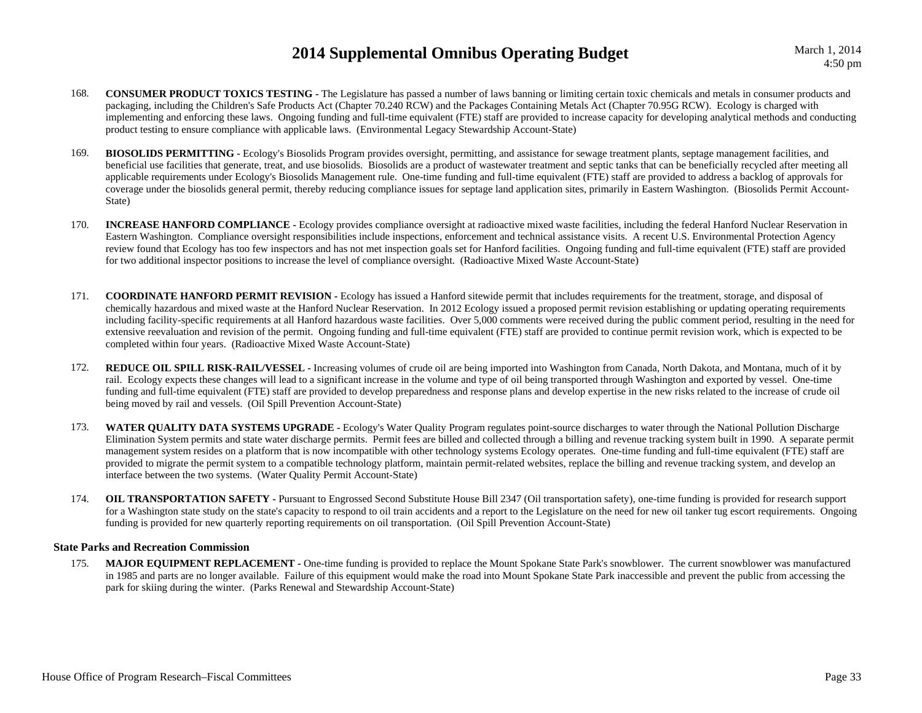March 1, 2014

- 168. **CONSUMER PRODUCT TOXICS TESTING -** The Legislature has passed a number of laws banning or limiting certain toxic chemicals and metals in consumer products and packaging, including the Children's Safe Products Act (Chapter 70.240 RCW) and the Packages Containing Metals Act (Chapter 70.95G RCW). Ecology is charged with implementing and enforcing these laws. Ongoing funding and full-time equivalent (FTE) staff are provided to increase capacity for developing analytical methods and conducting product testing to ensure compliance with applicable laws. (Environmental Legacy Stewardship Account-State)
- 169. **BIOSOLIDS PERMITTING -** Ecology's Biosolids Program provides oversight, permitting, and assistance for sewage treatment plants, septage management facilities, and beneficial use facilities that generate, treat, and use biosolids. Biosolids are a product of wastewater treatment and septic tanks that can be beneficially recycled after meeting all applicable requirements under Ecology's Biosolids Management rule. One-time funding and full-time equivalent (FTE) staff are provided to address a backlog of approvals for coverage under the biosolids general permit, thereby reducing compliance issues for septage land application sites, primarily in Eastern Washington. (Biosolids Permit Account-State)
- 170.**INCREASE HANFORD COMPLIANCE -** Ecology provides compliance oversight at radioactive mixed waste facilities, including the federal Hanford Nuclear Reservation in Eastern Washington. Compliance oversight responsibilities include inspections, enforcement and technical assistance visits. A recent U.S. Environmental Protection Agency review found that Ecology has too few inspectors and has not met inspection goals set for Hanford facilities. Ongoing funding and full-time equivalent (FTE) staff are provided for two additional inspector positions to increase the level of compliance oversight. (Radioactive Mixed Waste Account-State)
- 171. **COORDINATE HANFORD PERMIT REVISION -** Ecology has issued a Hanford sitewide permit that includes requirements for the treatment, storage, and disposal of chemically hazardous and mixed waste at the Hanford Nuclear Reservation. In 2012 Ecology issued a proposed permit revision establishing or updating operating requirements including facility-specific requirements at all Hanford hazardous waste facilities. Over 5,000 comments were received during the public comment period, resulting in the need for extensive reevaluation and revision of the permit. Ongoing funding and full-time equivalent (FTE) staff are provided to continue permit revision work, which is expected to be completed within four years. (Radioactive Mixed Waste Account-State)
- 172. **REDUCE OIL SPILL RISK-RAIL/VESSEL -** Increasing volumes of crude oil are being imported into Washington from Canada, North Dakota, and Montana, much of it by rail. Ecology expects these changes will lead to a significant increase in the volume and type of oil being transported through Washington and exported by vessel. One-time funding and full-time equivalent (FTE) staff are provided to develop preparedness and response plans and develop expertise in the new risks related to the increase of crude oil being moved by rail and vessels. (Oil Spill Prevention Account-State)
- 173. **WATER QUALITY DATA SYSTEMS UPGRADE -** Ecology's Water Quality Program regulates point-source discharges to water through the National Pollution Discharge Elimination System permits and state water discharge permits. Permit fees are billed and collected through a billing and revenue tracking system built in 1990. A separate permit management system resides on a platform that is now incompatible with other technology systems Ecology operates. One-time funding and full-time equivalent (FTE) staff are provided to migrate the permit system to a compatible technology platform, maintain permit-related websites, replace the billing and revenue tracking system, and develop an interface between the two systems. (Water Quality Permit Account-State)
- 174. **OIL TRANSPORTATION SAFETY -** Pursuant to Engrossed Second Substitute House Bill 2347 (Oil transportation safety), one-time funding is provided for research support for a Washington state study on the state's capacity to respond to oil train accidents and a report to the Legislature on the need for new oil tanker tug escort requirements. Ongoing funding is provided for new quarterly reporting requirements on oil transportation. (Oil Spill Prevention Account-State)

### **State Parks and Recreation Commission**

175. **MAJOR EQUIPMENT REPLACEMENT -** One-time funding is provided to replace the Mount Spokane State Park's snowblower. The current snowblower was manufactured in 1985 and parts are no longer available. Failure of this equipment would make the road into Mount Spokane State Park inaccessible and prevent the public from accessing the park for skiing during the winter. (Parks Renewal and Stewardship Account-State)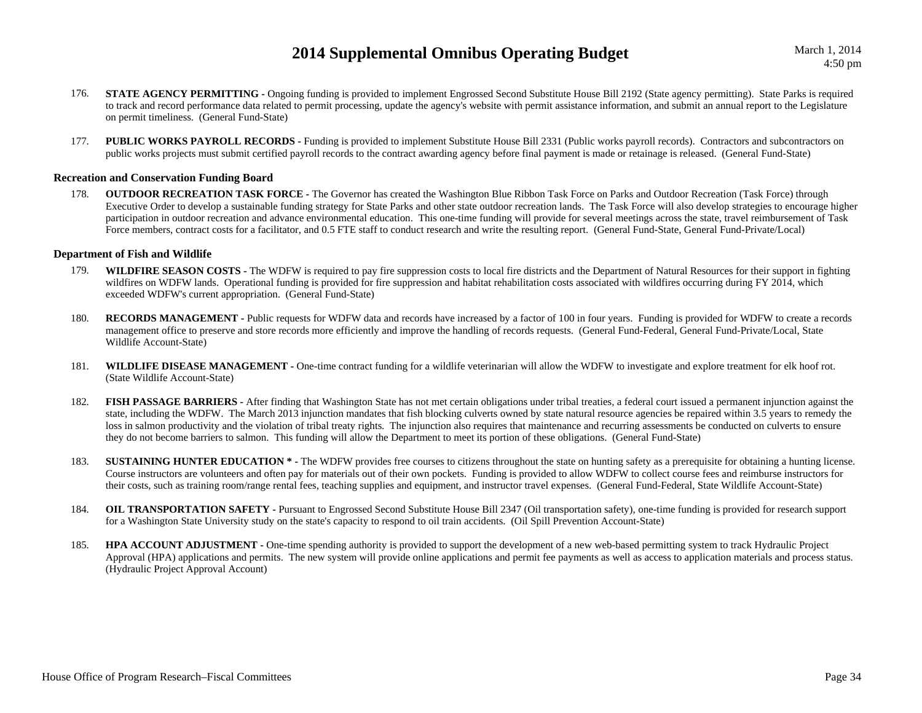March 1, 2014

- 176.**STATE AGENCY PERMITTING -** Ongoing funding is provided to implement Engrossed Second Substitute House Bill 2192 (State agency permitting). State Parks is required to track and record performance data related to permit processing, update the agency's website with permit assistance information, and submit an annual report to the Legislature on permit timeliness. (General Fund-State)
- 177.**PUBLIC WORKS PAYROLL RECORDS -** Funding is provided to implement Substitute House Bill 2331 (Public works payroll records). Contractors and subcontractors on public works projects must submit certified payroll records to the contract awarding agency before final payment is made or retainage is released. (General Fund-State)

### **Recreation and Conservation Funding Board**

178. **OUTDOOR RECREATION TASK FORCE -** The Governor has created the Washington Blue Ribbon Task Force on Parks and Outdoor Recreation (Task Force) through Executive Order to develop a sustainable funding strategy for State Parks and other state outdoor recreation lands. The Task Force will also develop strategies to encourage higher participation in outdoor recreation and advance environmental education. This one-time funding will provide for several meetings across the state, travel reimbursement of Task Force members, contract costs for a facilitator, and 0.5 FTE staff to conduct research and write the resulting report. (General Fund-State, General Fund-Private/Local)

### **Department of Fish and Wildlife**

- 179. **WILDFIRE SEASON COSTS -** The WDFW is required to pay fire suppression costs to local fire districts and the Department of Natural Resources for their support in fighting wildfires on WDFW lands. Operational funding is provided for fire suppression and habitat rehabilitation costs associated with wildfires occurring during FY 2014, which exceeded WDFW's current appropriation. (General Fund-State)
- 180. **RECORDS MANAGEMENT -** Public requests for WDFW data and records have increased by a factor of 100 in four years. Funding is provided for WDFW to create a records management office to preserve and store records more efficiently and improve the handling of records requests. (General Fund-Federal, General Fund-Private/Local, State Wildlife Account-State)
- 181.WILDLIFE DISEASE MANAGEMENT - One-time contract funding for a wildlife veterinarian will allow the WDFW to investigate and explore treatment for elk hoof rot. (State Wildlife Account-State)
- 182.**FISH PASSAGE BARRIERS** - After finding that Washington State has not met certain obligations under tribal treaties, a federal court issued a permanent injunction against the state, including the WDFW. The March 2013 injunction mandates that fish blocking culverts owned by state natural resource agencies be repaired within 3.5 years to remedy the loss in salmon productivity and the violation of tribal treaty rights. The injunction also requires that maintenance and recurring assessments be conducted on culverts to ensure they do not become barriers to salmon. This funding will allow the Department to meet its portion of these obligations. (General Fund-State)
- 183.**SUSTAINING HUNTER EDUCATION** \* - The WDFW provides free courses to citizens throughout the state on hunting safety as a prerequisite for obtaining a hunting license. Course instructors are volunteers and often pay for materials out of their own pockets. Funding is provided to allow WDFW to collect course fees and reimburse instructors for their costs, such as training room/range rental fees, teaching supplies and equipment, and instructor travel expenses. (General Fund-Federal, State Wildlife Account-State)
- 184. **OIL TRANSPORTATION SAFETY -** Pursuant to Engrossed Second Substitute House Bill 2347 (Oil transportation safety), one-time funding is provided for research support for a Washington State University study on the state's capacity to respond to oil train accidents. (Oil Spill Prevention Account-State)
- 185. **HPA ACCOUNT ADJUSTMENT -** One-time spending authority is provided to support the development of a new web-based permitting system to track Hydraulic Project Approval (HPA) applications and permits. The new system will provide online applications and permit fee payments as well as access to application materials and process status. (Hydraulic Project Approval Account)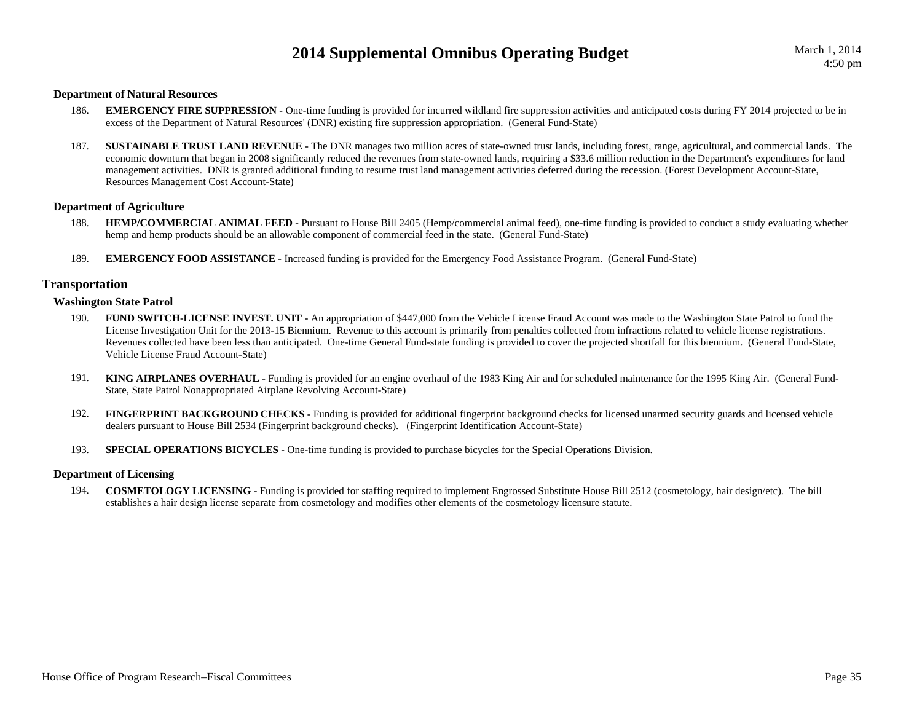### **Department of Natural Resources**

- 186.**EMERGENCY FIRE SUPPRESSION -** One-time funding is provided for incurred wildland fire suppression activities and anticipated costs during FY 2014 projected to be in excess of the Department of Natural Resources' (DNR) existing fire suppression appropriation. (General Fund-State)
- 187.**SUSTAINABLE TRUST LAND REVENUE** - The DNR manages two million acres of state-owned trust lands, including forest, range, agricultural, and commercial lands. The economic downturn that began in 2008 significantly reduced the revenues from state-owned lands, requiring a \$33.6 million reduction in the Department's expenditures for land management activities. DNR is granted additional funding to resume trust land management activities deferred during the recession. (Forest Development Account-State, Resources Management Cost Account-State)

### **Department of Agriculture**

- 188.**HEMP/COMMERCIAL ANIMAL FEED -** Pursuant to House Bill 2405 (Hemp/commercial animal feed), one-time funding is provided to conduct a study evaluating whether hemp and hemp products should be an allowable component of commercial feed in the state. (General Fund-State)
- 189.**EMERGENCY FOOD ASSISTANCE -** Increased funding is provided for the Emergency Food Assistance Program. (General Fund-State)

### **Transportation**

#### **Washington State Patrol**

- 190. **FUND SWITCH-LICENSE INVEST. UNIT -** An appropriation of \$447,000 from the Vehicle License Fraud Account was made to the Washington State Patrol to fund the License Investigation Unit for the 2013-15 Biennium. Revenue to this account is primarily from penalties collected from infractions related to vehicle license registrations. Revenues collected have been less than anticipated. One-time General Fund-state funding is provided to cover the projected shortfall for this biennium. (General Fund-State, Vehicle License Fraud Account-State)
- 191. **KING AIRPLANES OVERHAUL -** Funding is provided for an engine overhaul of the 1983 King Air and for scheduled maintenance for the 1995 King Air. (General Fund-State, State Patrol Nonappropriated Airplane Revolving Account-State)
- 192.FINGERPRINT BACKGROUND CHECKS - Funding is provided for additional fingerprint background checks for licensed unarmed security guards and licensed vehicle dealers pursuant to House Bill 2534 (Fingerprint background checks). (Fingerprint Identification Account-State)
- 193.**SPECIAL OPERATIONS BICYCLES -** One-time funding is provided to purchase bicycles for the Special Operations Division.

#### **Department of Licensing**

194. **COSMETOLOGY LICENSING -** Funding is provided for staffing required to implement Engrossed Substitute House Bill 2512 (cosmetology, hair design/etc). The bill establishes a hair design license separate from cosmetology and modifies other elements of the cosmetology licensure statute.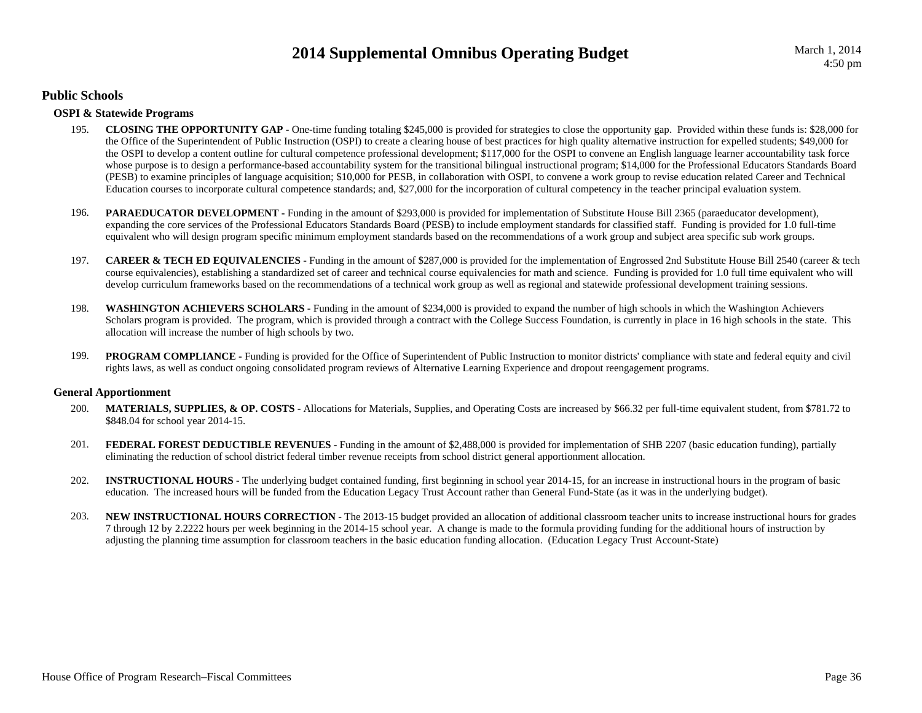### **Public Schools**

### **OSPI & Statewide Programs**

- 195. **CLOSING THE OPPORTUNITY GAP -** One-time funding totaling \$245,000 is provided for strategies to close the opportunity gap. Provided within these funds is: \$28,000 for the Office of the Superintendent of Public Instruction (OSPI) to create a clearing house of best practices for high quality alternative instruction for expelled students; \$49,000 for the OSPI to develop a content outline for cultural competence professional development; \$117,000 for the OSPI to convene an English language learner accountability task force whose purpose is to design a performance-based accountability system for the transitional bilingual instructional program; \$14,000 for the Professional Educators Standards Board (PESB) to examine principles of language acquisition; \$10,000 for PESB, in collaboration with OSPI, to convene a work group to revise education related Career and Technical Education courses to incorporate cultural competence standards; and, \$27,000 for the incorporation of cultural competency in the teacher principal evaluation system.
- 196.**PARAEDUCATOR DEVELOPMENT** - Funding in the amount of \$293,000 is provided for implementation of Substitute House Bill 2365 (paraeducator development), expanding the core services of the Professional Educators Standards Board (PESB) to include employment standards for classified staff. Funding is provided for 1.0 full-time equivalent who will design program specific minimum employment standards based on the recommendations of a work group and subject area specific sub work groups.
- 197.**CAREER & TECH ED EQUIVALENCIES** - Funding in the amount of \$287,000 is provided for the implementation of Engrossed 2nd Substitute House Bill 2540 (career & tech course equivalencies), establishing a standardized set of career and technical course equivalencies for math and science. Funding is provided for 1.0 full time equivalent who will develop curriculum frameworks based on the recommendations of a technical work group as well as regional and statewide professional development training sessions.
- 198. **WASHINGTON ACHIEVERS SCHOLARS -** Funding in the amount of \$234,000 is provided to expand the number of high schools in which the Washington Achievers Scholars program is provided. The program, which is provided through a contract with the College Success Foundation, is currently in place in 16 high schools in the state. This allocation will increase the number of high schools by two.
- 199.**PROGRAM COMPLIANCE** - Funding is provided for the Office of Superintendent of Public Instruction to monitor districts' compliance with state and federal equity and civil rights laws, as well as conduct ongoing consolidated program reviews of Alternative Learning Experience and dropout reengagement programs.

### **General Apportionment**

- 200. **MATERIALS, SUPPLIES, & OP. COSTS -** Allocations for Materials, Supplies, and Operating Costs are increased by \$66.32 per full-time equivalent student, from \$781.72 to \$848.04 for school year 2014-15.
- 201.**FEDERAL FOREST DEDUCTIBLE REVENUES** - Funding in the amount of \$2,488,000 is provided for implementation of SHB 2207 (basic education funding), partially eliminating the reduction of school district federal timber revenue receipts from school district general apportionment allocation.
- 202. **INSTRUCTIONAL HOURS -** The underlying budget contained funding, first beginning in school year 2014-15, for an increase in instructional hours in the program of basic education. The increased hours will be funded from the Education Legacy Trust Account rather than General Fund-State (as it was in the underlying budget).
- 203. **NEW INSTRUCTIONAL HOURS CORRECTION -** The 2013-15 budget provided an allocation of additional classroom teacher units to increase instructional hours for grades 7 through 12 by 2.2222 hours per week beginning in the 2014-15 school year. A change is made to the formula providing funding for the additional hours of instruction by adjusting the planning time assumption for classroom teachers in the basic education funding allocation. (Education Legacy Trust Account-State)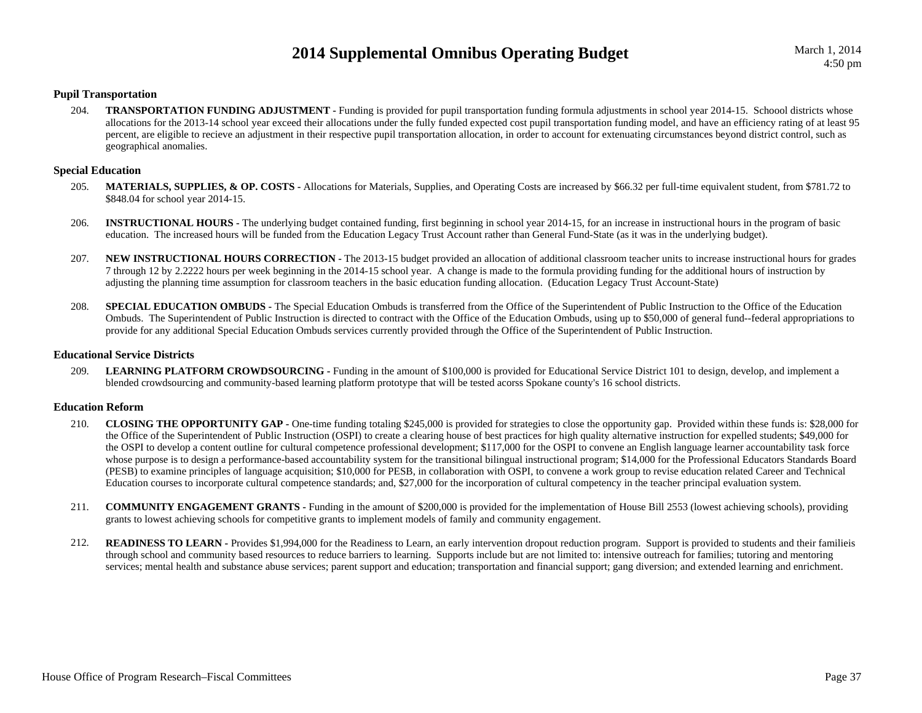### **Pupil Transportation**

204.**TRANSPORTATION FUNDING ADJUSTMENT** - Funding is provided for pupil transportation funding formula adjustments in school year 2014-15. Schoool districts whose allocations for the 2013-14 school year exceed their allocations under the fully funded expected cost pupil transportation funding model, and have an efficiency rating of at least 95 percent, are eligible to recieve an adjustment in their respective pupil transportation allocation, in order to account for extenuating circumstances beyond district control, such as geographical anomalies.

### **Special Education**

- 205. **MATERIALS, SUPPLIES, & OP. COSTS -** Allocations for Materials, Supplies, and Operating Costs are increased by \$66.32 per full-time equivalent student, from \$781.72 to \$848.04 for school year 2014-15.
- 206. **INSTRUCTIONAL HOURS -** The underlying budget contained funding, first beginning in school year 2014-15, for an increase in instructional hours in the program of basic education. The increased hours will be funded from the Education Legacy Trust Account rather than General Fund-State (as it was in the underlying budget).
- 207. **NEW INSTRUCTIONAL HOURS CORRECTION -** The 2013-15 budget provided an allocation of additional classroom teacher units to increase instructional hours for grades 7 through 12 by 2.2222 hours per week beginning in the 2014-15 school year. A change is made to the formula providing funding for the additional hours of instruction by adjusting the planning time assumption for classroom teachers in the basic education funding allocation. (Education Legacy Trust Account-State)
- 208.**SPECIAL EDUCATION OMBUDS** - The Special Education Ombuds is transferred from the Office of the Superintendent of Public Instruction to the Office of the Education Ombuds. The Superintendent of Public Instruction is directed to contract with the Office of the Education Ombuds, using up to \$50,000 of general fund--federal appropriations to provide for any additional Special Education Ombuds services currently provided through the Office of the Superintendent of Public Instruction.

### **Educational Service Districts**

209.LEARNING PLATFORM CROWDSOURCING - Funding in the amount of \$100,000 is provided for Educational Service District 101 to design, develop, and implement a blended crowdsourcing and community-based learning platform prototype that will be tested acorss Spokane county's 16 school districts.

### **Education Reform**

- 210. **CLOSING THE OPPORTUNITY GAP -** One-time funding totaling \$245,000 is provided for strategies to close the opportunity gap. Provided within these funds is: \$28,000 for the Office of the Superintendent of Public Instruction (OSPI) to create a clearing house of best practices for high quality alternative instruction for expelled students; \$49,000 for the OSPI to develop a content outline for cultural competence professional development; \$117,000 for the OSPI to convene an English language learner accountability task force whose purpose is to design a performance-based accountability system for the transitional bilingual instructional program; \$14,000 for the Professional Educators Standards Board (PESB) to examine principles of language acquisition; \$10,000 for PESB, in collaboration with OSPI, to convene a work group to revise education related Career and Technical Education courses to incorporate cultural competence standards; and, \$27,000 for the incorporation of cultural competency in the teacher principal evaluation system.
- 211. **COMMUNITY ENGAGEMENT GRANTS -** Funding in the amount of \$200,000 is provided for the implementation of House Bill 2553 (lowest achieving schools), providing grants to lowest achieving schools for competitive grants to implement models of family and community engagement.
- 212.**READINESS TO LEARN** - Provides \$1,994,000 for the Readiness to Learn, an early intervention dropout reduction program. Support is provided to students and their familieis through school and community based resources to reduce barriers to learning. Supports include but are not limited to: intensive outreach for families; tutoring and mentoring services; mental health and substance abuse services; parent support and education; transportation and financial support; gang diversion; and extended learning and enrichment.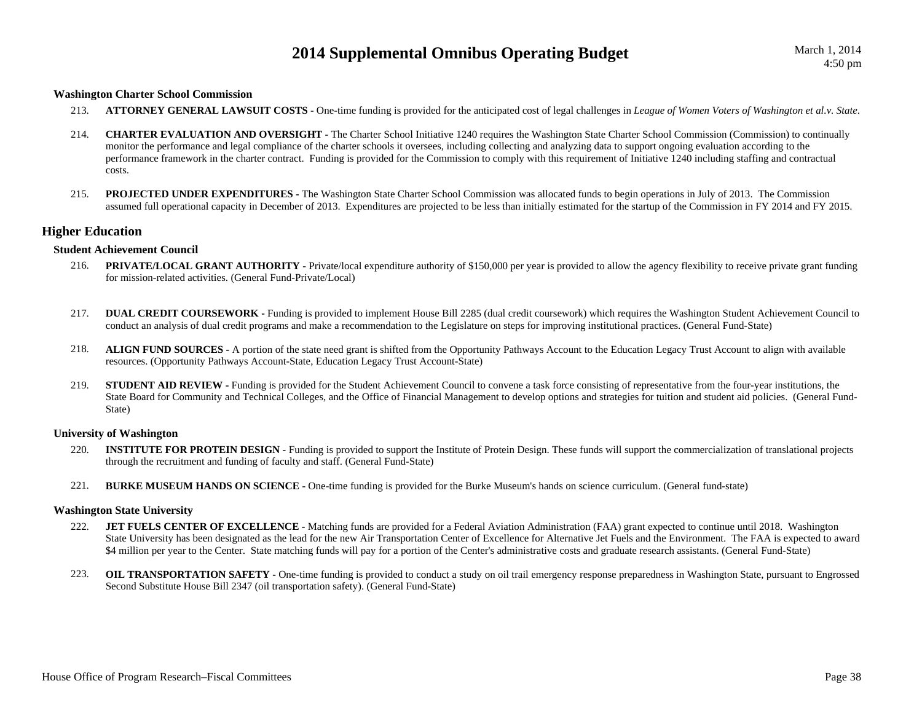#### **Washington Charter School Commission**

- 213.**ATTORNEY GENERAL LAWSUIT COSTS -** One-time funding is provided for the anticipated cost of legal challenges in *League of Women Voters of Washington et al.v. State*.
- 214. **CHARTER EVALUATION AND OVERSIGHT -** The Charter School Initiative 1240 requires the Washington State Charter School Commission (Commission) to continually monitor the performance and legal compliance of the charter schools it oversees, including collecting and analyzing data to support ongoing evaluation according to the performance framework in the charter contract. Funding is provided for the Commission to comply with this requirement of Initiative 1240 including staffing and contractual costs.
- 215. **PROJECTED UNDER EXPENDITURES -** The Washington State Charter School Commission was allocated funds to begin operations in July of 2013. The Commission assumed full operational capacity in December of 2013. Expenditures are projected to be less than initially estimated for the startup of the Commission in FY 2014 and FY 2015.

### **Higher Education**

### **Student Achievement Council**

- 216.**PRIVATE/LOCAL GRANT AUTHORITY** - Private/local expenditure authority of \$150,000 per year is provided to allow the agency flexibility to receive private grant funding for mission-related activities. (General Fund-Private/Local)
- 217.**DUAL CREDIT COURSEWORK -** Funding is provided to implement House Bill 2285 (dual credit coursework) which requires the Washington Student Achievement Council to conduct an analysis of dual credit programs and make a recommendation to the Legislature on steps for improving institutional practices. (General Fund-State)
- 218. **ALIGN FUND SOURCES -** A portion of the state need grant is shifted from the Opportunity Pathways Account to the Education Legacy Trust Account to align with available resources. (Opportunity Pathways Account-State, Education Legacy Trust Account-State)
- 219.**STUDENT AID REVIEW -** Funding is provided for the Student Achievement Council to convene a task force consisting of representative from the four-year institutions, the State Board for Community and Technical Colleges, and the Office of Financial Management to develop options and strategies for tuition and student aid policies. (General Fund-State)

### **University of Washington**

- 220.**INSTITUTE FOR PROTEIN DESIGN -** Funding is provided to support the Institute of Protein Design. These funds will support the commercialization of translational projects through the recruitment and funding of faculty and staff. (General Fund-State)
- 221.**BURKE MUSEUM HANDS ON SCIENCE -** One-time funding is provided for the Burke Museum's hands on science curriculum. (General fund-state)

#### **Washington State University**

- 222.**JET FUELS CENTER OF EXCELLENCE -** Matching funds are provided for a Federal Aviation Administration (FAA) grant expected to continue until 2018. Washington State University has been designated as the lead for the new Air Transportation Center of Excellence for Alternative Jet Fuels and the Environment. The FAA is expected to award \$4 million per year to the Center. State matching funds will pay for a portion of the Center's administrative costs and graduate research assistants. (General Fund-State)
- 223.**OIL TRANSPORTATION SAFETY** - One-time funding is provided to conduct a study on oil trail emergency response preparedness in Washington State, pursuant to Engrossed Second Substitute House Bill 2347 (oil transportation safety). (General Fund-State)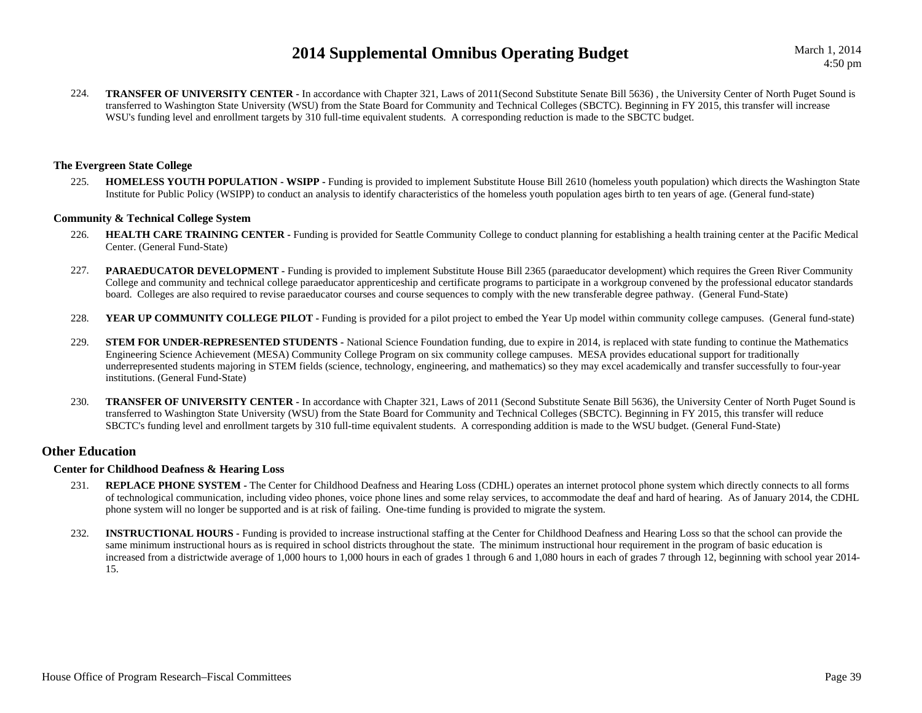March 1, 2014

224.**TRANSFER OF UNIVERSITY CENTER -** In accordance with Chapter 321, Laws of 2011(Second Substitute Senate Bill 5636), the University Center of North Puget Sound is transferred to Washington State University (WSU) from the State Board for Community and Technical Colleges (SBCTC). Beginning in FY 2015, this transfer will increase WSU's funding level and enrollment targets by 310 full-time equivalent students. A corresponding reduction is made to the SBCTC budget.

### **The Evergreen State College**

225. **HOMELESS YOUTH POPULATION - WSIPP -** Funding is provided to implement Substitute House Bill 2610 (homeless youth population) which directs the Washington State Institute for Public Policy (WSIPP) to conduct an analysis to identify characteristics of the homeless youth population ages birth to ten years of age. (General fund-state)

### **Community & Technical College System**

- 226.**HEALTH CARE TRAINING CENTER -** Funding is provided for Seattle Community College to conduct planning for establishing a health training center at the Pacific Medical Center. (General Fund-State)
- 227.**PARAEDUCATOR DEVELOPMENT** - Funding is provided to implement Substitute House Bill 2365 (paraeducator development) which requires the Green River Community College and community and technical college paraeducator apprenticeship and certificate programs to participate in a workgroup convened by the professional educator standards board. Colleges are also required to revise paraeducator courses and course sequences to comply with the new transferable degree pathway. (General Fund-State)
- 228.**YEAR UP COMMUNITY COLLEGE PILOT** - Funding is provided for a pilot project to embed the Year Up model within community college campuses. (General fund-state)
- 229.**STEM FOR UNDER-REPRESENTED STUDENTS** - National Science Foundation funding, due to expire in 2014, is replaced with state funding to continue the Mathematics Engineering Science Achievement (MESA) Community College Program on six community college campuses. MESA provides educational support for traditionally underrepresented students majoring in STEM fields (science, technology, engineering, and mathematics) so they may excel academically and transfer successfully to four-year institutions. (General Fund-State)
- 230.**TRANSFER OF UNIVERSITY CENTER -** In accordance with Chapter 321, Laws of 2011 (Second Substitute Senate Bill 5636), the University Center of North Puget Sound is transferred to Washington State University (WSU) from the State Board for Community and Technical Colleges (SBCTC). Beginning in FY 2015, this transfer will reduce SBCTC's funding level and enrollment targets by 310 full-time equivalent students. A corresponding addition is made to the WSU budget. (General Fund-State)

### **Other Education**

### **Center for Childhood Deafness & Hearing Loss**

- 231.**REPLACE PHONE SYSTEM -** The Center for Childhood Deafness and Hearing Loss (CDHL) operates an internet protocol phone system which directly connects to all forms of technological communication, including video phones, voice phone lines and some relay services, to accommodate the deaf and hard of hearing. As of January 2014, the CDHL phone system will no longer be supported and is at risk of failing. One-time funding is provided to migrate the system.
- 232.**INSTRUCTIONAL HOURS** - Funding is provided to increase instructional staffing at the Center for Childhood Deafness and Hearing Loss so that the school can provide the same minimum instructional hours as is required in school districts throughout the state. The minimum instructional hour requirement in the program of basic education is increased from a districtwide average of 1,000 hours to 1,000 hours in each of grades 1 through 6 and 1,080 hours in each of grades 7 through 12, beginning with school year 2014- 15.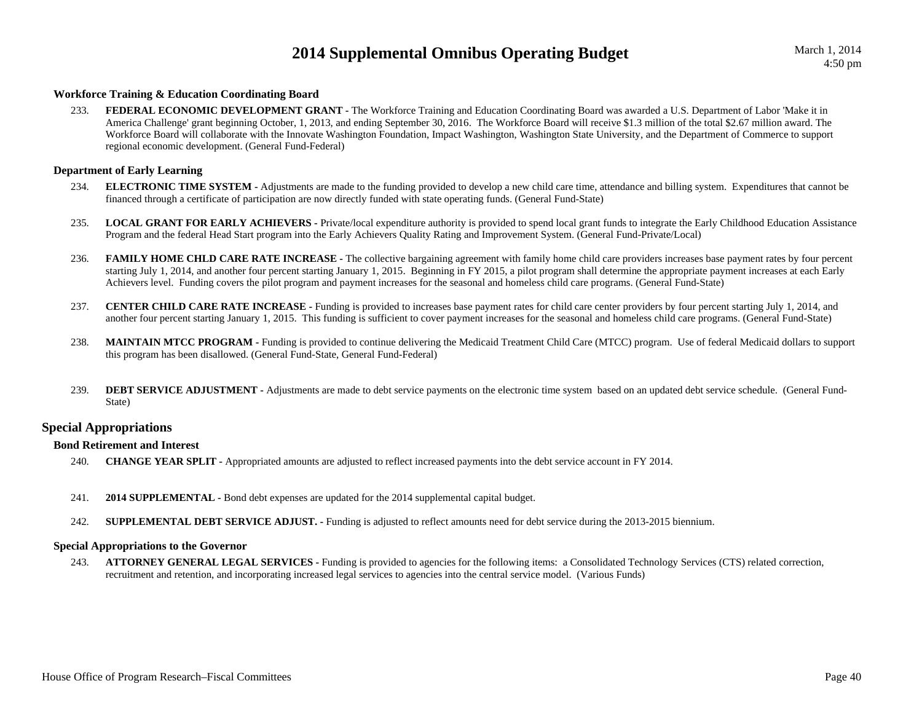### **Workforce Training & Education Coordinating Board**

233. **FEDERAL ECONOMIC DEVELOPMENT GRANT -** The Workforce Training and Education Coordinating Board was awarded a U.S. Department of Labor 'Make it in America Challenge' grant beginning October, 1, 2013, and ending September 30, 2016. The Workforce Board will receive \$1.3 million of the total \$2.67 million award. The Workforce Board will collaborate with the Innovate Washington Foundation, Impact Washington, Washington State University, and the Department of Commerce to support regional economic development. (General Fund-Federal)

### **Department of Early Learning**

- 234. **ELECTRONIC TIME SYSTEM -** Adjustments are made to the funding provided to develop a new child care time, attendance and billing system. Expenditures that cannot be financed through a certificate of participation are now directly funded with state operating funds. (General Fund-State)
- 235. **LOCAL GRANT FOR EARLY ACHIEVERS -** Private/local expenditure authority is provided to spend local grant funds to integrate the Early Childhood Education Assistance Program and the federal Head Start program into the Early Achievers Quality Rating and Improvement System. (General Fund-Private/Local)
- 236.**FAMILY HOME CHLD CARE RATE INCREASE** - The collective bargaining agreement with family home child care providers increases base payment rates by four percent starting July 1, 2014, and another four percent starting January 1, 2015. Beginning in FY 2015, a pilot program shall determine the appropriate payment increases at each Early Achievers level. Funding covers the pilot program and payment increases for the seasonal and homeless child care programs. (General Fund-State)
- 237. **CENTER CHILD CARE RATE INCREASE -** Funding is provided to increases base payment rates for child care center providers by four percent starting July 1, 2014, and another four percent starting January 1, 2015. This funding is sufficient to cover payment increases for the seasonal and homeless child care programs. (General Fund-State)
- 238.**MAINTAIN MTCC PROGRAM -** Funding is provided to continue delivering the Medicaid Treatment Child Care (MTCC) program. Use of federal Medicaid dollars to support this program has been disallowed. (General Fund-State, General Fund-Federal)
- 239.**DEBT SERVICE ADJUSTMENT -** Adjustments are made to debt service payments on the electronic time system based on an updated debt service schedule. (General Fund-State)

### **Special Appropriations**

### **Bond Retirement and Interest**

- 240.**CHANGE YEAR SPLIT -** Appropriated amounts are adjusted to reflect increased payments into the debt service account in FY 2014.
- 241.**2014 SUPPLEMENTAL -** Bond debt expenses are updated for the 2014 supplemental capital budget.
- 242.**SUPPLEMENTAL DEBT SERVICE ADJUST. -** Funding is adjusted to reflect amounts need for debt service during the 2013-2015 biennium.

### **Special Appropriations to the Governor**

243. **ATTORNEY GENERAL LEGAL SERVICES -** Funding is provided to agencies for the following items: a Consolidated Technology Services (CTS) related correction, recruitment and retention, and incorporating increased legal services to agencies into the central service model. (Various Funds)